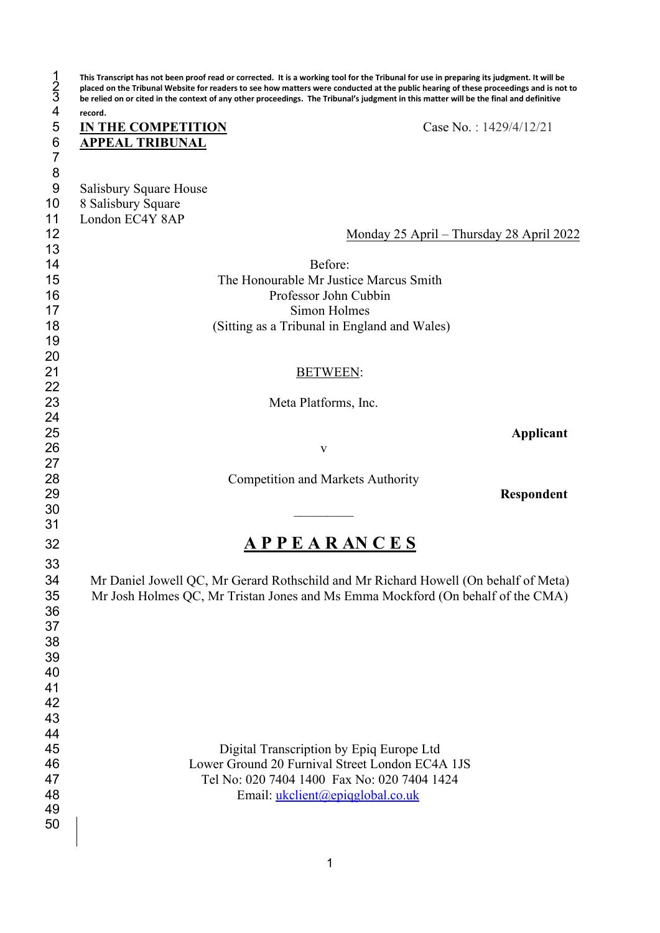| $\frac{1}{3}$                 | This Transcript has not been proof read or corrected. It is a working tool for the Tribunal for use in preparing its judgment. It will be<br>placed on the Tribunal Website for readers to see how matters were conducted at the public hearing of these proceedings and is not to<br>be relied on or cited in the context of any other proceedings. The Tribunal's judgment in this matter will be the final and definitive |
|-------------------------------|------------------------------------------------------------------------------------------------------------------------------------------------------------------------------------------------------------------------------------------------------------------------------------------------------------------------------------------------------------------------------------------------------------------------------|
| $\overline{\mathcal{L}}$<br>5 | record.<br><b>IN THE COMPETITION</b><br>Case No.: 1429/4/12/21                                                                                                                                                                                                                                                                                                                                                               |
| $\boldsymbol{6}$              | <b>APPEAL TRIBUNAL</b>                                                                                                                                                                                                                                                                                                                                                                                                       |
| $\overline{7}$<br>8           |                                                                                                                                                                                                                                                                                                                                                                                                                              |
| 9                             | Salisbury Square House                                                                                                                                                                                                                                                                                                                                                                                                       |
| 10                            | 8 Salisbury Square                                                                                                                                                                                                                                                                                                                                                                                                           |
| 11                            | London EC4Y 8AP                                                                                                                                                                                                                                                                                                                                                                                                              |
| 12<br>13                      | Monday 25 April – Thursday 28 April 2022                                                                                                                                                                                                                                                                                                                                                                                     |
| 14                            | Before:                                                                                                                                                                                                                                                                                                                                                                                                                      |
| 15                            | The Honourable Mr Justice Marcus Smith                                                                                                                                                                                                                                                                                                                                                                                       |
| 16                            | Professor John Cubbin                                                                                                                                                                                                                                                                                                                                                                                                        |
| 17                            | Simon Holmes                                                                                                                                                                                                                                                                                                                                                                                                                 |
| 18<br>19                      | (Sitting as a Tribunal in England and Wales)                                                                                                                                                                                                                                                                                                                                                                                 |
| 20                            |                                                                                                                                                                                                                                                                                                                                                                                                                              |
| 21                            | <b>BETWEEN:</b>                                                                                                                                                                                                                                                                                                                                                                                                              |
| 22                            |                                                                                                                                                                                                                                                                                                                                                                                                                              |
| 23                            | Meta Platforms, Inc.                                                                                                                                                                                                                                                                                                                                                                                                         |
| 24                            |                                                                                                                                                                                                                                                                                                                                                                                                                              |
| 25<br>26                      | Applicant<br>V                                                                                                                                                                                                                                                                                                                                                                                                               |
| 27                            |                                                                                                                                                                                                                                                                                                                                                                                                                              |
| 28                            | <b>Competition and Markets Authority</b>                                                                                                                                                                                                                                                                                                                                                                                     |
| 29                            | Respondent                                                                                                                                                                                                                                                                                                                                                                                                                   |
| 30<br>31                      |                                                                                                                                                                                                                                                                                                                                                                                                                              |
| 32                            | <b>APPEARANCES</b>                                                                                                                                                                                                                                                                                                                                                                                                           |
|                               |                                                                                                                                                                                                                                                                                                                                                                                                                              |
| 33<br>34                      | Mr Daniel Jowell QC, Mr Gerard Rothschild and Mr Richard Howell (On behalf of Meta)                                                                                                                                                                                                                                                                                                                                          |
| 35                            | Mr Josh Holmes QC, Mr Tristan Jones and Ms Emma Mockford (On behalf of the CMA)                                                                                                                                                                                                                                                                                                                                              |
| 36                            |                                                                                                                                                                                                                                                                                                                                                                                                                              |
| 37                            |                                                                                                                                                                                                                                                                                                                                                                                                                              |
| 38                            |                                                                                                                                                                                                                                                                                                                                                                                                                              |
| 39                            |                                                                                                                                                                                                                                                                                                                                                                                                                              |
| 40<br>41                      |                                                                                                                                                                                                                                                                                                                                                                                                                              |
| 42                            |                                                                                                                                                                                                                                                                                                                                                                                                                              |
| 43                            |                                                                                                                                                                                                                                                                                                                                                                                                                              |
| 44                            |                                                                                                                                                                                                                                                                                                                                                                                                                              |
| 45                            | Digital Transcription by Epiq Europe Ltd                                                                                                                                                                                                                                                                                                                                                                                     |
| 46<br>47                      | Lower Ground 20 Furnival Street London EC4A 1JS<br>Tel No: 020 7404 1400 Fax No: 020 7404 1424                                                                                                                                                                                                                                                                                                                               |
| 48                            | Email: ukclient@epiqglobal.co.uk                                                                                                                                                                                                                                                                                                                                                                                             |
| 49                            |                                                                                                                                                                                                                                                                                                                                                                                                                              |
| 50                            |                                                                                                                                                                                                                                                                                                                                                                                                                              |
|                               |                                                                                                                                                                                                                                                                                                                                                                                                                              |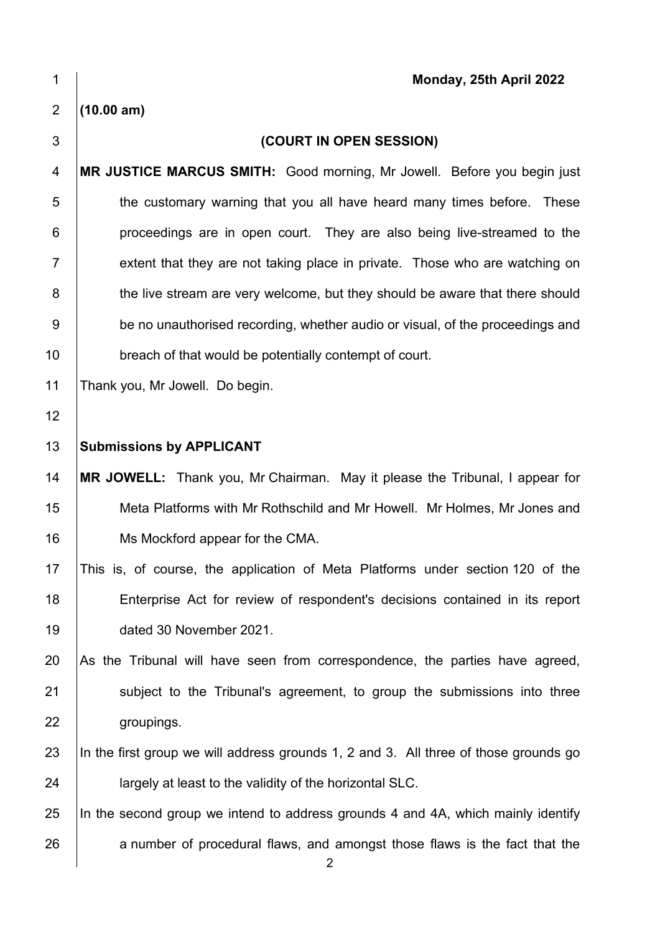| 1              | Monday, 25th April 2022                                                              |
|----------------|--------------------------------------------------------------------------------------|
| 2              | (10.00 am)                                                                           |
| 3              | (COURT IN OPEN SESSION)                                                              |
| 4              | MR JUSTICE MARCUS SMITH: Good morning, Mr Jowell. Before you begin just              |
| 5              | the customary warning that you all have heard many times before. These               |
| 6              | proceedings are in open court. They are also being live-streamed to the              |
| $\overline{7}$ | extent that they are not taking place in private. Those who are watching on          |
| 8              | the live stream are very welcome, but they should be aware that there should         |
| 9              | be no unauthorised recording, whether audio or visual, of the proceedings and        |
| 10             | breach of that would be potentially contempt of court.                               |
| 11             | Thank you, Mr Jowell. Do begin.                                                      |
| 12             |                                                                                      |
| 13             | <b>Submissions by APPLICANT</b>                                                      |
| 14             | MR JOWELL: Thank you, Mr Chairman. May it please the Tribunal, I appear for          |
| 15             | Meta Platforms with Mr Rothschild and Mr Howell. Mr Holmes, Mr Jones and             |
| 16             | Ms Mockford appear for the CMA.                                                      |
| 17             | This is, of course, the application of Meta Platforms under section 120 of the       |
| 18             | Enterprise Act for review of respondent's decisions contained in its report          |
| 19             | dated 30 November 2021.                                                              |
| 20             | As the Tribunal will have seen from correspondence, the parties have agreed,         |
| 21             | subject to the Tribunal's agreement, to group the submissions into three             |
| 22             | groupings.                                                                           |
| 23             | In the first group we will address grounds 1, 2 and 3. All three of those grounds go |
| 24             | largely at least to the validity of the horizontal SLC.                              |
| 25             | In the second group we intend to address grounds 4 and 4A, which mainly identify     |
| 26             | a number of procedural flaws, and amongst those flaws is the fact that the<br>2      |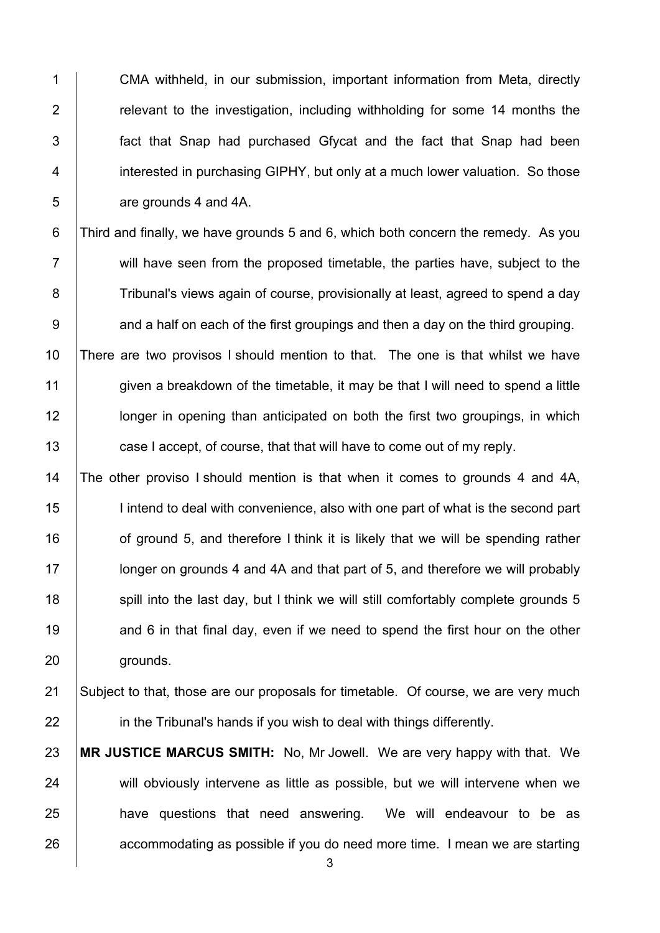1 CMA withheld, in our submission, important information from Meta, directly **Fig.** relevant to the investigation, including withholding for some 14 months the **fact that Snap had purchased Gfycat and the fact that Snap had been i** interested in purchasing GIPHY, but only at a much lower valuation. So those **are grounds 4 and 4A.** 

6 Third and finally, we have grounds 5 and 6, which both concern the remedy. As you 7 | will have seen from the proposed timetable, the parties have, subject to the 8 Tribunal's views again of course, provisionally at least, agreed to spend a day  $9 \mid$  and a half on each of the first groupings and then a day on the third grouping.

 There are two provisos I should mention to that. The one is that whilst we have 11 given a breakdown of the timetable, it may be that I will need to spend a little **letch** longer in opening than anticipated on both the first two groupings, in which **case I accept, of course, that that will have to come out of my reply.** 

14 The other proviso I should mention is that when it comes to grounds 4 and 4A, 15 | I intend to deal with convenience, also with one part of what is the second part 16  $\parallel$  of ground 5, and therefore I think it is likely that we will be spending rather 17 **I** longer on grounds 4 and 4A and that part of 5, and therefore we will probably 18 spill into the last day, but I think we will still comfortably complete grounds 5 19  $\parallel$  and 6 in that final day, even if we need to spend the first hour on the other 20 grounds.

21 Subject to that, those are our proposals for timetable. Of course, we are very much  $22$  in the Tribunal's hands if you wish to deal with things differently.

23 **MR JUSTICE MARCUS SMITH:** No, Mr Jowell. We are very happy with that. We 24 will obviously intervene as little as possible, but we will intervene when we 25 **have questions that need answering.** We will endeavour to be as 26 accommodating as possible if you do need more time. I mean we are starting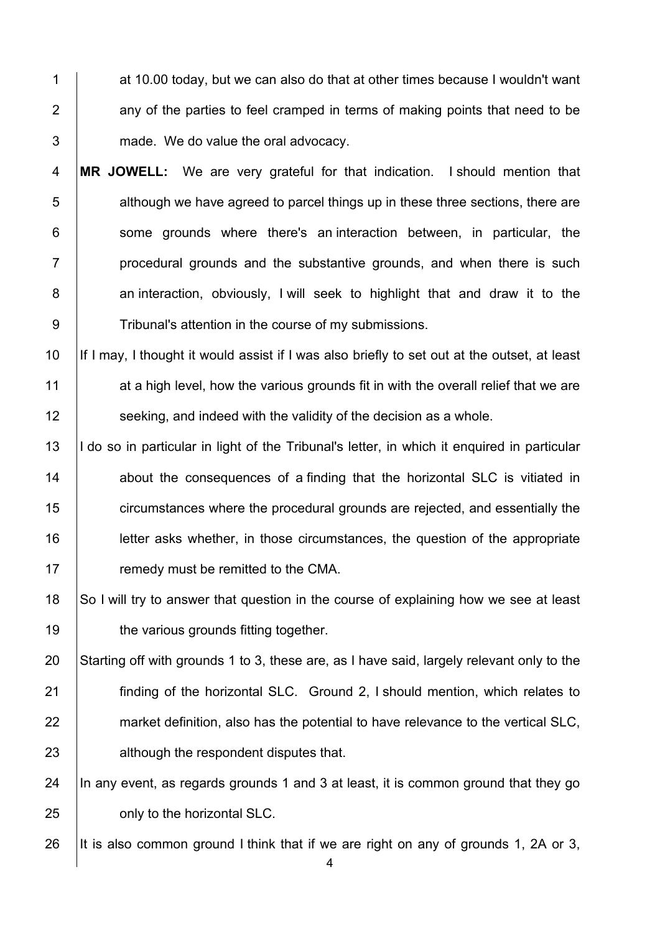1 at 10.00 today, but we can also do that at other times because I wouldn't want  $2$  any of the parties to feel cramped in terms of making points that need to be 3 made. We do value the oral advocacy.

**MR JOWELL:** We are very grateful for that indication. I should mention that although we have agreed to parcel things up in these three sections, there are some grounds where there's an interaction between, in particular, the | procedural grounds and the substantive grounds, and when there is such 8 an interaction, obviously, I will seek to highlight that and draw it to the 9 Tribunal's attention in the course of my submissions.

10 If I may, I thought it would assist if I was also briefly to set out at the outset, at least 11 at a high level, how the various grounds fit in with the overall relief that we are 12 **Seeking, and indeed with the validity of the decision as a whole.** 

13 | I do so in particular in light of the Tribunal's letter, in which it enquired in particular **about the consequences of a finding that the horizontal SLC is vitiated in Fig.** circumstances where the procedural grounds are rejected, and essentially the letter asks whether, in those circumstances, the question of the appropriate **Fig. 7** remedy must be remitted to the CMA.

18 So I will try to answer that question in the course of explaining how we see at least 19 **the various grounds fitting together.** 

 Starting off with grounds 1 to 3, these are, as I have said, largely relevant only to the **finding of the horizontal SLC.** Ground 2, I should mention, which relates to 22 market definition, also has the potential to have relevance to the vertical SLC, **although the respondent disputes that.** 

24  $\parallel$  In any event, as regards grounds 1 and 3 at least, it is common ground that they go 25 **only to the horizontal SLC.** 

26 It is also common ground I think that if we are right on any of grounds 1, 2A or 3,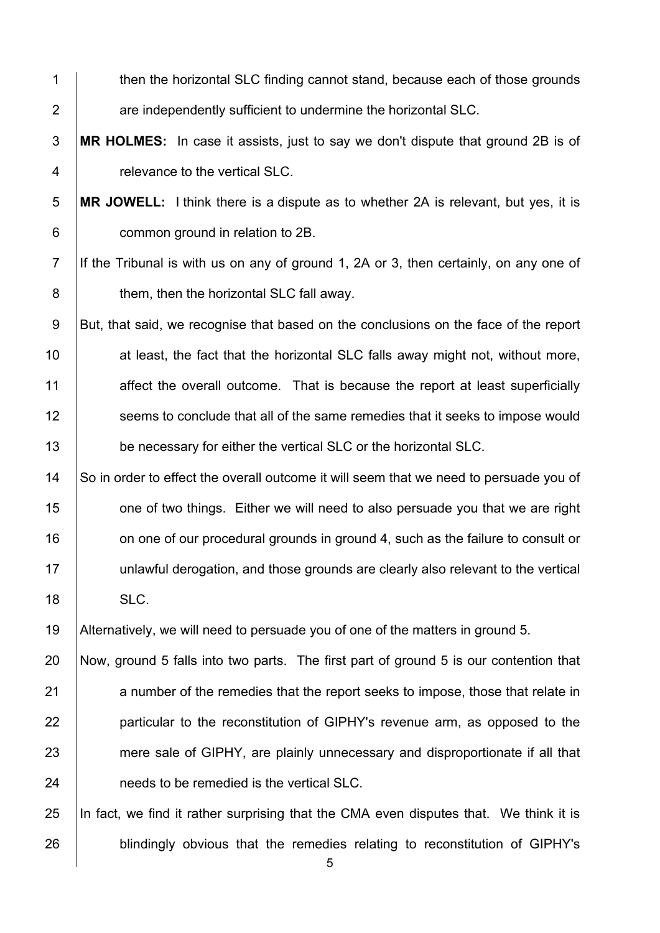| $\mathbf 1$      | then the horizontal SLC finding cannot stand, because each of those grounds            |
|------------------|----------------------------------------------------------------------------------------|
| $\overline{2}$   | are independently sufficient to undermine the horizontal SLC.                          |
| $\mathfrak{S}$   | MR HOLMES: In case it assists, just to say we don't dispute that ground 2B is of       |
| 4                | relevance to the vertical SLC.                                                         |
| $\sqrt{5}$       | MR JOWELL: I think there is a dispute as to whether 2A is relevant, but yes, it is     |
| $\,6$            | common ground in relation to 2B.                                                       |
| $\overline{7}$   | If the Tribunal is with us on any of ground 1, 2A or 3, then certainly, on any one of  |
| $\bf 8$          | them, then the horizontal SLC fall away.                                               |
| $\boldsymbol{9}$ | But, that said, we recognise that based on the conclusions on the face of the report   |
| 10               | at least, the fact that the horizontal SLC falls away might not, without more,         |
| 11               | affect the overall outcome. That is because the report at least superficially          |
| 12               | seems to conclude that all of the same remedies that it seeks to impose would          |
| 13               | be necessary for either the vertical SLC or the horizontal SLC.                        |
| 14               | So in order to effect the overall outcome it will seem that we need to persuade you of |
| 15               | one of two things. Either we will need to also persuade you that we are right          |
| 16               | on one of our procedural grounds in ground 4, such as the failure to consult or        |
| 17               | unlawful derogation, and those grounds are clearly also relevant to the vertical       |
| 18               | SLC.                                                                                   |
| 19               | Alternatively, we will need to persuade you of one of the matters in ground 5.         |
| 20               | Now, ground 5 falls into two parts. The first part of ground 5 is our contention that  |
| 21               | a number of the remedies that the report seeks to impose, those that relate in         |
| 22               | particular to the reconstitution of GIPHY's revenue arm, as opposed to the             |
| 23               | mere sale of GIPHY, are plainly unnecessary and disproportionate if all that           |
| 24               | needs to be remedied is the vertical SLC.                                              |
| 25               | In fact, we find it rather surprising that the CMA even disputes that. We think it is  |
| 26               | blindingly obvious that the remedies relating to reconstitution of GIPHY's             |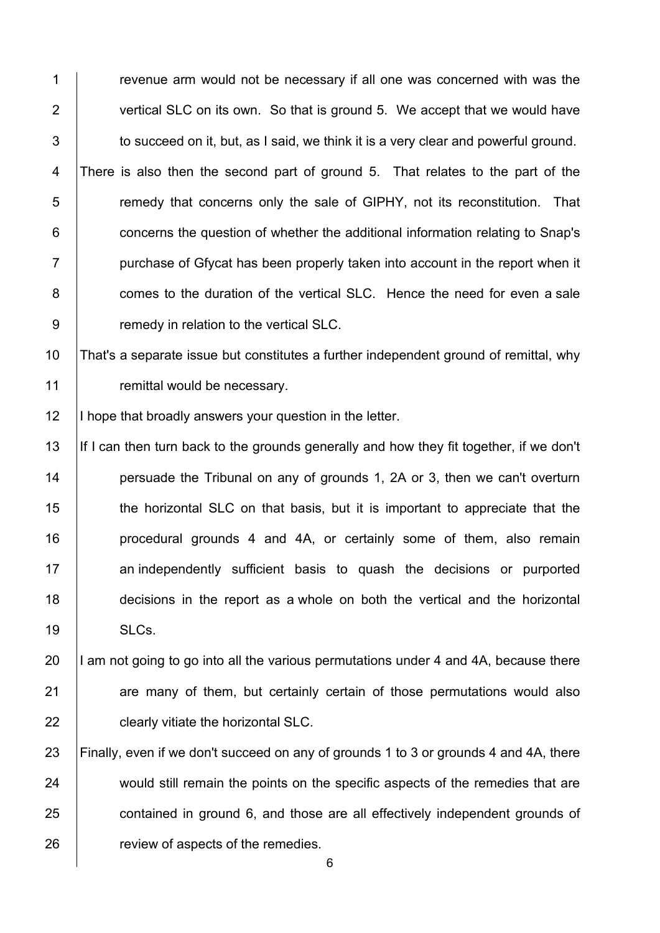**Fig. 2** revenue arm would not be necessary if all one was concerned with was the 2 vertical SLC on its own. So that is ground 5. We accept that we would have  $\vert$  to succeed on it, but, as I said, we think it is a very clear and powerful ground. 4 There is also then the second part of ground 5. That relates to the part of the 5 T remedy that concerns only the sale of GIPHY, not its reconstitution. That **concerns the question of whether the additional information relating to Snap's**  $7 \mid$  purchase of Gfycat has been properly taken into account in the report when it **comes to the duration of the vertical SLC.** Hence the need for even a sale **9** remedy in relation to the vertical SLC.

 That's a separate issue but constitutes a further independent ground of remittal, why **Fig. 2** remittal would be necessary.

12 | I hope that broadly answers your question in the letter.

13 If I can then turn back to the grounds generally and how they fit together, if we don't **persuade the Tribunal on any of grounds 1, 2A or 3, then we can't overturn the horizontal SLC** on that basis, but it is important to appreciate that the **procedural grounds 4 and 4A, or certainly some of them, also remain an independently sufficient basis to quash the decisions or purported**  decisions in the report as a whole on both the vertical and the horizontal 19 | SLCs.

 $\parallel$  1 am not going to go into all the various permutations under 4 and 4A, because there 21 are many of them, but certainly certain of those permutations would also **clearly vitiate the horizontal SLC.** 

 Finally, even if we don't succeed on any of grounds 1 to 3 or grounds 4 and 4A, there 24 would still remain the points on the specific aspects of the remedies that are **contained in ground 6, and those are all effectively independent grounds of Property** charge vertex of the remedies.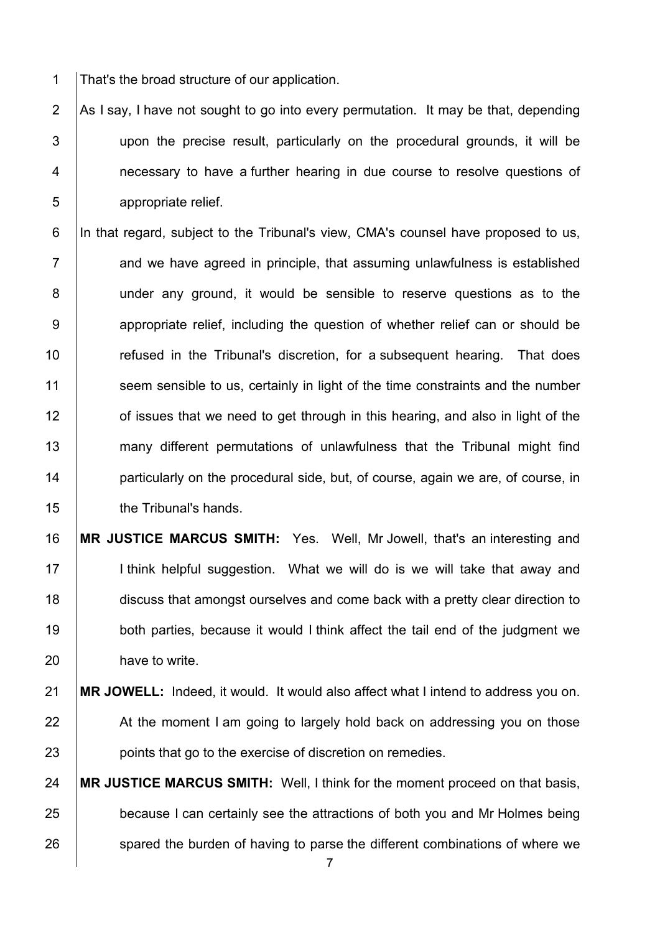1 That's the broad structure of our application.

2  $\vert$  As I say, I have not sought to go into every permutation. It may be that, depending 3 I upon the precise result, particularly on the procedural grounds, it will be 4 **1** necessary to have a further hearing in due course to resolve questions of 5 appropriate relief.

6 In that regard, subject to the Tribunal's view, CMA's counsel have proposed to us,  $7$   $\parallel$  and we have agreed in principle, that assuming unlawfulness is established 8 | under any ground, it would be sensible to reserve questions as to the 9 | appropriate relief, including the question of whether relief can or should be 10 **The Fritan II** refused in the Tribunal's discretion, for a subsequent hearing. That does 11 seem sensible to us, certainly in light of the time constraints and the number 12 **or** issues that we need to get through in this hearing, and also in light of the 13 many different permutations of unlawfulness that the Tribunal might find 14 **particularly on the procedural side, but, of course, again we are, of course, in** 15 **the Tribunal's hands.** 

16 **MR JUSTICE MARCUS SMITH:** Yes. Well, Mr Jowell, that's an interesting and 17 | I think helpful suggestion. What we will do is we will take that away and 18 discuss that amongst ourselves and come back with a pretty clear direction to 19 both parties, because it would I think affect the tail end of the judgment we 20 have to write.

## 21 **MR JOWELL:** Indeed, it would. It would also affect what I intend to address you on. 22 At the moment I am going to largely hold back on addressing you on those 23 **points that go to the exercise of discretion on remedies.**

24 **MR JUSTICE MARCUS SMITH:** Well, I think for the moment proceed on that basis, 25 **because I can certainly see the attractions of both you and Mr Holmes being** 26 spared the burden of having to parse the different combinations of where we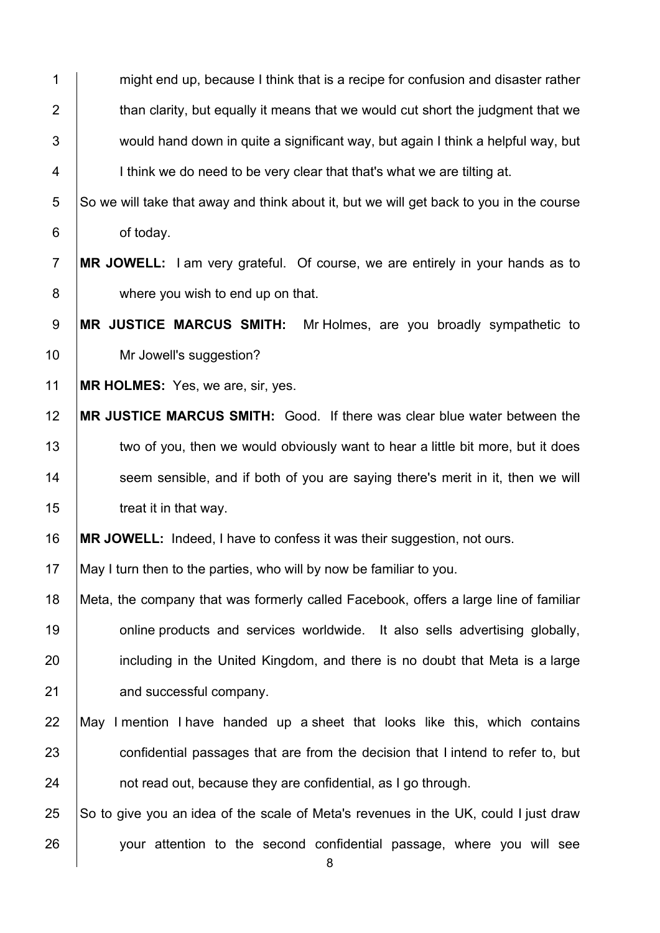1 might end up, because I think that is a recipe for confusion and disaster rather 2  $\parallel$  than clarity, but equally it means that we would cut short the judgment that we  $\parallel$  would hand down in quite a significant way, but again I think a helpful way, but 4 | I think we do need to be very clear that that's what we are tilting at.

 So we will take that away and think about it, but we will get back to you in the course **b** of today.

**MR JOWELL:** I am very grateful. Of course, we are entirely in your hands as to 8 | where you wish to end up on that.

**MR JUSTICE MARCUS SMITH:** Mr Holmes, are you broadly sympathetic to 10 | Mr Jowell's suggestion?

**MR HOLMES:** Yes, we are, sir, yes.

 **MR JUSTICE MARCUS SMITH:** Good. If there was clear blue water between the 13 two of you, then we would obviously want to hear a little bit more, but it does seem sensible, and if both of you are saying there's merit in it, then we will **treat it in that way.** 

**MR JOWELL:** Indeed, I have to confess it was their suggestion, not ours.

May I turn then to the parties, who will by now be familiar to you.

 Meta, the company that was formerly called Facebook, offers a large line of familiar **19** online products and services worldwide. It also sells advertising globally, 20 including in the United Kingdom, and there is no doubt that Meta is a large **and successful company.** 

 May I mention I have handed up a sheet that looks like this, which contains 23 confidential passages that are from the decision that I intend to refer to, but **houral** and read out, because they are confidential, as I go through.

25  $\vert$  So to give you an idea of the scale of Meta's revenues in the UK, could I just draw 26 vour attention to the second confidential passage, where you will see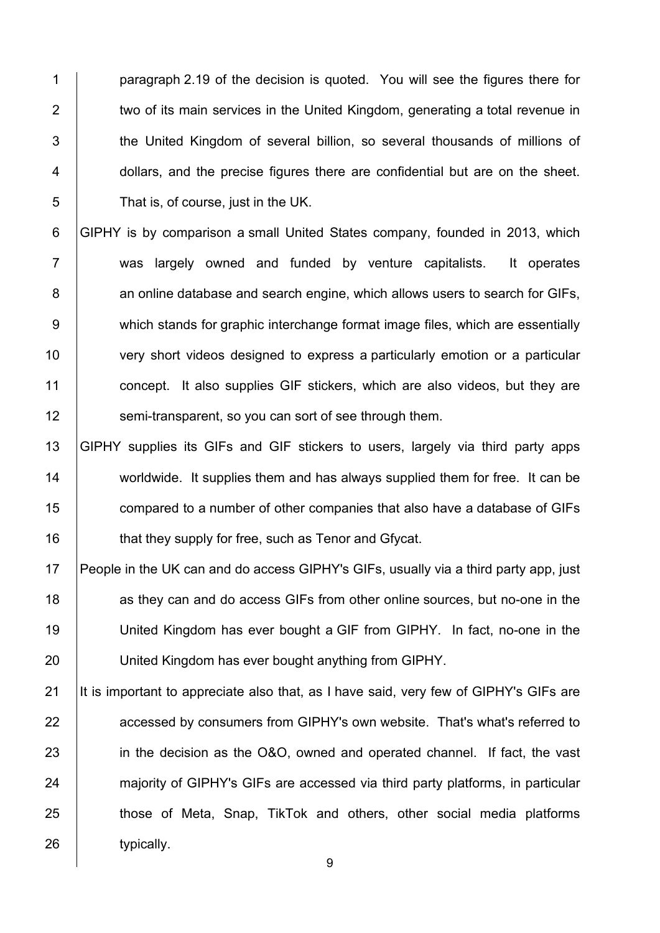1 **paragraph 2.19 of the decision is quoted.** You will see the figures there for 2 two of its main services in the United Kingdom, generating a total revenue in 3 the United Kingdom of several billion, so several thousands of millions of 4 **dollars, and the precise figures there are confidential but are on the sheet.** 5 **That is, of course, just in the UK.** 

6 GIPHY is by comparison a small United States company, founded in 2013, which 7 was largely owned and funded by venture capitalists. It operates 8 **an online database and search engine, which allows users to search for GIFs,** 9 which stands for graphic interchange format image files, which are essentially 10 very short videos designed to express a particularly emotion or a particular 11 concept. It also supplies GIF stickers, which are also videos, but they are 12 **Somi-transparent, so you can sort of see through them.** 

 GIPHY supplies its GIFs and GIF stickers to users, largely via third party apps 14 worldwide. It supplies them and has always supplied them for free. It can be **compared to a number of other companies that also have a database of GIFs that they supply for free, such as Tenor and Gfycat.** 

17 People in the UK can and do access GIPHY's GIFs, usually via a third party app, just 18 **18** as they can and do access GIFs from other online sources, but no-one in the 19 | United Kingdom has ever bought a GIF from GIPHY. In fact, no-one in the 20 | United Kingdom has ever bought anything from GIPHY.

21 It is important to appreciate also that, as I have said, very few of GIPHY's GIFs are 22 **accessed by consumers from GIPHY's own website. That's what's referred to** 23 in the decision as the O&O, owned and operated channel. If fact, the vast 24 majority of GIPHY's GIFs are accessed via third party platforms, in particular 25 **those of Meta, Snap, TikTok and others, other social media platforms** 26 vpically.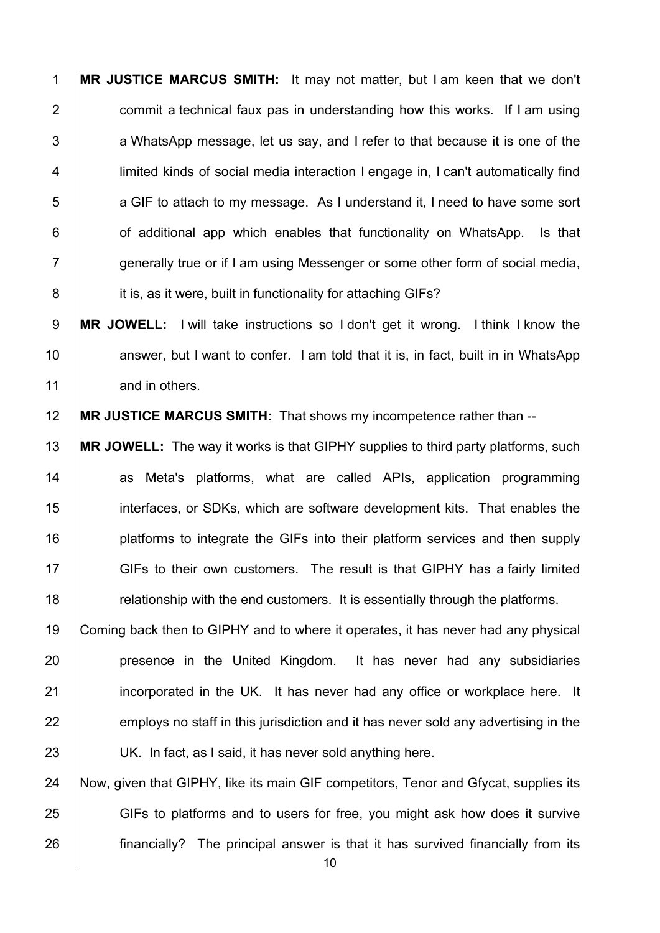**MR JUSTICE MARCUS SMITH:** It may not matter, but I am keen that we don't  $\parallel$  commit a technical faux pas in understanding how this works. If I am using  $\vert$  a WhatsApp message, let us say, and I refer to that because it is one of the 4 limited kinds of social media interaction I engage in, I can't automatically find 5 a GIF to attach to my message. As I understand it. I need to have some sort | of additional app which enables that functionality on WhatsApp. Is that  $7 \mid$  generally true or if I am using Messenger or some other form of social media, **it is, as it were, built in functionality for attaching GIFs?** 

**MR JOWELL:** I will take instructions so I don't get it wrong. I think I know the 10 answer, but I want to confer. I am told that it is, in fact, built in in WhatsApp 11 and in others.

**MR JUSTICE MARCUS SMITH:** That shows my incompetence rather than --

 **MR JOWELL:** The way it works is that GIPHY supplies to third party platforms, such 14 as Meta's platforms, what are called APIs, application programming interfaces, or SDKs, which are software development kits. That enables the **platforms to integrate the GIFs into their platform services and then supply** 17 GIFs to their own customers. The result is that GIPHY has a fairly limited **Fig. 7** relationship with the end customers. It is essentially through the platforms.

 Coming back then to GIPHY and to where it operates, it has never had any physical **presence in the United Kingdom.** It has never had any subsidiaries **incorporated in the UK.** It has never had any office or workplace here. It employs no staff in this jurisdiction and it has never sold any advertising in the 23 | UK. In fact, as I said, it has never sold anything here.

24 Now, given that GIPHY, like its main GIF competitors, Tenor and Gfycat, supplies its 25 GIFs to platforms and to users for free, you might ask how does it survive **financially?** The principal answer is that it has survived financially from its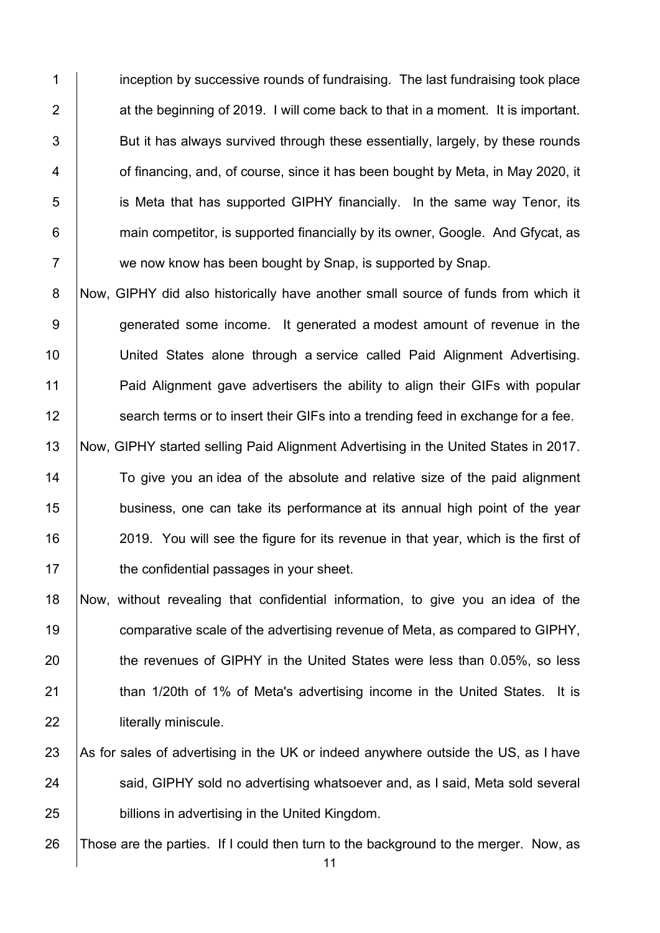1 **i** inception by successive rounds of fundraising. The last fundraising took place  $2 \mid$  at the beginning of 2019. I will come back to that in a moment. It is important. 3 Subset But it has always survived through these essentially, largely, by these rounds 4 **1** of financing, and, of course, since it has been bought by Meta, in May 2020, it 5 **i** is Meta that has supported GIPHY financially. In the same way Tenor, its 6 **6** main competitor, is supported financially by its owner, Google. And Gfycat, as 7 We now know has been bought by Snap, is supported by Snap.

8 Now, GIPHY did also historically have another small source of funds from which it 9 generated some income. It generated a modest amount of revenue in the 10 | United States alone through a service called Paid Alignment Advertising. 11 Paid Alignment gave advertisers the ability to align their GIFs with popular 12 **Search terms or to insert their GIFs into a trending feed in exchange for a fee.** 

13 Now, GIPHY started selling Paid Alignment Advertising in the United States in 2017. 14 To give you an idea of the absolute and relative size of the paid alignment 15 **business, one can take its performance at its annual high point of the year** 16 2019. You will see the figure for its revenue in that year, which is the first of 17 **the confidential passages in your sheet.** 

18 Now, without revealing that confidential information, to give you an idea of the 19 **comparative scale of the advertising revenue of Meta, as compared to GIPHY,** 20 the revenues of GIPHY in the United States were less than 0.05%, so less 21 | than 1/20th of 1% of Meta's advertising income in the United States. It is 22 **literally miniscule.** 

23 As for sales of advertising in the UK or indeed anywhere outside the US, as I have 24 Said, GIPHY sold no advertising whatsoever and, as I said, Meta sold several 25 **billions in advertising in the United Kingdom.** 

26 Those are the parties. If I could then turn to the background to the merger. Now, as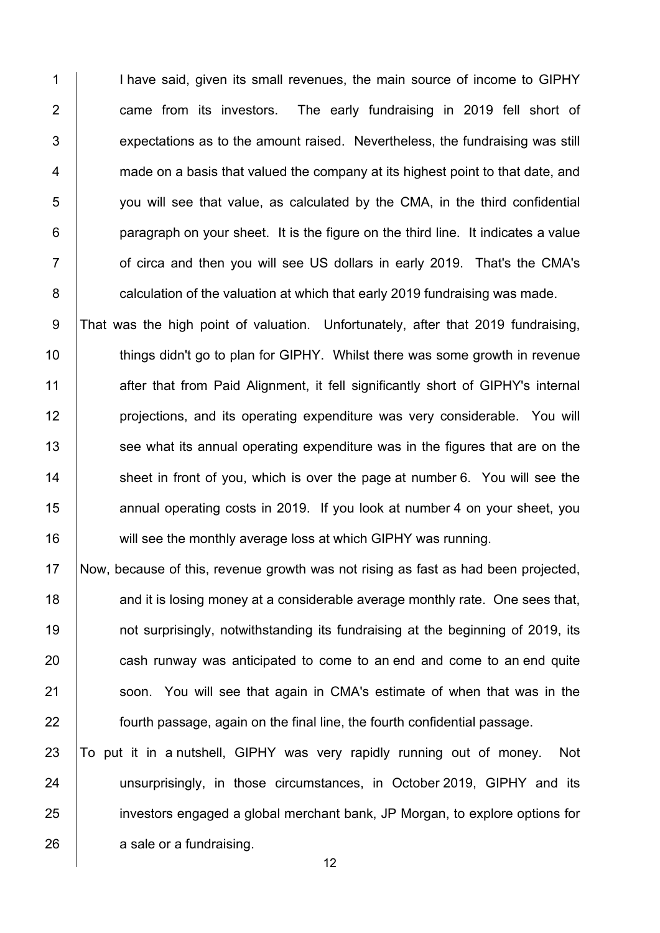1 I inave said, given its small revenues, the main source of income to GIPHY **came from its investors.** The early fundraising in 2019 fell short of  $\vert$  expectations as to the amount raised. Nevertheless, the fundraising was still  $4 \mid$  made on a basis that valued the company at its highest point to that date, and 5 you will see that value, as calculated by the CMA, in the third confidential | paragraph on your sheet. It is the figure on the third line. It indicates a value **Fig. 2018** of circa and then you will see US dollars in early 2019. That's the CMA's **6 Calculation of the valuation at which that early 2019 fundraising was made.** 

9 That was the high point of valuation. Unfortunately, after that 2019 fundraising, 10 **things didn't go to plan for GIPHY.** Whilst there was some growth in revenue 11 after that from Paid Alignment, it fell significantly short of GIPHY's internal 12 **projections, and its operating expenditure was very considerable.** You will 13 See what its annual operating expenditure was in the figures that are on the  $14$  sheet in front of you, which is over the page at number 6. You will see the 15 **15** annual operating costs in 2019. If you look at number 4 on your sheet, you 16 will see the monthly average loss at which GIPHY was running.

 Now, because of this, revenue growth was not rising as fast as had been projected, **and it is losing money at a considerable average monthly rate. One sees that, not surprisingly, notwithstanding its fundraising at the beginning of 2019, its** 20 cash runway was anticipated to come to an end and come to an end quite 21 Soon. You will see that again in CMA's estimate of when that was in the **fourth passage, again on the final line, the fourth confidential passage.** 

23 To put it in a nutshell, GIPHY was very rapidly running out of money. Not 24 | unsurprisingly, in those circumstances, in October 2019, GIPHY and its 25 investors engaged a global merchant bank, JP Morgan, to explore options for 26 a sale or a fundraising.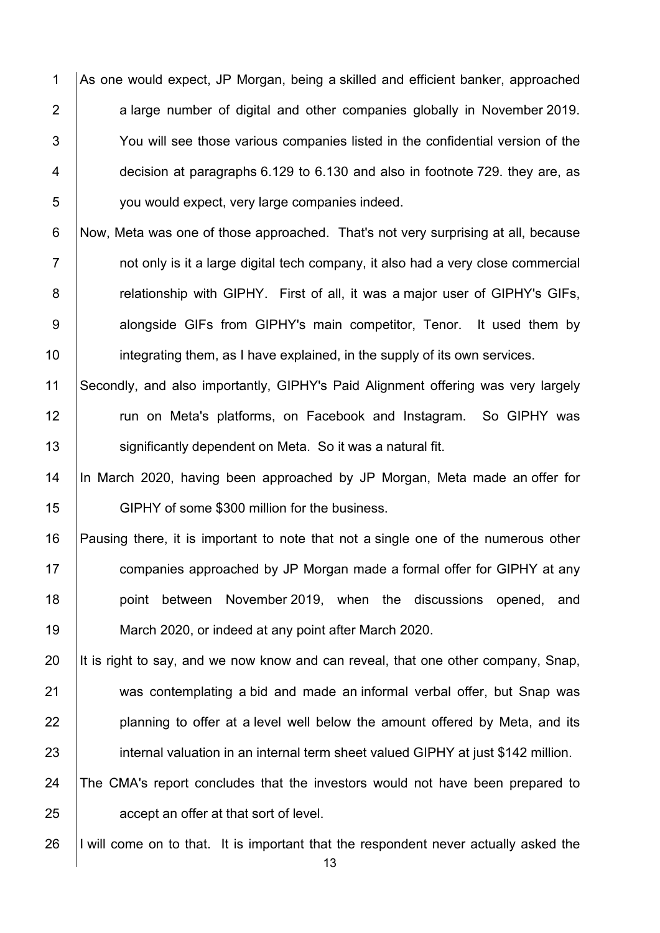1 As one would expect, JP Morgan, being a skilled and efficient banker, approached 2 a large number of digital and other companies globally in November 2019. 3 You will see those various companies listed in the confidential version of the 4 decision at paragraphs 6.129 to 6.130 and also in footnote 729. they are, as 5 you would expect, very large companies indeed.

6 Now, Meta was one of those approached. That's not very surprising at all, because 7 1 mot only is it a large digital tech company, it also had a very close commercial 8 **8** relationship with GIPHY. First of all, it was a major user of GIPHY's GIFs, 9 | alongside GIFs from GIPHY's main competitor, Tenor. It used them by 10 **integrating them, as I have explained, in the supply of its own services.** 

11 Secondly, and also importantly, GIPHY's Paid Alignment offering was very largely 12 | run on Meta's platforms, on Facebook and Instagram. So GIPHY was 13 | significantly dependent on Meta. So it was a natural fit.

14 |In March 2020, having been approached by JP Morgan, Meta made an offer for 15 **GIPHY** of some \$300 million for the business.

 Pausing there, it is important to note that not a single one of the numerous other **companies approached by JP Morgan made a formal offer for GIPHY at any point between November 2019**, when the discussions opened, and March 2020, or indeed at any point after March 2020.

20 It is right to say, and we now know and can reveal, that one other company, Snap, 21 was contemplating a bid and made an informal verbal offer, but Snap was  $22$  | planning to offer at a level well below the amount offered by Meta, and its 23 internal valuation in an internal term sheet valued GIPHY at just \$142 million.

24 The CMA's report concludes that the investors would not have been prepared to 25 **accept an offer at that sort of level.** 

26 I will come on to that. It is important that the respondent never actually asked the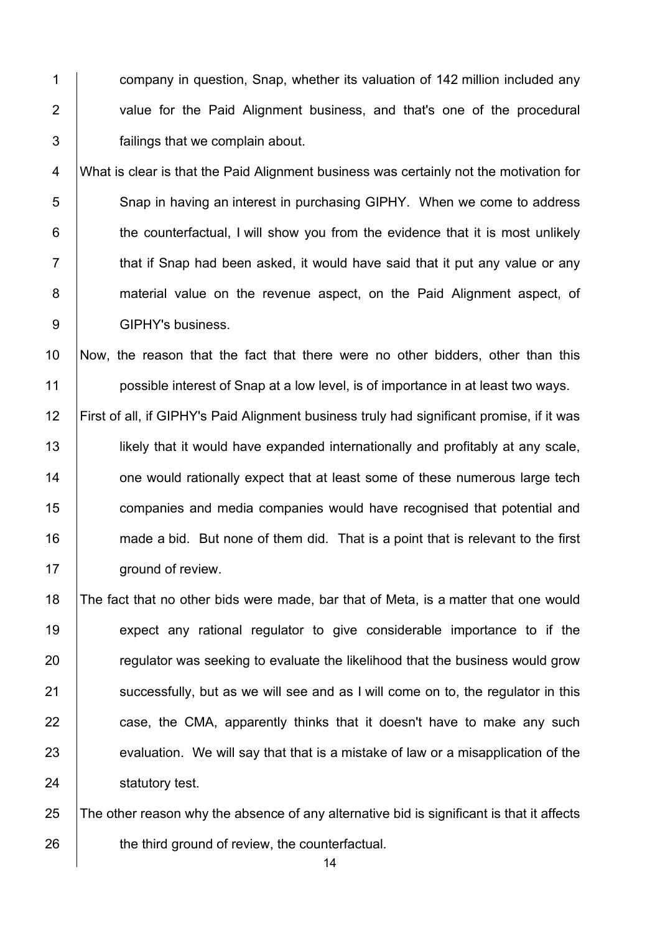1 **1 company in question. Snap, whether its valuation of 142 million included any** 2 | value for the Paid Alignment business, and that's one of the procedural 3 failings that we complain about.

4 What is clear is that the Paid Alignment business was certainly not the motivation for 5 Snap in having an interest in purchasing GIPHY. When we come to address  $6$   $\vert$  the counterfactual, I will show you from the evidence that it is most unlikely  $7$   $\parallel$  that if Snap had been asked, it would have said that it put any value or any 8 **material value on the revenue aspect, on the Paid Alignment aspect, of** 9 | GIPHY's business.

10 Now, the reason that the fact that there were no other bidders, other than this 11 **possible interest of Snap at a low level, is of importance in at least two ways.** 

 First of all, if GIPHY's Paid Alignment business truly had significant promise, if it was **likely that it would have expanded internationally and profitably at any scale, 14** one would rationally expect that at least some of these numerous large tech **companies and media companies would have recognised that potential and** 16 made a bid. But none of them did. That is a point that is relevant to the first **ground of review.** 

18 The fact that no other bids were made, bar that of Meta, is a matter that one would 19 expect any rational regulator to give considerable importance to if the 20 **Figure 20** regulator was seeking to evaluate the likelihood that the business would grow 21 Successfully, but as we will see and as I will come on to, the regulator in this 22 case, the CMA, apparently thinks that it doesn't have to make any such 23 evaluation. We will say that that is a mistake of law or a misapplication of the 24 **Statutory test.** 

25 The other reason why the absence of any alternative bid is significant is that it affects 26 **the third ground of review, the counterfactual.**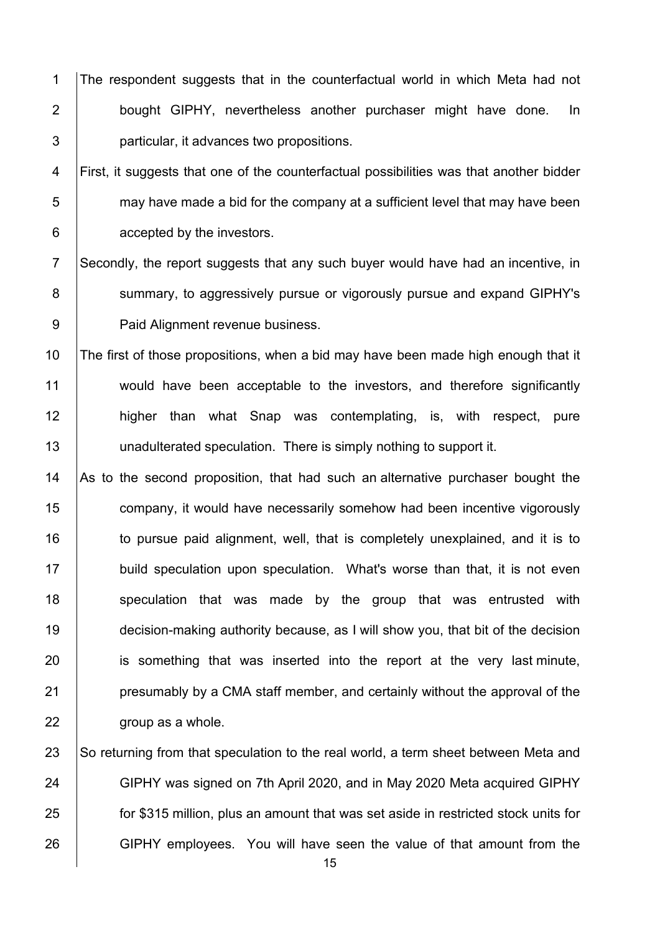1 The respondent suggests that in the counterfactual world in which Meta had not 2 | bought GIPHY, nevertheless another purchaser might have done. In 3 **particular, it advances two propositions.** 

4 First, it suggests that one of the counterfactual possibilities was that another bidder  $5$  may have made a bid for the company at a sufficient level that may have been 6 **c** accepted by the investors.

7 Secondly, the report suggests that any such buyer would have had an incentive, in 8 Summary, to aggressively pursue or vigorously pursue and expand GIPHY's 9 | Paid Alignment revenue business.

10 The first of those propositions, when a bid may have been made high enough that it 11 would have been acceptable to the investors, and therefore significantly 12 | higher than what Snap was contemplating, is, with respect, pure 13 | unadulterated speculation. There is simply nothing to support it.

14  $\vert$  As to the second proposition, that had such an alternative purchaser bought the 15 **company, it would have necessarily somehow had been incentive vigorously** 16 to pursue paid alignment, well, that is completely unexplained, and it is to 17 build speculation upon speculation. What's worse than that, it is not even 18 speculation that was made by the group that was entrusted with 19 decision-making authority because, as I will show you, that bit of the decision 20 is something that was inserted into the report at the very last minute, 21 **presumably by a CMA staff member, and certainly without the approval of the**  $22$   $\parallel$  aroup as a whole.

23 So returning from that speculation to the real world, a term sheet between Meta and 24 GIPHY was signed on 7th April 2020, and in May 2020 Meta acquired GIPHY 25 **for \$315 million, plus an amount that was set aside in restricted stock units for** 26 GIPHY employees. You will have seen the value of that amount from the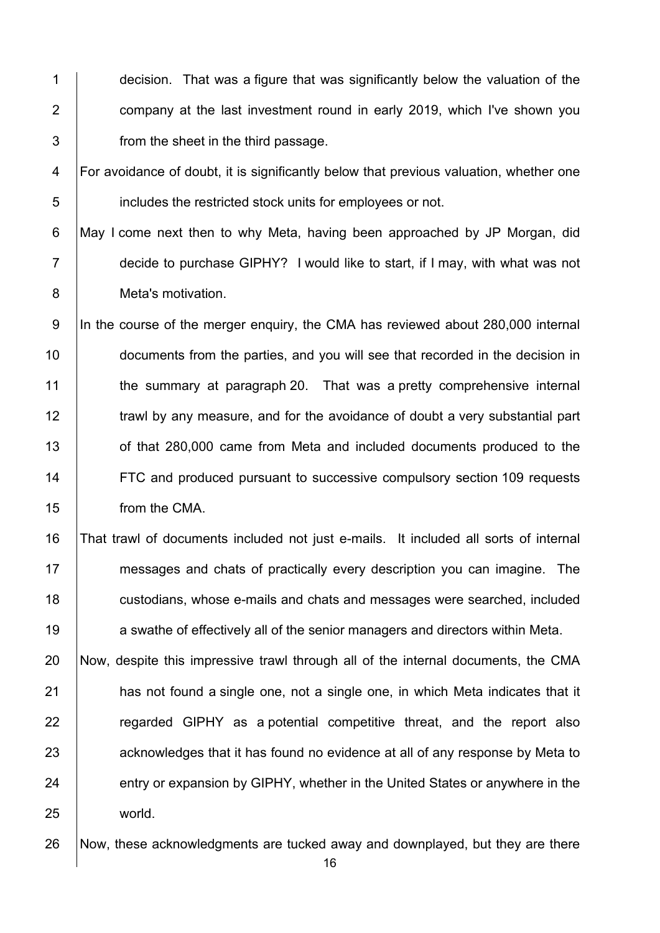1 decision. That was a figure that was significantly below the valuation of the 2 **2** company at the last investment round in early 2019, which I've shown you 3 **from the sheet in the third passage.** 

4 For avoidance of doubt, it is significantly below that previous valuation, whether one 5 **includes the restricted stock units for employees or not.** 

6 May I come next then to why Meta, having been approached by JP Morgan, did 7 decide to purchase GIPHY? I would like to start, if I may, with what was not 8 Meta's motivation.

9 In the course of the merger enquiry, the CMA has reviewed about 280,000 internal 10 **documents from the parties, and you will see that recorded in the decision in** 11 the summary at paragraph 20. That was a pretty comprehensive internal 12 **trawl by any measure, and for the avoidance of doubt a very substantial part** 13 of that 280,000 came from Meta and included documents produced to the 14 **FTC** and produced pursuant to successive compulsory section 109 requests 15 from the CMA.

 That trawl of documents included not just e-mails. It included all sorts of internal messages and chats of practically every description you can imagine. The **custodians, whose e-mails and chats and messages were searched, included a** swathe of effectively all of the senior managers and directors within Meta.

20 Now, despite this impressive trawl through all of the internal documents, the CMA 21 **has not found a single one, not a single one, in which Meta indicates that it** 22 | regarded GIPHY as a potential competitive threat, and the report also 23 acknowledges that it has found no evidence at all of any response by Meta to 24 entry or expansion by GIPHY, whether in the United States or anywhere in the 25 world.

26 Now, these acknowledgments are tucked away and downplayed, but they are there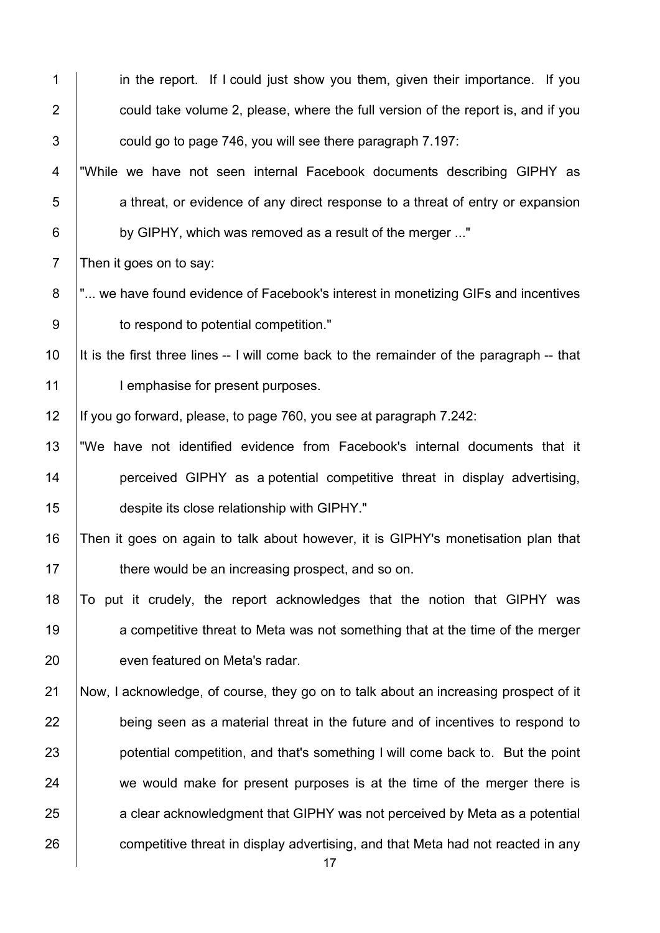| 1               | in the report. If I could just show you them, given their importance. If you              |
|-----------------|-------------------------------------------------------------------------------------------|
| $\overline{2}$  | could take volume 2, please, where the full version of the report is, and if you          |
| 3               | could go to page 746, you will see there paragraph 7.197:                                 |
| 4               | "While we have not seen internal Facebook documents describing GIPHY as                   |
| 5               | a threat, or evidence of any direct response to a threat of entry or expansion            |
| $6\phantom{1}6$ | by GIPHY, which was removed as a result of the merger "                                   |
| $\overline{7}$  | Then it goes on to say:                                                                   |
| 8               | " we have found evidence of Facebook's interest in monetizing GIFs and incentives         |
| $9\,$           | to respond to potential competition."                                                     |
| 10              | It is the first three lines -- I will come back to the remainder of the paragraph -- that |
| 11              | I emphasise for present purposes.                                                         |
| 12              | If you go forward, please, to page 760, you see at paragraph 7.242:                       |
| 13              | "We have not identified evidence from Facebook's internal documents that it               |
| 14              | perceived GIPHY as a potential competitive threat in display advertising,                 |
| 15              | despite its close relationship with GIPHY."                                               |
| 16              | Then it goes on again to talk about however, it is GIPHY's monetisation plan that         |
| 17              | there would be an increasing prospect, and so on.                                         |
| 18              | To put it crudely, the report acknowledges that the notion that GIPHY was                 |
| 19              | a competitive threat to Meta was not something that at the time of the merger             |
| 20              | even featured on Meta's radar.                                                            |
| 21              | Now, I acknowledge, of course, they go on to talk about an increasing prospect of it      |
| 22              | being seen as a material threat in the future and of incentives to respond to             |
| 23              | potential competition, and that's something I will come back to. But the point            |
| 24              | we would make for present purposes is at the time of the merger there is                  |
| 25              | a clear acknowledgment that GIPHY was not perceived by Meta as a potential                |
| 26              | competitive threat in display advertising, and that Meta had not reacted in any<br>17     |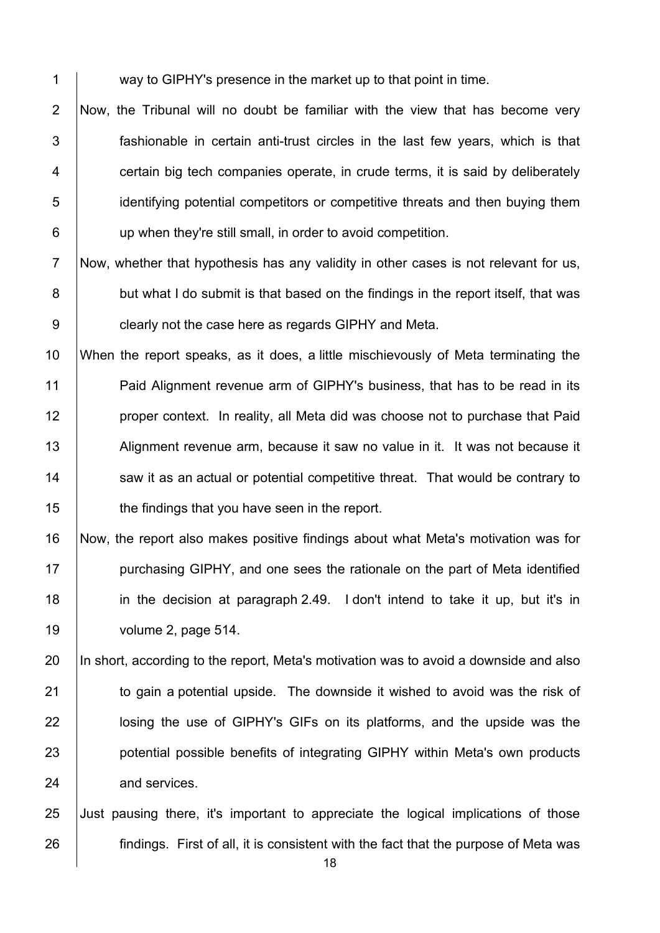1 way to GIPHY's presence in the market up to that point in time.

2 Now, the Tribunal will no doubt be familiar with the view that has become very  $\vert$  fashionable in certain anti-trust circles in the last few vears, which is that  $\vert$  certain big tech companies operate, in crude terms, it is said by deliberately 5 identifying potential competitors or competitive threats and then buying them **up when they're still small, in order to avoid competition.** 

7 Now, whether that hypothesis has any validity in other cases is not relevant for us, 8 but what I do submit is that based on the findings in the report itself, that was **clearly not the case here as regards GIPHY and Meta.** 

 When the report speaks, as it does, a little mischievously of Meta terminating the 11 | Paid Alignment revenue arm of GIPHY's business, that has to be read in its **proper context.** In reality, all Meta did was choose not to purchase that Paid 13 Alignment revenue arm, because it saw no value in it. It was not because it 14 Saw it as an actual or potential competitive threat. That would be contrary to **the findings that you have seen in the report.** 

 Now, the report also makes positive findings about what Meta's motivation was for **purchasing GIPHY, and one sees the rationale on the part of Meta identified**  in the decision at paragraph 2.49. I don't intend to take it up, but it's in 19 volume 2, page 514.

 In short, according to the report, Meta's motivation was to avoid a downside and also to gain a potential upside. The downside it wished to avoid was the risk of **lace is a losing the use of GIPHY's GIFs on its platforms, and the upside was the potential possible benefits of integrating GIPHY within Meta's own products** 24 and services.

 Just pausing there, it's important to appreciate the logical implications of those **findings.** First of all, it is consistent with the fact that the purpose of Meta was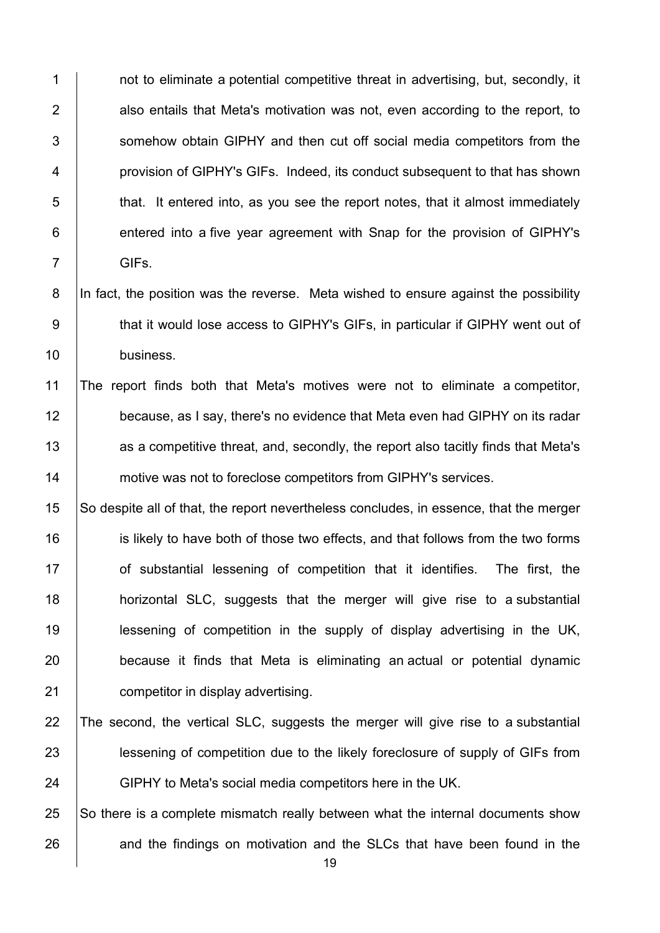1 not to eliminate a potential competitive threat in advertising, but, secondly, it | also entails that Meta's motivation was not, even according to the report, to 3 Somehow obtain GIPHY and then cut off social media competitors from the **provision of GIPHY's GIFs. Indeed, its conduct subsequent to that has shown**  that. It entered into, as you see the report notes, that it almost immediately **entered into a five year agreement with Snap for the provision of GIPHY's** 7 GIFs.

8 In fact, the position was the reverse. Meta wished to ensure against the possibility 9 that it would lose access to GIPHY's GIFs, in particular if GIPHY went out of 10 business.

 The report finds both that Meta's motives were not to eliminate a competitor, 12 because, as I say, there's no evidence that Meta even had GIPHY on its radar **Arror** as a competitive threat, and, secondly, the report also tacitly finds that Meta's **motive was not to foreclose competitors from GIPHY's services.** 

 So despite all of that, the report nevertheless concludes, in essence, that the merger 16 is likely to have both of those two effects, and that follows from the two forms **of substantial lessening of competition that it identifies.** The first, the **horizontal SLC, suggests that the merger will give rise to a substantial**  lessening of competition in the supply of display advertising in the UK, **because** it finds that Meta is eliminating an actual or potential dynamic **competitor in display advertising.** 

 The second, the vertical SLC, suggests the merger will give rise to a substantial **lessening of competition due to the likely foreclosure of supply of GIFs from** 24 GIPHY to Meta's social media competitors here in the UK.

 So there is a complete mismatch really between what the internal documents show 26 and the findings on motivation and the SLCs that have been found in the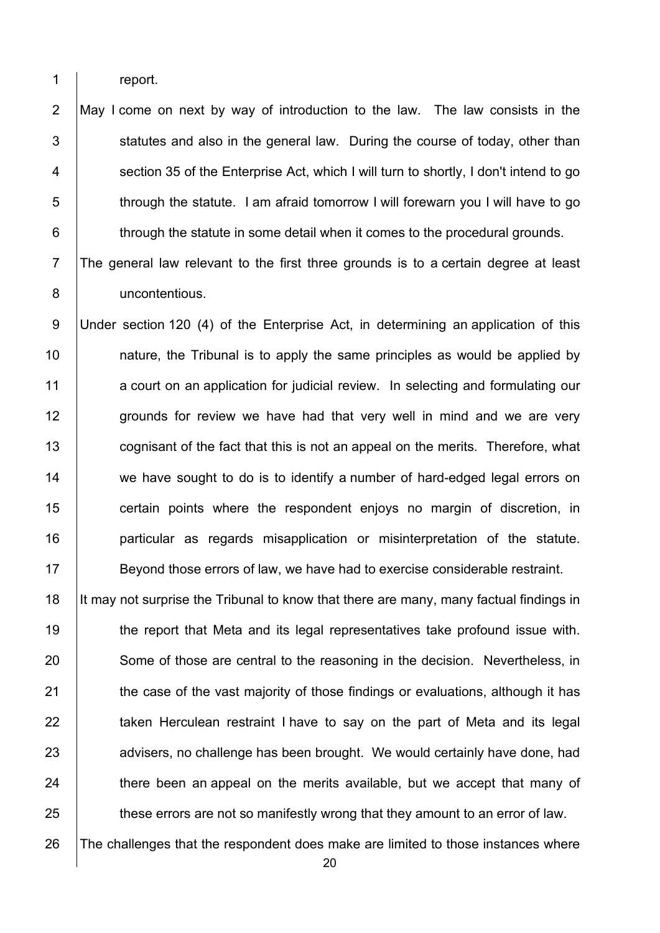1 report.

2 May I come on next by way of introduction to the law. The law consists in the  $3$  statutes and also in the general law. During the course of today, other than 4 Section 35 of the Enterprise Act, which I will turn to shortly, I don't intend to go 5 through the statute. I am afraid tomorrow I will forewarn you I will have to go 6 **through the statute in some detail when it comes to the procedural grounds.** 

7 The general law relevant to the first three grounds is to a certain degree at least 8 uncontentious.

9 Under section 120 (4) of the Enterprise Act, in determining an application of this 10 **10** nature, the Tribunal is to apply the same principles as would be applied by 11 a court on an application for judicial review. In selecting and formulating our 12 **grounds for review we have had that very well in mind and we are very** 13 **cognisant of the fact that this is not an appeal on the merits. Therefore, what** 14 we have sought to do is to identify a number of hard-edged legal errors on 15 **certain points where the respondent enjoys no margin of discretion, in** 16 | particular as regards misapplication or misinterpretation of the statute. 17 Seyond those errors of law, we have had to exercise considerable restraint.

18 It may not surprise the Tribunal to know that there are many, many factual findings in 19 **the report that Meta and its legal representatives take profound issue with.** 20 Some of those are central to the reasoning in the decision. Nevertheless, in 21 the case of the vast majority of those findings or evaluations, although it has 22 **taken Herculean restraint I have to say on the part of Meta and its legal** 23 advisers, no challenge has been brought. We would certainly have done, had  $24$   $\parallel$  there been an appeal on the merits available, but we accept that many of 25 these errors are not so manifestly wrong that they amount to an error of law.

26 The challenges that the respondent does make are limited to those instances where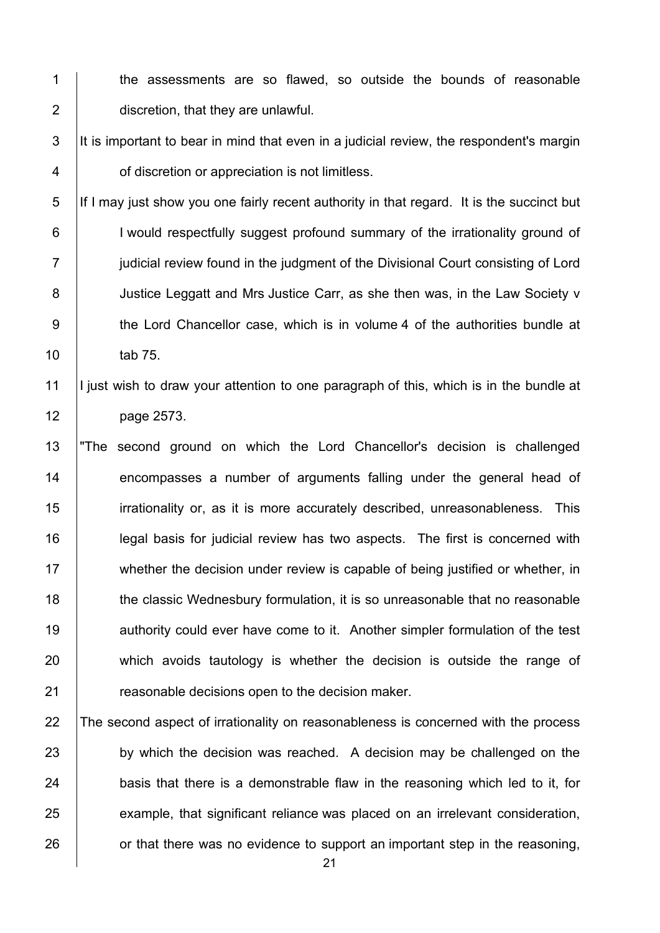- 1 | the assessments are so flawed, so outside the bounds of reasonable 2 **discretion, that they are unlawful.**
- $3$  It is important to bear in mind that even in a judicial review, the respondent's margin 4 **dividing 1** of discretion or appreciation is not limitless.
- 5 If I may just show you one fairly recent authority in that regard. It is the succinct but 6 | I would respectfully suggest profound summary of the irrationality ground of 7 **julicial review found in the judgment of the Divisional Court consisting of Lord** 8 **Justice Leggatt and Mrs Justice Carr, as she then was, in the Law Society v** 9 the Lord Chancellor case, which is in volume 4 of the authorities bundle at 10 | tab 75.

## 11 I just wish to draw your attention to one paragraph of this, which is in the bundle at 12 page 2573.

13 "The second ground on which the Lord Chancellor's decision is challenged 14 encompasses a number of arguments falling under the general head of 15 irrationality or, as it is more accurately described, unreasonableness. This 16 **legal basis for judicial review has two aspects.** The first is concerned with 17 whether the decision under review is capable of being justified or whether, in 18 the classic Wednesbury formulation, it is so unreasonable that no reasonable 19 **authority could ever have come to it. Another simpler formulation of the test** 20 which avoids tautology is whether the decision is outside the range of 21 **Figure 21** reasonable decisions open to the decision maker.

## 22 The second aspect of irrationality on reasonableness is concerned with the process 23 by which the decision was reached. A decision may be challenged on the  $24$  basis that there is a demonstrable flaw in the reasoning which led to it, for 25 example, that significant reliance was placed on an irrelevant consideration,  $26$  or that there was no evidence to support an important step in the reasoning,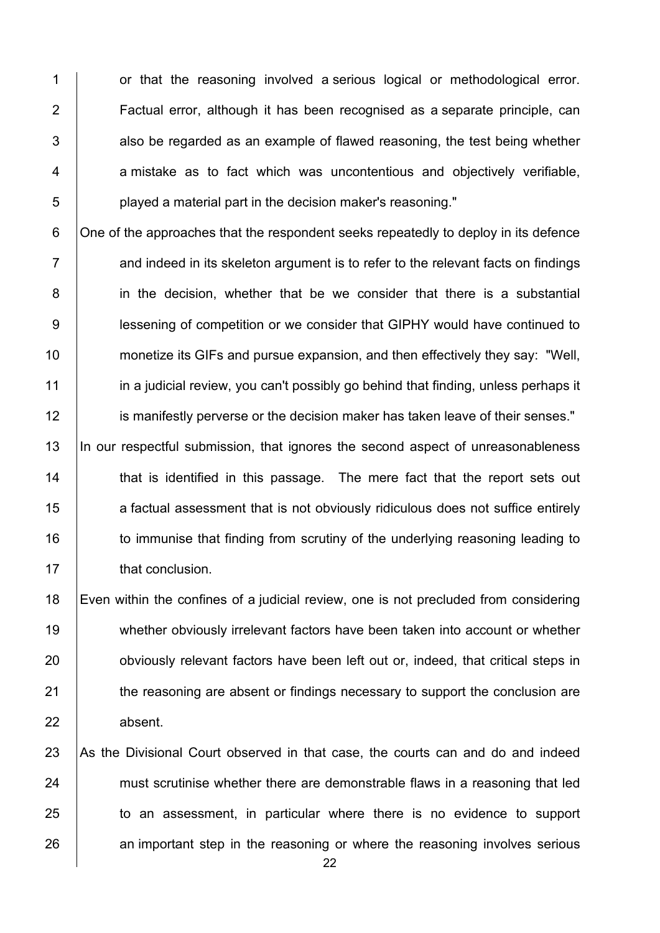1 or that the reasoning involved a serious logical or methodological error. 2 | Factual error, although it has been recognised as a separate principle, can  $3$   $\vert$  also be regarded as an example of flawed reasoning, the test being whether 4 a mistake as to fact which was uncontentious and objectively verifiable, 5 **b** played a material part in the decision maker's reasoning."

6 One of the approaches that the respondent seeks repeatedly to deploy in its defence  $7 \mid$  and indeed in its skeleton argument is to refer to the relevant facts on findings 8 in the decision, whether that be we consider that there is a substantial 9 lessening of competition or we consider that GIPHY would have continued to 10 **monetize its GIFs and pursue expansion, and then effectively they say: "Well,** 11 **in a judicial review, you can't possibly go behind that finding, unless perhaps it** 12 **is manifestly perverse or the decision maker has taken leave of their senses."** 

13 In our respectful submission, that ignores the second aspect of unreasonableness 14 That is identified in this passage. The mere fact that the report sets out 15 **a** factual assessment that is not obviously ridiculous does not suffice entirely 16 | to immunise that finding from scrutiny of the underlying reasoning leading to 17 **that conclusion.** 

18 Even within the confines of a judicial review, one is not precluded from considering 19 whether obviously irrelevant factors have been taken into account or whether 20 **b** obviously relevant factors have been left out or, indeed, that critical steps in 21 the reasoning are absent or findings necessary to support the conclusion are 22 absent.

23 As the Divisional Court observed in that case, the courts can and do and indeed 24 must scrutinise whether there are demonstrable flaws in a reasoning that led 25 to an assessment, in particular where there is no evidence to support 26 an important step in the reasoning or where the reasoning involves serious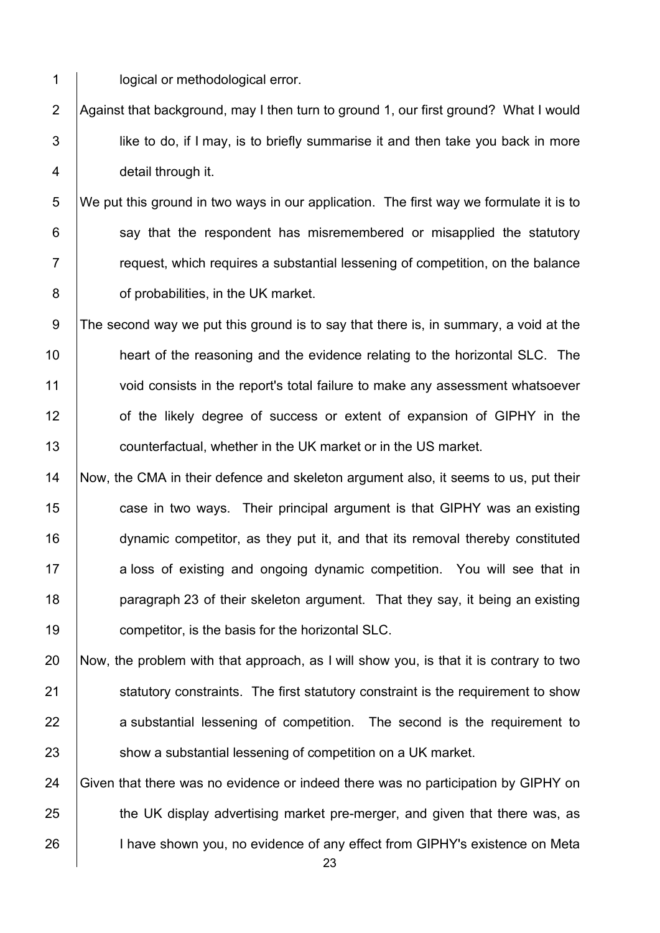1 | **logical or methodological error.** 

2 Against that background, may I then turn to ground 1, our first ground? What I would 3 **lick** like to do, if I may, is to briefly summarise it and then take you back in more 4 detail through it.

5 We put this ground in two ways in our application. The first way we formulate it is to say that the respondent has misremembered or misapplied the statutory  $\parallel$  request, which requires a substantial lessening of competition, on the balance **b** of probabilities, in the UK market.

9 The second way we put this ground is to say that there is, in summary, a void at the 10 **heart of the reasoning and the evidence relating to the horizontal SLC.** The 11 void consists in the report's total failure to make any assessment whatsoever 12 **of the likely degree of success or extent of expansion of GIPHY in the** 13 **counterfactual, whether in the UK market or in the US market.** 

14 Now, the CMA in their defence and skeleton argument also, it seems to us, put their **case in two ways.** Their principal argument is that GIPHY was an existing dynamic competitor, as they put it, and that its removal thereby constituted 17 a loss of existing and ongoing dynamic competition. You will see that in **paragraph 23 of their skeleton argument.** That they say, it being an existing **competitor**, is the basis for the horizontal SLC.

20 Now, the problem with that approach, as I will show you, is that it is contrary to two 21 Statutory constraints. The first statutory constraint is the requirement to show 22 a substantial lessening of competition. The second is the requirement to 23 Show a substantial lessening of competition on a UK market.

24 Given that there was no evidence or indeed there was no participation by GIPHY on 25 the UK display advertising market pre-merger, and given that there was, as 26 I have shown you, no evidence of any effect from GIPHY's existence on Meta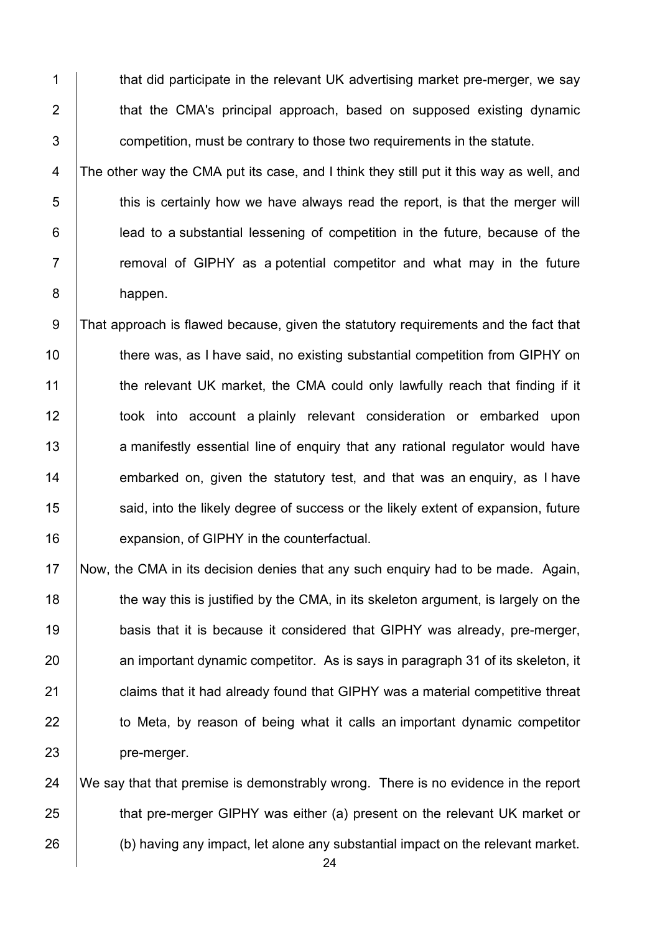1 that did participate in the relevant UK advertising market pre-merger, we say 2 **that the CMA's principal approach, based on supposed existing dynamic** 3 **Fig. 2** competition, must be contrary to those two requirements in the statute.

4 The other way the CMA put its case, and I think they still put it this way as well, and  $5$   $\vert$  this is certainly how we have always read the report, is that the merger will 6 lead to a substantial lessening of competition in the future, because of the 7 T Temoval of GIPHY as a potential competitor and what may in the future 8 happen.

9 That approach is flawed because, given the statutory requirements and the fact that 10 there was, as I have said, no existing substantial competition from GIPHY on 11 the relevant UK market, the CMA could only lawfully reach that finding if it 12 took into account a plainly relevant consideration or embarked upon 13 a manifestly essential line of enquiry that any rational regulator would have 14  $\parallel$  embarked on, given the statutory test, and that was an enquiry, as I have 15 **Solut** said, into the likely degree of success or the likely extent of expansion, future 16 **expansion, of GIPHY in the counterfactual.** 

17 Now, the CMA in its decision denies that any such enquiry had to be made. Again, 18 the way this is justified by the CMA, in its skeleton argument, is largely on the 19 **basis that it is because it considered that GIPHY was already, pre-merger,** 20 an important dynamic competitor. As is says in paragraph 31 of its skeleton, it 21 **claims that it had already found that GIPHY was a material competitive threat** 22 to Meta, by reason of being what it calls an important dynamic competitor 23 **pre-merger.** 

24  $\parallel$  We say that that premise is demonstrably wrong. There is no evidence in the report 25 that pre-merger GIPHY was either (a) present on the relevant UK market or 26 (b) having any impact, let alone any substantial impact on the relevant market.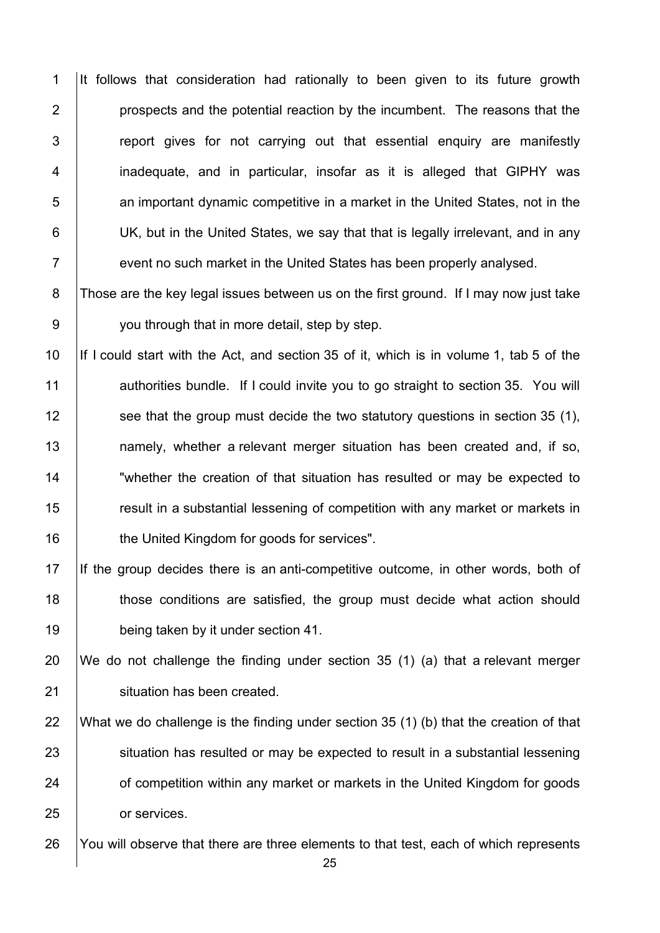1 It follows that consideration had rationally to been given to its future growth **prospects and the potential reaction by the incumbent.** The reasons that the  $\vert$  report gives for not carrying out that essential enguiry are manifestly 4 | inadequate, and in particular, insofar as it is alleged that GIPHY was **b** an important dynamic competitive in a market in the United States, not in the **UK, but in the United States, we say that that is legally irrelevant, and in any Fig. 2** event no such market in the United States has been properly analysed.

8 Those are the key legal issues between us on the first ground. If I may now just take 9 **you through that in more detail, step by step.** 

10 If I could start with the Act, and section 35 of it, which is in volume 1, tab 5 of the 11 authorities bundle. If I could invite you to go straight to section 35. You will 12 **See that the group must decide the two statutory questions in section 35 (1),** 13 | namely, whether a relevant merger situation has been created and, if so, 14 **The Step East Tendom** of that situation has resulted or may be expected to 15 The section in a substantial lessening of competition with any market or markets in 16 **the United Kingdom for goods for services".** 

17 If the group decides there is an anti-competitive outcome, in other words, both of 18 those conditions are satisfied, the group must decide what action should 19 **being taken by it under section 41.** 

20 We do not challenge the finding under section 35 (1) (a) that a relevant merger 21 | situation has been created.

22 What we do challenge is the finding under section 35 (1) (b) that the creation of that 23 Situation has resulted or may be expected to result in a substantial lessening 24 **of competition within any market or markets in the United Kingdom for goods** 25 **or services**.

26 You will observe that there are three elements to that test, each of which represents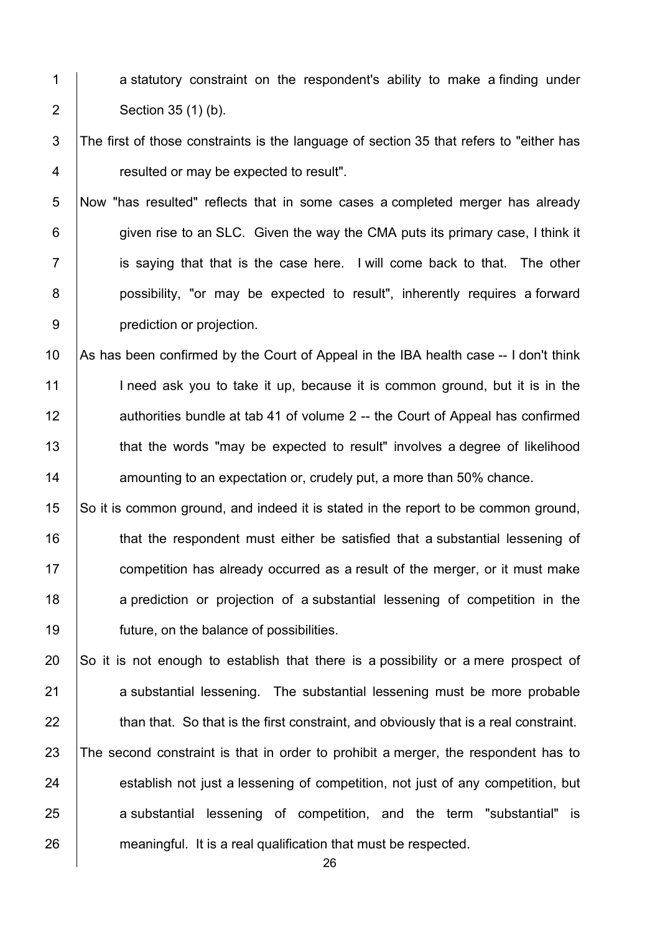- 1 a statutory constraint on the respondent's ability to make a finding under 2 Section 35 (1) (b).
- 3 The first of those constraints is the language of section 35 that refers to "either has 4 **Fig. 3** resulted or may be expected to result".
- 5 Now "has resulted" reflects that in some cases a completed merger has already 6 given rise to an SLC. Given the way the CMA puts its primary case, I think it  $7$  is saying that that is the case here. I will come back to that. The other 8 | possibility, "or may be expected to result", inherently requires a forward 9 **prediction or projection.**

10 As has been confirmed by the Court of Appeal in the IBA health case -- I don't think 11 I need ask you to take it up, because it is common ground, but it is in the 12 authorities bundle at tab 41 of volume 2 -- the Court of Appeal has confirmed 13 that the words "may be expected to result" involves a degree of likelihood 14 **14** amounting to an expectation or, crudely put, a more than 50% chance.

15 So it is common ground, and indeed it is stated in the report to be common ground, 16 **that the respondent must either be satisfied that a substantial lessening of** 17 **competition has already occurred as a result of the merger, or it must make** 18 a prediction or projection of a substantial lessening of competition in the 19 **future, on the balance of possibilities.** 

20  $\vert$  So it is not enough to establish that there is a possibility or a mere prospect of 21 a substantial lessening. The substantial lessening must be more probable 22 **than that.** So that is the first constraint, and obviously that is a real constraint. 23 The second constraint is that in order to prohibit a merger, the respondent has to 24 establish not just a lessening of competition, not just of any competition, but 25 a substantial lessening of competition, and the term "substantial" is 26 meaningful. It is a real qualification that must be respected.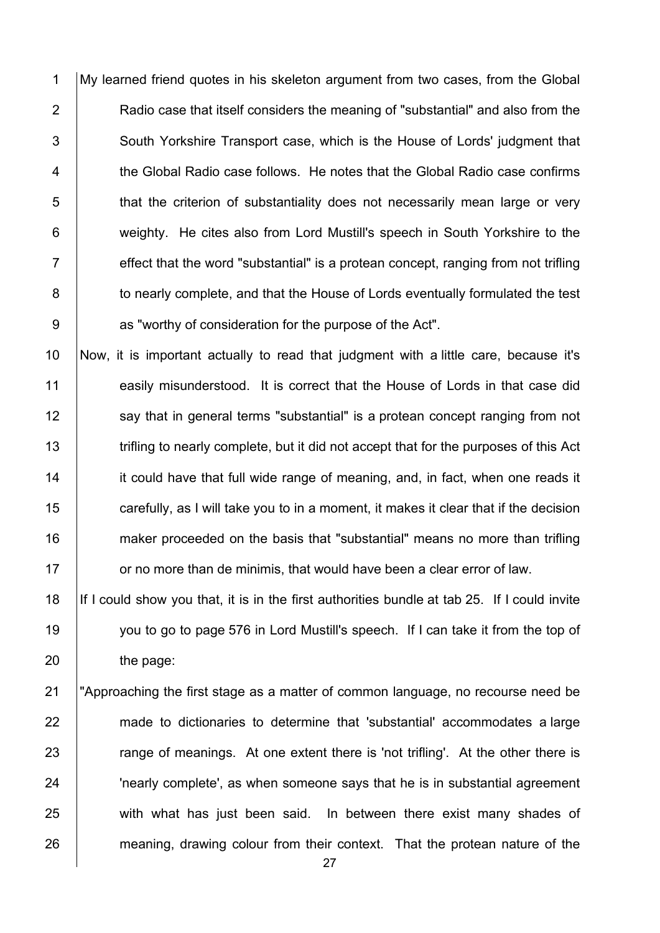1 My learned friend quotes in his skeleton argument from two cases, from the Global 2 **Audio Case that itself considers the meaning of "substantial" and also from the** 3 South Yorkshire Transport case, which is the House of Lords' judgment that 4 the Global Radio case follows. He notes that the Global Radio case confirms 5 that the criterion of substantiality does not necessarily mean large or very 6 **weighty.** He cites also from Lord Mustill's speech in South Yorkshire to the  $7 \mid$  effect that the word "substantial" is a protean concept, ranging from not trifling 8 **to nearly complete, and that the House of Lords eventually formulated the test** 9 **b** as "worthy of consideration for the purpose of the Act".

10 Now, it is important actually to read that judgment with a little care, because it's 11 easily misunderstood. It is correct that the House of Lords in that case did 12 | say that in general terms "substantial" is a protean concept ranging from not 13 Trifling to nearly complete, but it did not accept that for the purposes of this Act 14 it could have that full wide range of meaning, and, in fact, when one reads it 15 **carefully, as I will take you to in a moment, it makes it clear that if the decision** 16 **maker proceeded on the basis that "substantial" means no more than trifling**  $17$  or no more than de minimis, that would have been a clear error of law.

18 If I could show you that, it is in the first authorities bundle at tab 25. If I could invite 19 you to go to page 576 in Lord Mustill's speech. If I can take it from the top of 20 **the page:** 

21 "Approaching the first stage as a matter of common language, no recourse need be 22 made to dictionaries to determine that 'substantial' accommodates a large 23 Trange of meanings. At one extent there is 'not trifling'. At the other there is 24 **|** Thearly complete', as when someone says that he is in substantial agreement 25 with what has just been said. In between there exist many shades of 26 meaning, drawing colour from their context. That the protean nature of the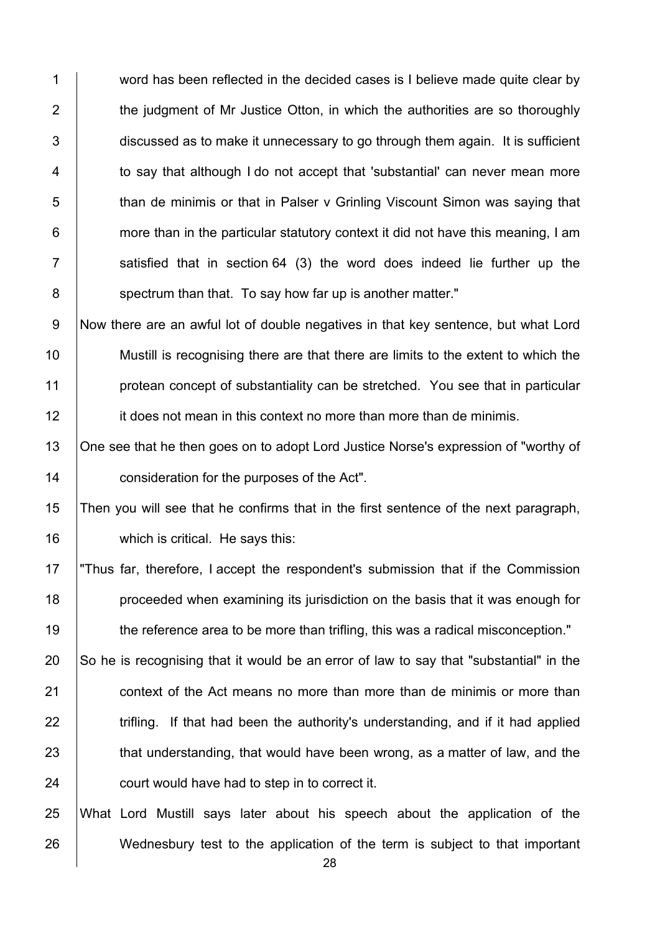1 word has been reflected in the decided cases is I believe made quite clear by  $2$   $\vert$  the judgment of Mr Justice Otton, in which the authorities are so thoroughly  $3$  discussed as to make it unnecessary to go through them again. It is sufficient 4 to say that although I do not accept that 'substantial' can never mean more 5 than de minimis or that in Palser v Grinling Viscount Simon was saying that  $6 \mid$  more than in the particular statutory context it did not have this meaning, I am  $7$  | satisfied that in section 64 (3) the word does indeed lie further up the 8 spectrum than that. To say how far up is another matter."

9 Now there are an awful lot of double negatives in that key sentence, but what Lord Mustill is recognising there are that there are limits to the extent to which the **protean concept of substantiality can be stretched.** You see that in particular **i**t does not mean in this context no more than more than de minimis.

13 | One see that he then goes on to adopt Lord Justice Norse's expression of "worthy of 14 **consideration for the purposes of the Act".** 

15 Then you will see that he confirms that in the first sentence of the next paragraph, 16 which is critical. He says this:

17 "Thus far, therefore, I accept the respondent's submission that if the Commission 18 **proceeded when examining its jurisdiction on the basis that it was enough for** 19 the reference area to be more than trifling, this was a radical misconception."

 $\vert$  So he is recognising that it would be an error of law to say that "substantial" in the **context of the Act means no more than more than de minimis or more than**   $\parallel$  trifling. If that had been the authority's understanding, and if it had applied 23 that understanding, that would have been wrong, as a matter of law, and the **court would have had to step in to correct it.** 

25 What Lord Mustill says later about his speech about the application of the 26 Wednesbury test to the application of the term is subject to that important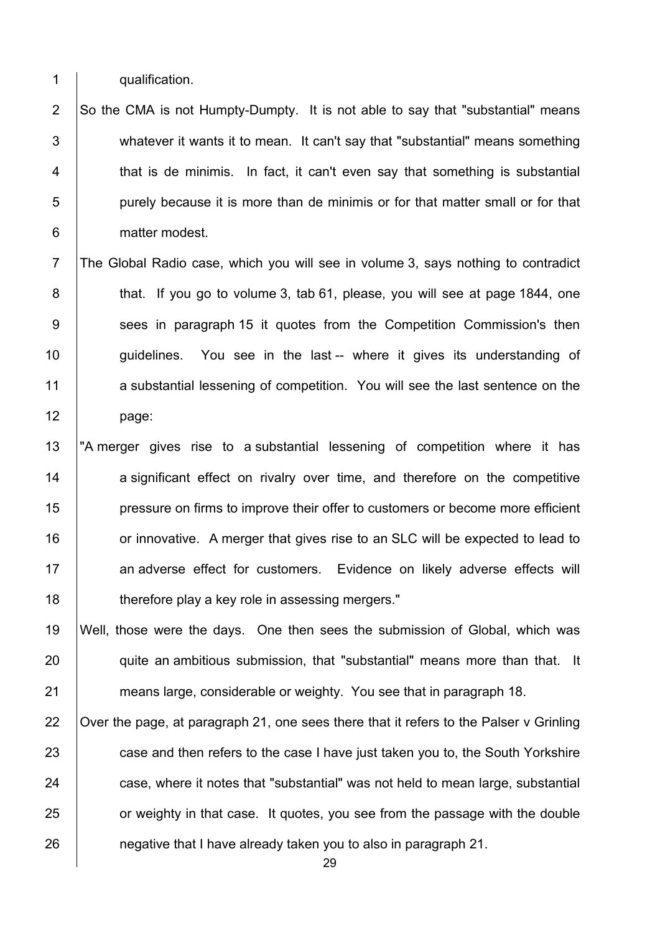1 qualification.

2  $\vert$  So the CMA is not Humpty-Dumpty. It is not able to say that "substantial" means 3 whatever it wants it to mean. It can't say that "substantial" means something 4 that is de minimis. In fact, it can't even say that something is substantial 5 **purely because it is more than de minimis or for that matter small or for that** 6 matter modest.

7 The Global Radio case, which you will see in volume 3, says nothing to contradict 8 **that.** If you go to volume 3, tab 61, please, you will see at page 1844, one 9 Sees in paragraph 15 it quotes from the Competition Commission's then 10 | guidelines. You see in the last -- where it gives its understanding of 11 a substantial lessening of competition. You will see the last sentence on the 12 page:

13 The merger gives rise to a substantial lessening of competition where it has 14 a significant effect on rivalry over time, and therefore on the competitive 15 **pressure on firms to improve their offer to customers or become more efficient** 16 **16** or innovative. A merger that gives rise to an SLC will be expected to lead to 17 an adverse effect for customers. Evidence on likely adverse effects will 18 **therefore play a key role in assessing mergers.**"

19 Well, those were the days. One then sees the submission of Global, which was 20 **quite an ambitious submission, that "substantial" means more than that.** It 21 **means large, considerable or weighty.** You see that in paragraph 18.

22  $\vert$  Over the page, at paragraph 21, one sees there that it refers to the Palser v Grinling 23 case and then refers to the case I have just taken you to, the South Yorkshire 24 case, where it notes that "substantial" was not held to mean large, substantial 25 **Fig. 25** or weighty in that case. It quotes, you see from the passage with the double 26 **hereoral interial intervalsished** already taken you to also in paragraph 21.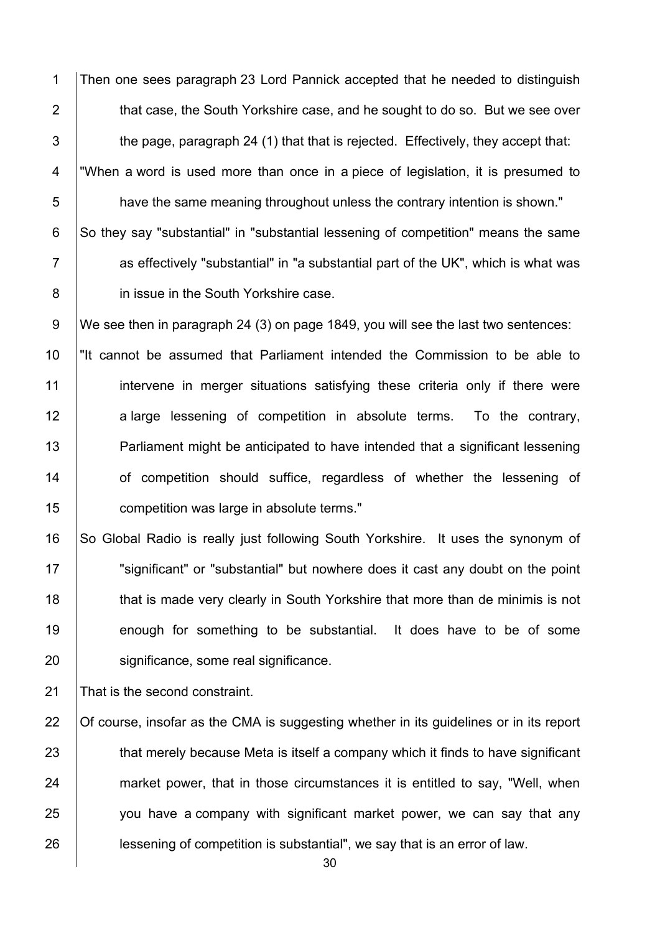1 Then one sees paragraph 23 Lord Pannick accepted that he needed to distinguish **that case, the South Yorkshire case, and he sought to do so. But we see over**   $\parallel$  the page, paragraph 24 (1) that that is rejected. Effectively, they accept that: 4 "When a word is used more than once in a piece of legislation, it is presumed to **have the same meaning throughout unless the contrary intention is shown."** 6 So they say "substantial" in "substantial lessening of competition" means the same **Fig. 2** as effectively "substantial" in "a substantial part of the UK", which is what was **in issue in the South Yorkshire case.** 

9 We see then in paragraph 24 (3) on page 1849, you will see the last two sentences:

 "It cannot be assumed that Parliament intended the Commission to be able to 11 intervene in merger situations satisfying these criteria only if there were 12 a large lessening of competition in absolute terms. To the contrary, **Parliament might be anticipated to have intended that a significant lessening of competition should suffice, regardless of whether the lessening of competition was large in absolute terms."** 

16 So Global Radio is really just following South Yorkshire. It uses the synonym of 17 | "significant" or "substantial" but nowhere does it cast any doubt on the point 18 **that is made very clearly in South Yorkshire that more than de minimis is not** 19 enough for something to be substantial. It does have to be of some 20 | significance, some real significance.

21 That is the second constraint.

22 Of course, insofar as the CMA is suggesting whether in its guidelines or in its report 23 that merely because Meta is itself a company which it finds to have significant 24 market power, that in those circumstances it is entitled to say, "Well, when  $25$   $\vert$  you have a company with significant market power, we can say that any 26 **lessening of competition is substantial**", we say that is an error of law.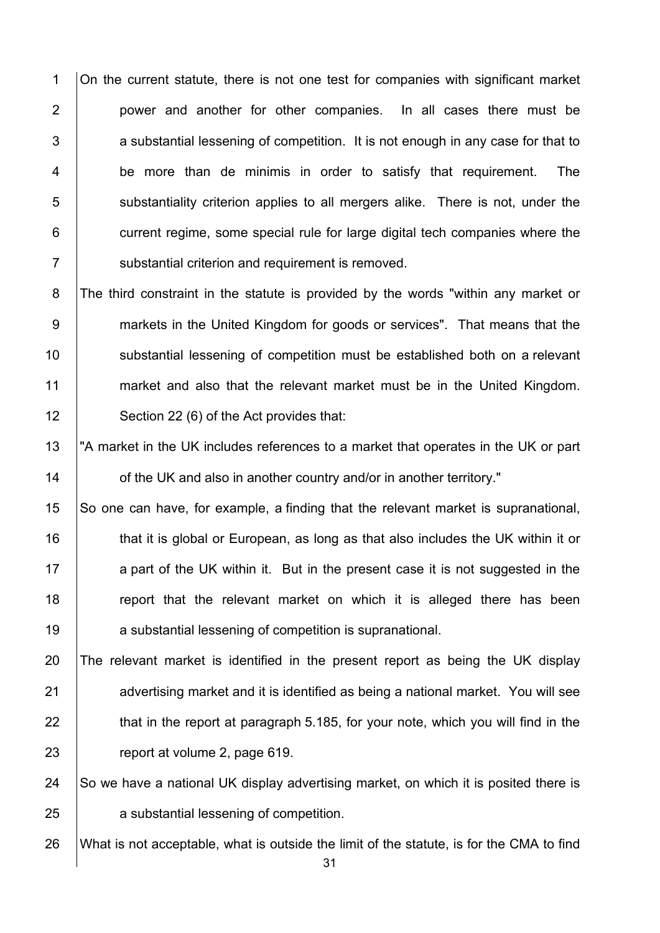1 On the current statute, there is not one test for companies with significant market 2 **power and another for other companies.** In all cases there must be  $3$   $\vert$  a substantial lessening of competition. It is not enough in any case for that to 4 be more than de minimis in order to satisfy that requirement. The 5 substantiality criterion applies to all mergers alike. There is not, under the 6 **current regime, some special rule for large digital tech companies where the** 7 Substantial criterion and requirement is removed.

8 The third constraint in the statute is provided by the words "within any market or 9 markets in the United Kingdom for goods or services". That means that the 10 Substantial lessening of competition must be established both on a relevant 11 market and also that the relevant market must be in the United Kingdom. 12 | Section 22 (6) of the Act provides that:

13 The market in the UK includes references to a market that operates in the UK or part 14 **14** of the UK and also in another country and/or in another territory."

15 So one can have, for example, a finding that the relevant market is supranational, 16 that it is global or European, as long as that also includes the UK within it or 17 a part of the UK within it. But in the present case it is not suggested in the 18 The report that the relevant market on which it is alleged there has been 19 **a** substantial lessening of competition is supranational.

 The relevant market is identified in the present report as being the UK display 21 advertising market and it is identified as being a national market. You will see  $\parallel$  that in the report at paragraph 5.185, for your note, which you will find in the **contact** volume 2, page 619.

24  $\vert$  So we have a national UK display advertising market, on which it is posited there is 25 **a** substantial lessening of competition.

26 What is not acceptable, what is outside the limit of the statute, is for the CMA to find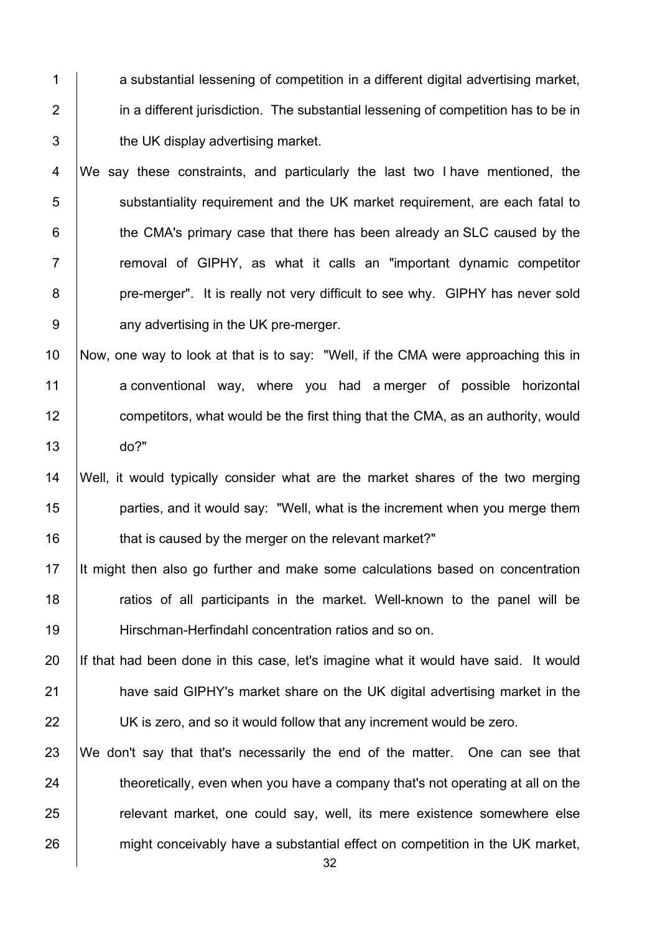a substantial lessening of competition in a different digital advertising market, **i** in a different jurisdiction. The substantial lessening of competition has to be in **the UK display advertising market.** 

4 We say these constraints, and particularly the last two I have mentioned, the 5 Substantiality requirement and the UK market requirement, are each fatal to **the CMA's primary case that there has been already an SLC caused by the** 7 T removal of GIPHY, as what it calls an "important dynamic competitor **pre-merger".** It is really not very difficult to see why. GIPHY has never sold **any advertising in the UK pre-merger.** 

 Now, one way to look at that is to say: "Well, if the CMA were approaching this in a conventional way, where you had a merger of possible horizontal **competitors, what would be the first thing that the CMA, as an authority, would** do?"

 Well, it would typically consider what are the market shares of the two merging **parties, and it would say: "Well, what is the increment when you merge them that is caused by the merger on the relevant market?"** 

 It might then also go further and make some calculations based on concentration 18 The ratios of all participants in the market. Well-known to the panel will be Hirschman-Herfindahl concentration ratios and so on.

20 If that had been done in this case, let's imagine what it would have said. It would **have said GIPHY's market share on the UK digital advertising market in the UK** is zero, and so it would follow that any increment would be zero.

 We don't say that that's necessarily the end of the matter. One can see that 24 theoretically, even when you have a company that's not operating at all on the **Fig. 25 relevant market, one could say, well, its mere existence somewhere else** 26 might conceivably have a substantial effect on competition in the UK market,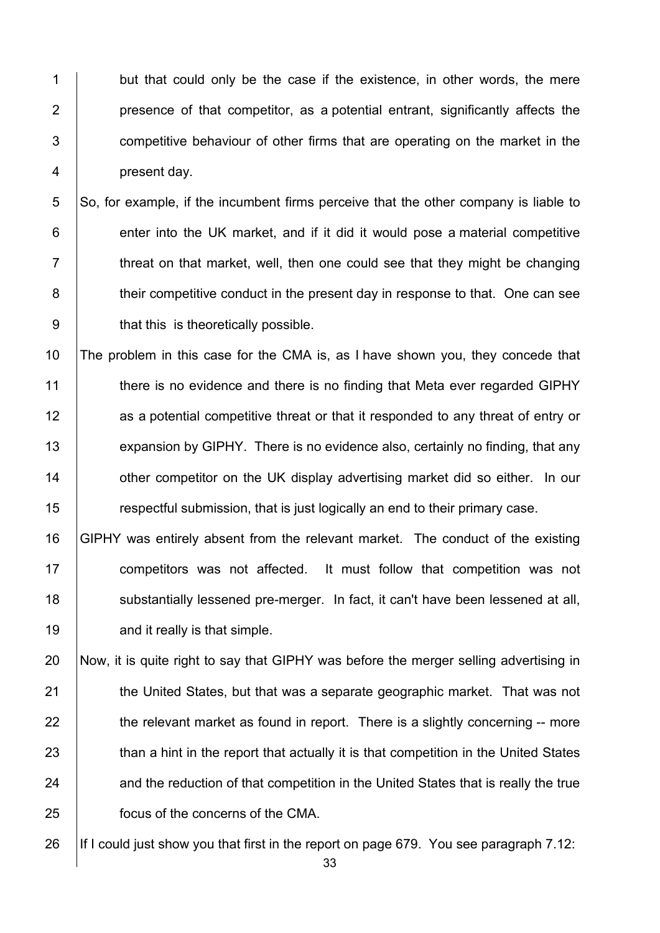1 but that could only be the case if the existence, in other words, the mere **presence of that competitor, as a potential entrant, significantly affects the 1** competitive behaviour of other firms that are operating on the market in the 4 present day.

 So, for example, if the incumbent firms perceive that the other company is liable to enter into the UK market, and if it did it would pose a material competitive  $\vert$  threat on that market, well, then one could see that they might be changing **their competitive conduct in the present day in response to that.** One can see 9 | that this is theoretically possible.

 The problem in this case for the CMA is, as I have shown you, they concede that 11 there is no evidence and there is no finding that Meta ever regarded GIPHY **12** as a potential competitive threat or that it responded to any threat of entry or 13 expansion by GIPHY. There is no evidence also, certainly no finding, that any **14** other competitor on the UK display advertising market did so either. In our **Fig. 3** respect ful submission, that is just logically an end to their primary case.

 GIPHY was entirely absent from the relevant market. The conduct of the existing **competitors was not affected.** It must follow that competition was not 18 substantially lessened pre-merger. In fact, it can't have been lessened at all, **and it really is that simple.** 

 Now, it is quite right to say that GIPHY was before the merger selling advertising in **the United States, but that was a separate geographic market. That was not**  the relevant market as found in report. There is a slightly concerning -- more 23 than a hint in the report that actually it is that competition in the United States 24 and the reduction of that competition in the United States that is really the true **focus of the concerns of the CMA.** 

26 If I could just show you that first in the report on page 679. You see paragraph 7.12: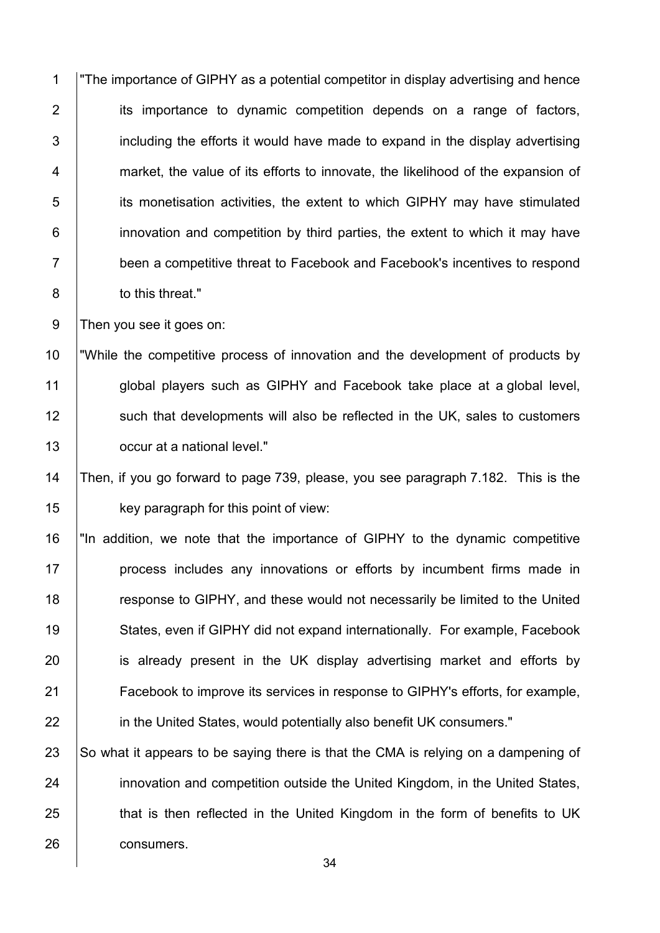1 "The importance of GIPHY as a potential competitor in display advertising and hence 2 its importance to dynamic competition depends on a range of factors, including the efforts it would have made to expand in the display advertising 4 market, the value of its efforts to innovate, the likelihood of the expansion of **iduble** its monetisation activities, the extent to which GIPHY may have stimulated **i** innovation and competition by third parties, the extent to which it may have 7 been a competitive threat to Facebook and Facebook's incentives to respond **b** to this threat."

9 Then you see it goes on:

 "While the competitive process of innovation and the development of products by 11 | global players such as GIPHY and Facebook take place at a global level, 12 Such that developments will also be reflected in the UK, sales to customers **Julie 20** occur at a national level."

 Then, if you go forward to page 739, please, you see paragraph 7.182. This is the **key paragraph for this point of view:** 

16 | "In addition, we note that the importance of GIPHY to the dynamic competitive **process includes any innovations or efforts by incumbent firms made in** 18 The suppose to GIPHY, and these would not necessarily be limited to the United States, even if GIPHY did not expand internationally. For example, Facebook **i** is already present in the UK display advertising market and efforts by Facebook to improve its services in response to GIPHY's efforts, for example, **in the United States, would potentially also benefit UK consumers."** 

 $\,$  So what it appears to be saying there is that the CMA is relying on a dampening of **innovation and competition outside the United Kingdom, in the United States, that is then reflected in the United Kingdom in the form of benefits to UK consumers**.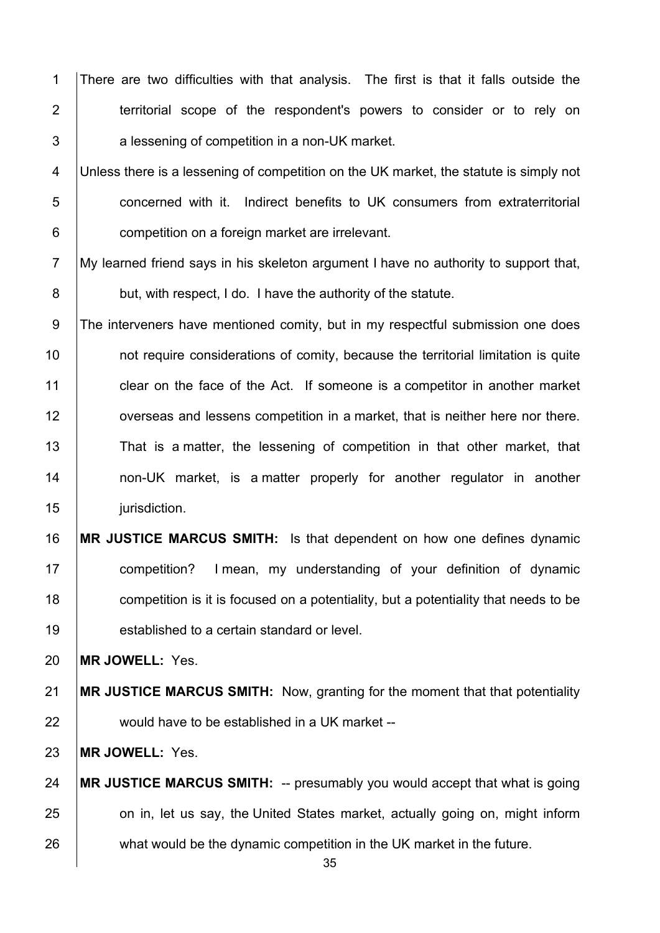1 There are two difficulties with that analysis. The first is that it falls outside the **territorial scope of the respondent's powers to consider or to rely on**  $3 \mid$  a lessening of competition in a non-UK market.

4 Unless there is a lessening of competition on the UK market, the statute is simply not **b** concerned with it. Indirect benefits to UK consumers from extraterritorial **competition on a foreign market are irrelevant.** 

7 My learned friend says in his skeleton argument I have no authority to support that, **but, with respect, I do. I have the authority of the statute.** 

9 The interveners have mentioned comity, but in my respectful submission one does **not require considerations of comity, because the territorial limitation is quite clear on the face of the Act.** If someone is a competitor in another market **overseas and lessens competition in a market, that is neither here nor there.** 13 That is a matter, the lessening of competition in that other market, that 14 | non-UK market, is a matter properly for another regulator in another 15 | jurisdiction.

 **MR JUSTICE MARCUS SMITH:** Is that dependent on how one defines dynamic competition? I mean, my understanding of your definition of dynamic **competition is it is focused on a potentiality, but a potentiality that needs to be established to a certain standard or level.** 

**MR JOWELL:** Yes.

 **MR JUSTICE MARCUS SMITH:** Now, granting for the moment that that potentiality 22 would have to be established in a UK market --

**MR JOWELL:** Yes.

 **MR JUSTICE MARCUS SMITH:** -- presumably you would accept that what is going **on in, let us say, the United States market, actually going on, might inform** 26 what would be the dynamic competition in the UK market in the future.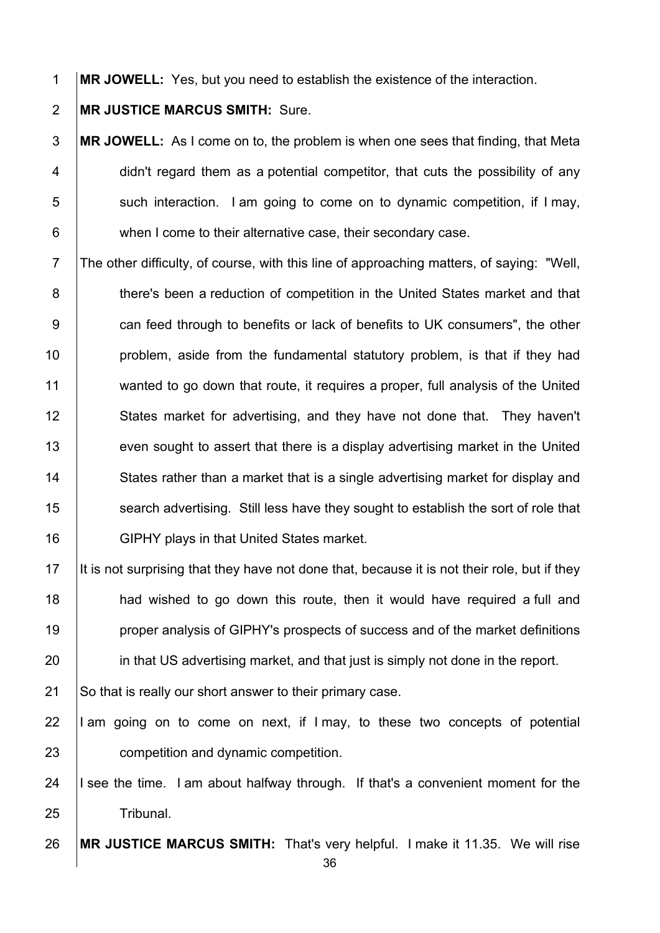1 **MR JOWELL:** Yes, but you need to establish the existence of the interaction.

2 **MR JUSTICE MARCUS SMITH:** Sure.

**MR JOWELL:** As I come on to, the problem is when one sees that finding, that Meta  $\vert$  didn't regard them as a potential competitor, that cuts the possibility of any such interaction. I am going to come on to dynamic competition, if I may, 6 when I come to their alternative case, their secondary case.

7 The other difficulty, of course, with this line of approaching matters, of saying: "Well, 8 **there's been a reduction of competition in the United States market and that** 9 **can feed through to benefits or lack of benefits to UK consumers", the other** 10 **problem, aside from the fundamental statutory problem, is that if they had** 11 wanted to go down that route, it requires a proper, full analysis of the United 12 States market for advertising, and they have not done that. They haven't 13 even sought to assert that there is a display advertising market in the United 14 States rather than a market that is a single advertising market for display and 15 Search advertising. Still less have they sought to establish the sort of role that 16 **GIPHY** plays in that United States market.

 It is not surprising that they have not done that, because it is not their role, but if they **had wished to go down this route, then it would have required a full and proper analysis of GIPHY's prospects of success and of the market definitions in that US advertising market, and that just is simply not done in the report.** 

21 So that is really our short answer to their primary case.

22  $\parallel$  am going on to come on next, if I may, to these two concepts of potential 23 **competition and dynamic competition.** 

24  $\parallel$  I see the time. I am about halfway through. If that's a convenient moment for the 25 | Tribunal.

26 **MR JUSTICE MARCUS SMITH:** That's very helpful. I make it 11.35. We will rise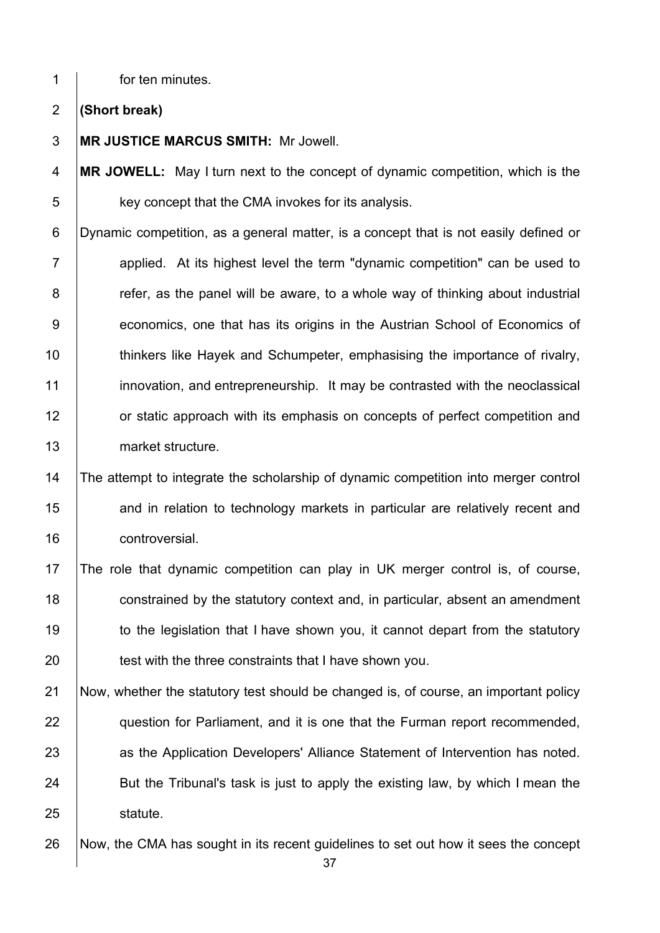**for ten minutes.** 

**(Short break)**

**MR JUSTICE MARCUS SMITH:** Mr Jowell.

**MR JOWELL:** May I turn next to the concept of dynamic competition, which is the **key concept that the CMA invokes for its analysis.** 

6 Dynamic competition, as a general matter, is a concept that is not easily defined or **Fig. 2** applied. At its highest level the term "dynamic competition" can be used to **8** refer, as the panel will be aware, to a whole way of thinking about industrial **economics, one that has its origins in the Austrian School of Economics of thinkers like Hayek and Schumpeter, emphasising the importance of rivalry, innovation, and entrepreneurship.** It may be contrasted with the neoclassical **12** or static approach with its emphasis on concepts of perfect competition and 13 market structure.

# 14 The attempt to integrate the scholarship of dynamic competition into merger control **and in relation to technology markets in particular are relatively recent and controversial.**

 The role that dynamic competition can play in UK merger control is, of course, **constrained by the statutory context and, in particular, absent an amendment** 19 to the legislation that I have shown you, it cannot depart from the statutory 20 test with the three constraints that I have shown you.

21 Now, whether the statutory test should be changed is, of course, an important policy **question for Parliament, and it is one that the Furman report recommended,** 23 as the Application Developers' Alliance Statement of Intervention has noted. 24 But the Tribunal's task is just to apply the existing law, by which I mean the 25 | statute.

26 Now, the CMA has sought in its recent guidelines to set out how it sees the concept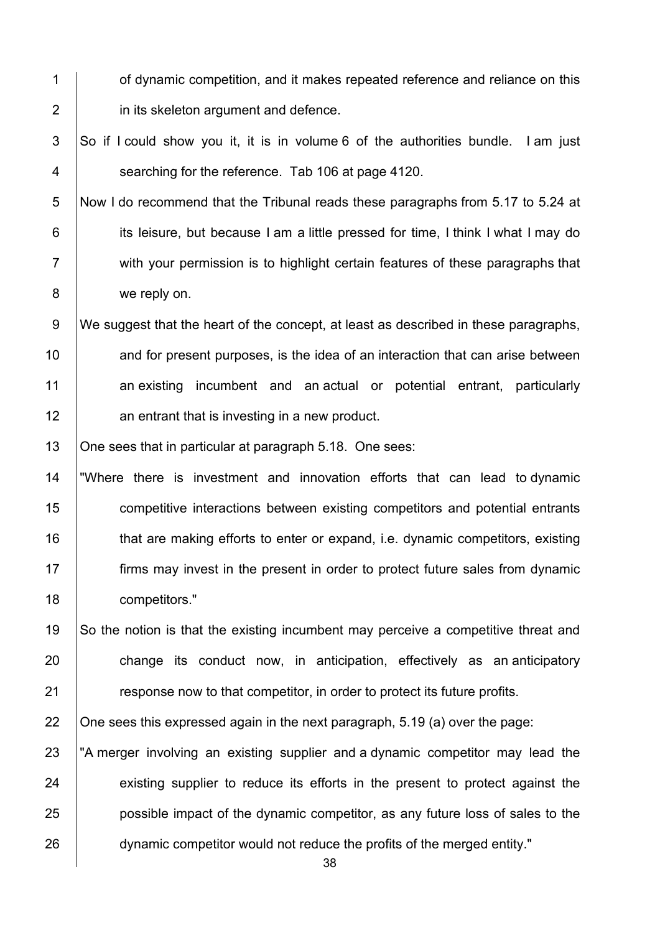- 1 **1** of dynamic competition, and it makes repeated reference and reliance on this 2 **in its skeleton argument and defence.**
- $3$  So if I could show you it, it is in volume 6 of the authorities bundle. I am just 4 **Searching for the reference.** Tab 106 at page 4120.
- 5 Now I do recommend that the Tribunal reads these paragraphs from 5.17 to 5.24 at 6 **its leisure, but because I am a little pressed for time, I think I what I may do** 7 | with your permission is to highlight certain features of these paragraphs that 8 we reply on.
- 9 We suggest that the heart of the concept, at least as described in these paragraphs, 10 and for present purposes, is the idea of an interaction that can arise between 11 an existing incumbent and an actual or potential entrant, particularly 12 **12** an entrant that is investing in a new product.

13 | One sees that in particular at paragraph 5.18. One sees:

- 14 "Where there is investment and innovation efforts that can lead to dynamic 15 competitive interactions between existing competitors and potential entrants 16 that are making efforts to enter or expand, i.e. dynamic competitors, existing 17 **firms may invest in the present in order to protect future sales from dynamic** 18 competitors."
- 19 So the notion is that the existing incumbent may perceive a competitive threat and 20 change its conduct now, in anticipation, effectively as an anticipatory 21 **Fig. 21** response now to that competitor, in order to protect its future profits.

22  $\Box$  One sees this expressed again in the next paragraph, 5.19 (a) over the page:

23 The merger involving an existing supplier and a dynamic competitor may lead the 24 existing supplier to reduce its efforts in the present to protect against the 25 **possible impact of the dynamic competitor**, as any future loss of sales to the 26 dynamic competitor would not reduce the profits of the merged entity."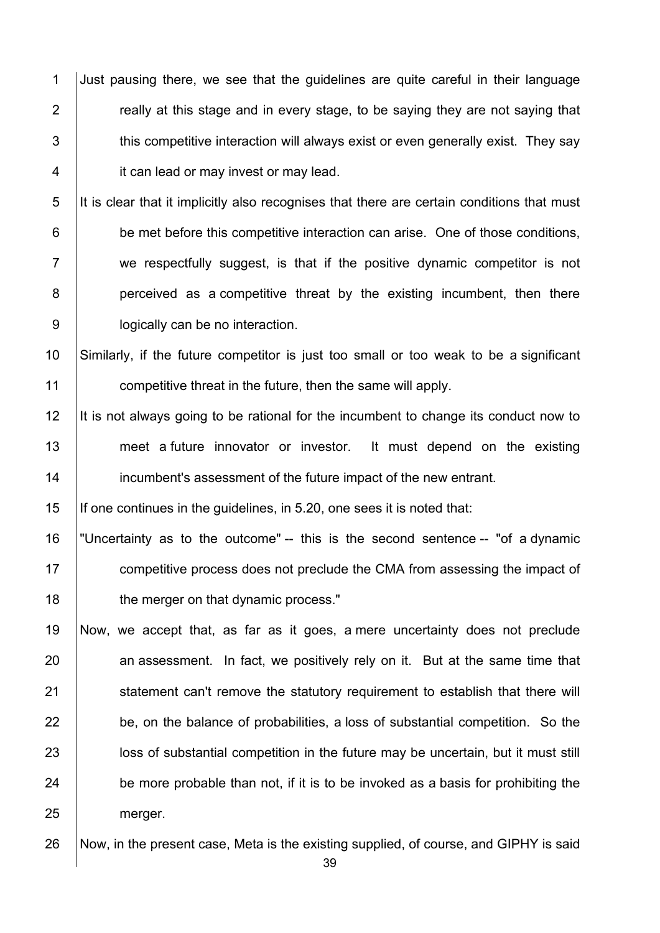1 Just pausing there, we see that the guidelines are quite careful in their language  $\parallel$  really at this stage and in every stage, to be saying they are not saying that  $\parallel$  this competitive interaction will always exist or even generally exist. They say **it can lead or may invest or may lead.** 

 It is clear that it implicitly also recognises that there are certain conditions that must **be met before this competitive interaction can arise. One of those conditions,** 7 we respectfully suggest, is that if the positive dynamic competitor is not **perceived as a competitive threat by the existing incumbent, then there Julie 20** logically can be no interaction.

 Similarly, if the future competitor is just too small or too weak to be a significant **competitive threat in the future, then the same will apply.** 

12 It is not always going to be rational for the incumbent to change its conduct now to 13 meet a future innovator or investor. It must depend on the existing **incumbent's assessment of the future impact of the new entrant.** 

If one continues in the guidelines, in 5.20, one sees it is noted that:

 "Uncertainty as to the outcome" -- this is the second sentence -- "of a dynamic **competitive process does not preclude the CMA from assessing the impact of the merger on that dynamic process."** 

 Now, we accept that, as far as it goes, a mere uncertainty does not preclude 20 an assessment. In fact, we positively rely on it. But at the same time that 21 Statement can't remove the statutory requirement to establish that there will be, on the balance of probabilities, a loss of substantial competition. So the **let in the substantial competition in the future may be uncertain, but it must still**  be more probable than not, if it is to be invoked as a basis for prohibiting the 25 | merger.

Now, in the present case, Meta is the existing supplied, of course, and GIPHY is said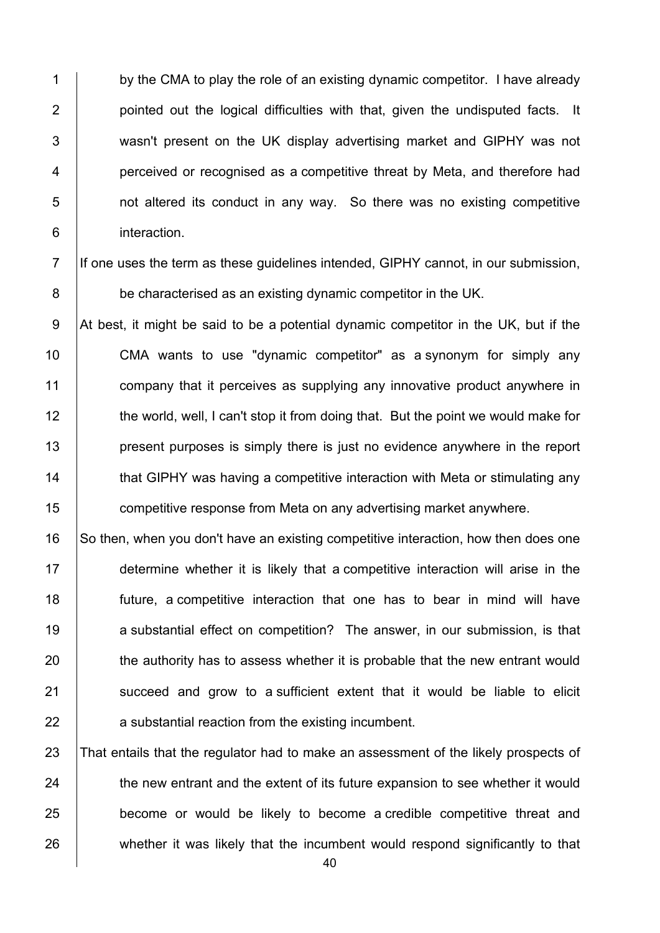1 by the CMA to play the role of an existing dynamic competitor. I have already 2 **pointed out the logical difficulties with that, given the undisputed facts.** It 3 Wasn't present on the UK display advertising market and GIPHY was not 4 **perceived or recognised as a competitive threat by Meta, and therefore had** 5 **1** not altered its conduct in any way. So there was no existing competitive 6 interaction.

7 If one uses the term as these quidelines intended, GIPHY cannot, in our submission, 8 be characterised as an existing dynamic competitor in the UK.

9 At best, it might be said to be a potential dynamic competitor in the UK, but if the 10 CMA wants to use "dynamic competitor" as a synonym for simply any 11 **company that it perceives as supplying any innovative product anywhere in** 12 the world, well, I can't stop it from doing that. But the point we would make for 13 **present purposes is simply there is just no evidence anywhere in the report** 14 That GIPHY was having a competitive interaction with Meta or stimulating any 15 **Fig. 2** competitive response from Meta on any advertising market anywhere.

16 So then, when you don't have an existing competitive interaction, how then does one 17 determine whether it is likely that a competitive interaction will arise in the 18 future, a competitive interaction that one has to bear in mind will have 19 **a** substantial effect on competition? The answer, in our submission, is that 20 the authority has to assess whether it is probable that the new entrant would 21 **Succeed and grow to a sufficient extent that it would be liable to elicit** 22 **a** substantial reaction from the existing incumbent.

23 That entails that the regulator had to make an assessment of the likely prospects of 24 the new entrant and the extent of its future expansion to see whether it would 25 **become or would be likely to become a credible competitive threat and** 26 whether it was likely that the incumbent would respond significantly to that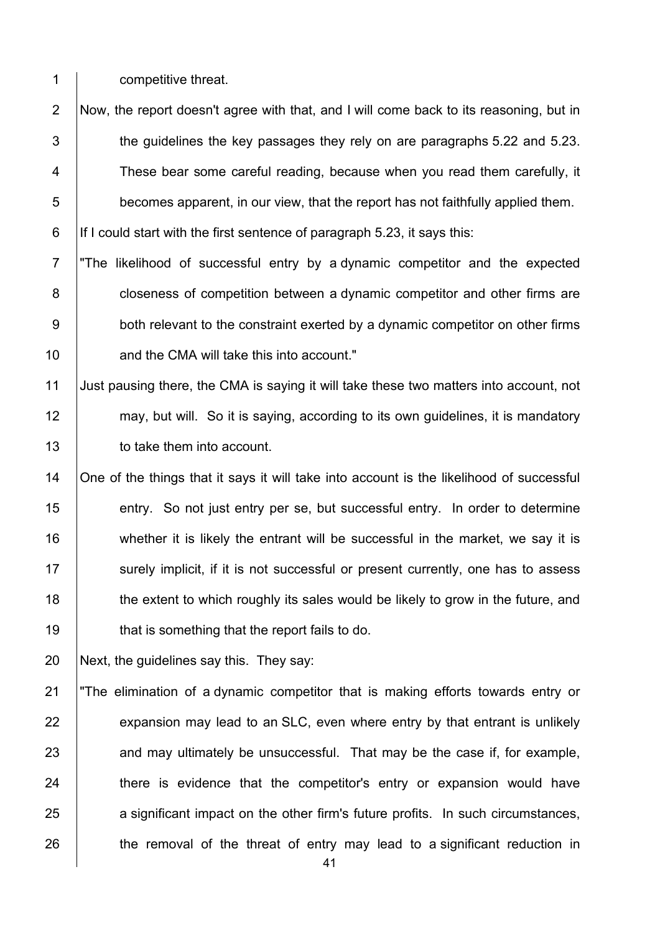1 **competitive threat.** 

2 Now, the report doesn't agree with that, and I will come back to its reasoning, but in  $3$   $\parallel$  the guidelines the key passages they rely on are paragraphs 5.22 and 5.23. 4 These bear some careful reading, because when you read them carefully, it  $\overline{5}$  becomes apparent, in our view, that the report has not faithfully applied them.

6 | If I could start with the first sentence of paragraph 5.23, it says this:

7 "The likelihood of successful entry by a dynamic competitor and the expected 8 **closeness of competition between a dynamic competitor and other firms are** 9 both relevant to the constraint exerted by a dynamic competitor on other firms 10 **Arror** and the CMA will take this into account."

11 Just pausing there, the CMA is saying it will take these two matters into account, not 12 may, but will. So it is saying, according to its own guidelines, it is mandatory 13 **to take them into account.** 

14 | One of the things that it says it will take into account is the likelihood of successful 15 entry. So not just entry per se, but successful entry. In order to determine 16 whether it is likely the entrant will be successful in the market, we say it is 17 Surely implicit, if it is not successful or present currently, one has to assess 18 the extent to which roughly its sales would be likely to grow in the future, and 19 **that is something that the report fails to do.** 

20 Next, the guidelines say this. They say:

21 "The elimination of a dynamic competitor that is making efforts towards entry or  $22$  expansion may lead to an SLC, even where entry by that entrant is unlikely 23 and may ultimately be unsuccessful. That may be the case if, for example, 24 There is evidence that the competitor's entry or expansion would have 25 a significant impact on the other firm's future profits. In such circumstances,  $26$  the removal of the threat of entry may lead to a significant reduction in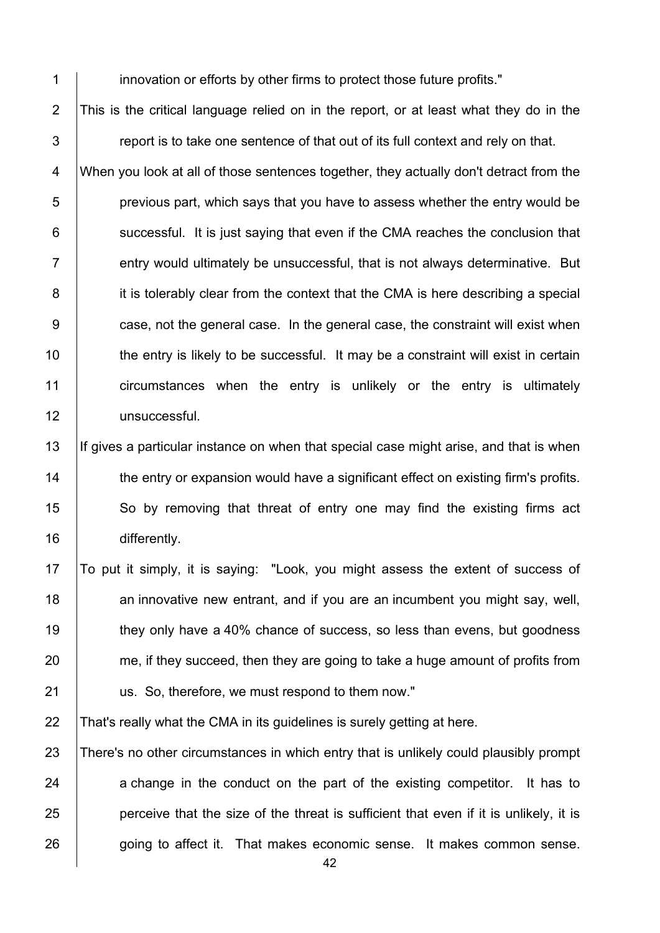1 **innovation or efforts by other firms to protect those future profits."** 2 This is the critical language relied on in the report, or at least what they do in the  $3$   $\parallel$  report is to take one sentence of that out of its full context and rely on that. 4 When you look at all of those sentences together, they actually don't detract from the  $\overline{5}$  | previous part, which says that you have to assess whether the entry would be  $6$  successful. It is just saying that even if the CMA reaches the conclusion that  $7$   $\parallel$  entry would ultimately be unsuccessful, that is not always determinative. But 8 it is tolerably clear from the context that the CMA is here describing a special 9 **case, not the general case. In the general case, the constraint will exist when** 10 | the entry is likely to be successful. It may be a constraint will exist in certain 11 circumstances when the entry is unlikely or the entry is ultimately 12 | unsuccessful.

13 If gives a particular instance on when that special case might arise, and that is when 14 **the entry or expansion would have a significant effect on existing firm's profits.** 15 So by removing that threat of entry one may find the existing firms act 16 differently.

17 To put it simply, it is saying: "Look, you might assess the extent of success of 18  $\parallel$  an innovative new entrant, and if you are an incumbent you might say, well, 19 they only have a 40% chance of success, so less than evens, but goodness 20 me, if they succeed, then they are going to take a huge amount of profits from 21 **us.** So, therefore, we must respond to them now."

22 That's really what the CMA in its quidelines is surely getting at here.

23 There's no other circumstances in which entry that is unlikely could plausibly prompt  $24$  a change in the conduct on the part of the existing competitor. It has to  $25$  | perceive that the size of the threat is sufficient that even if it is unlikely, it is 26 going to affect it. That makes economic sense. It makes common sense.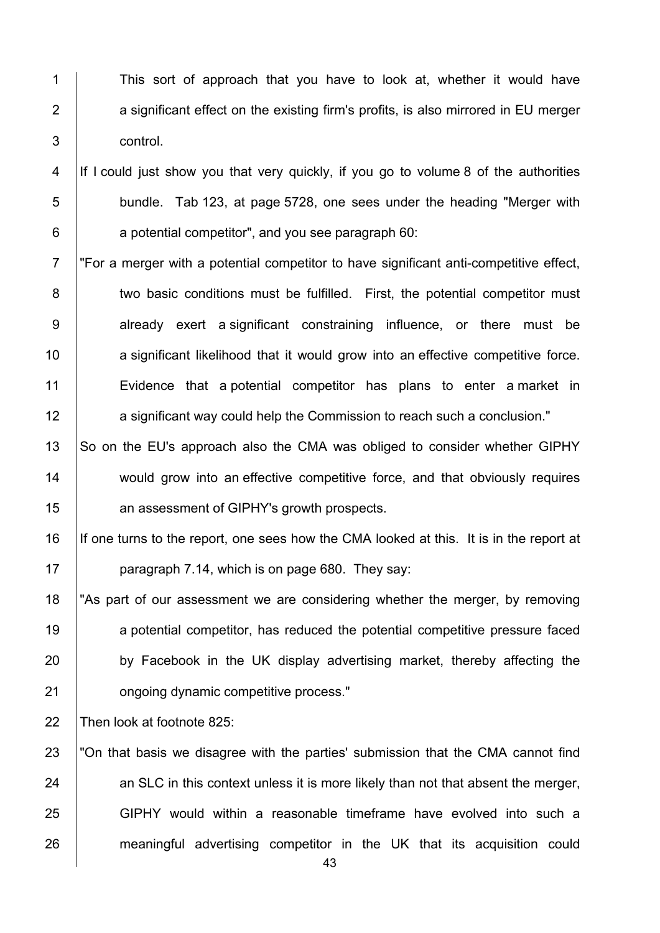1 This sort of approach that you have to look at, whether it would have 2  $\vert$  a significant effect on the existing firm's profits, is also mirrored in EU merger 3 control.

4 If I could just show you that very quickly, if you go to volume 8 of the authorities 5 bundle. Tab 123, at page 5728, one sees under the heading "Merger with  $6$  | a potential competitor", and you see paragraph 60:

7 For a merger with a potential competitor to have significant anti-competitive effect. 8 | two basic conditions must be fulfilled. First, the potential competitor must 9 already exert a significant constraining influence, or there must be 10 a significant likelihood that it would grow into an effective competitive force. 11 Evidence that a potential competitor has plans to enter a market in 12 **a** significant way could help the Commission to reach such a conclusion."

13 So on the EU's approach also the CMA was obliged to consider whether GIPHY 14 would grow into an effective competitive force, and that obviously requires 15 **an assessment of GIPHY's growth prospects.** 

16 If one turns to the report, one sees how the CMA looked at this. It is in the report at 17 | paragraph 7.14, which is on page 680. They say:

18 "As part of our assessment we are considering whether the merger, by removing 19 a potential competitor, has reduced the potential competitive pressure faced 20 by Facebook in the UK display advertising market, thereby affecting the 21 **b** ongoing dynamic competitive process."

22 Then look at footnote 825:

23 Ton that basis we disagree with the parties' submission that the CMA cannot find  $24$  an SLC in this context unless it is more likely than not that absent the merger, 25 GIPHY would within a reasonable timeframe have evolved into such a 26 meaningful advertising competitor in the UK that its acquisition could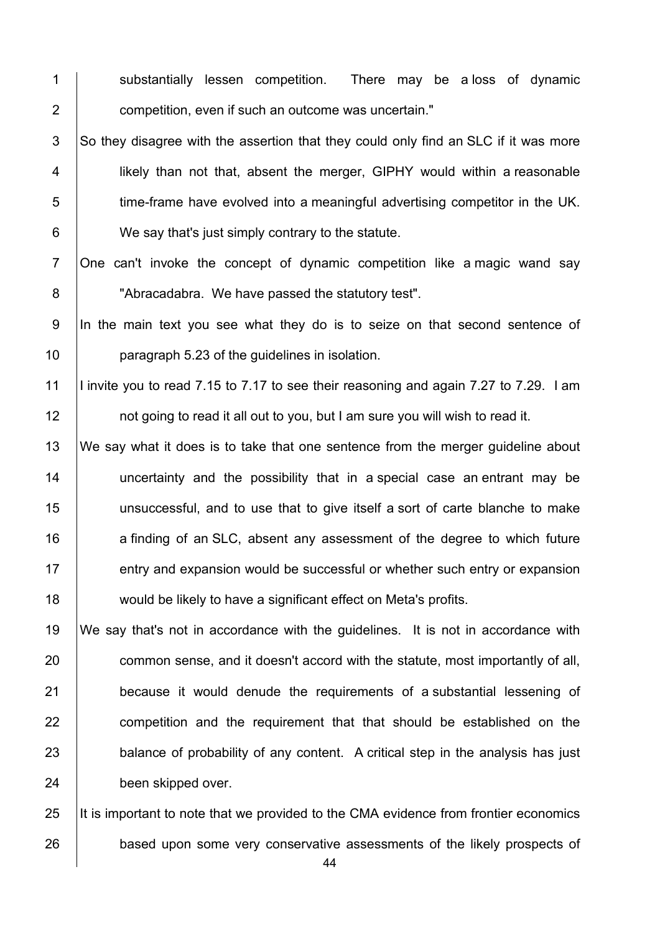1 Substantially lessen competition. There may be a loss of dynamic 2 **competition, even if such an outcome was uncertain.**"

 $3$  So they disagree with the assertion that they could only find an SLC if it was more 4 | likely than not that, absent the merger, GIPHY would within a reasonable 5 time-frame have evolved into a meaningful advertising competitor in the UK. 6 We say that's just simply contrary to the statute.

7 One can't invoke the concept of dynamic competition like a magic wand say 8 **No. 3** "Abracadabra. We have passed the statutory test".

9 In the main text you see what they do is to seize on that second sentence of 10 **paragraph 5.23 of the guidelines in isolation.** 

11 I invite you to read 7.15 to 7.17 to see their reasoning and again 7.27 to 7.29. I am 12 **12** not going to read it all out to you, but I am sure you will wish to read it.

13 We say what it does is to take that one sentence from the merger guideline about 14 | uncertainty and the possibility that in a special case an entrant may be 15 unsuccessful, and to use that to give itself a sort of carte blanche to make 16 a finding of an SLC, absent any assessment of the degree to which future 17 entry and expansion would be successful or whether such entry or expansion 18 would be likely to have a significant effect on Meta's profits.

 We say that's not in accordance with the guidelines. It is not in accordance with 20 common sense, and it doesn't accord with the statute, most importantly of all, **because it would denude the requirements of a substantial lessening of competition and the requirement that that should be established on the balance of probability of any content.** A critical step in the analysis has just 24 been skipped over.

25 It is important to note that we provided to the CMA evidence from frontier economics 26 based upon some very conservative assessments of the likely prospects of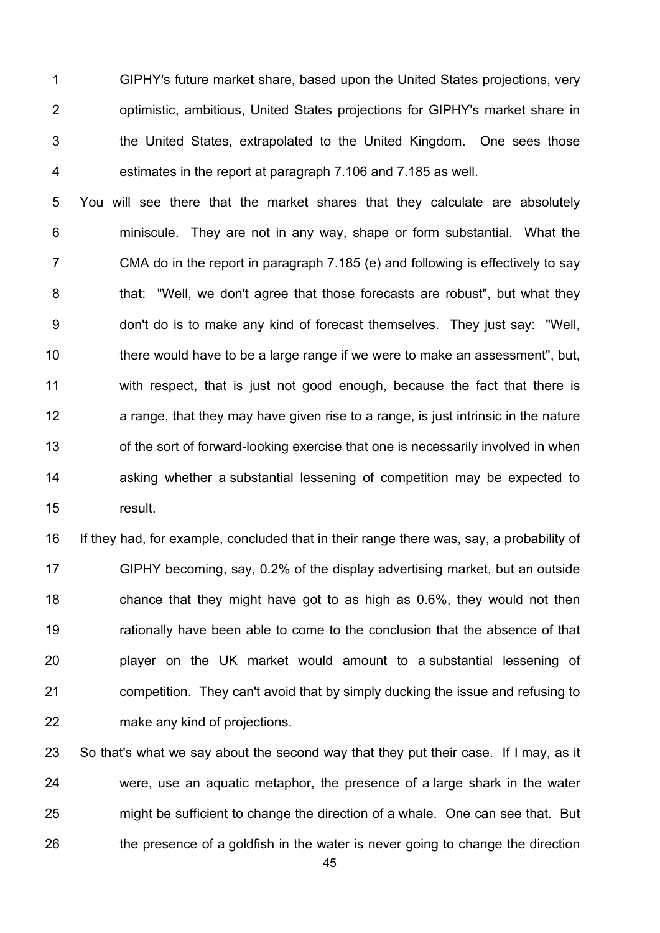1 GIPHY's future market share, based upon the United States projections, very 2 **1** optimistic, ambitious, United States projections for GIPHY's market share in 3 the United States, extrapolated to the United Kingdom. One sees those 4 **estimates in the report at paragraph 7.106 and 7.185 as well.** 

5 You will see there that the market shares that they calculate are absolutely 6 **6** miniscule. They are not in any way, shape or form substantial. What the  $7 \mid$  CMA do in the report in paragraph 7.185 (e) and following is effectively to say 8 **that:** "Well, we don't agree that those forecasts are robust", but what they 9 don't do is to make any kind of forecast themselves. They just say: "Well, 10 there would have to be a large range if we were to make an assessment", but, 11 with respect, that is just not good enough, because the fact that there is 12 a range, that they may have given rise to a range, is just intrinsic in the nature 13 **1** of the sort of forward-looking exercise that one is necessarily involved in when 14 asking whether a substantial lessening of competition may be expected to 15 result.

16 If they had, for example, concluded that in their range there was, say, a probability of GIPHY becoming, say, 0.2% of the display advertising market, but an outside  $\parallel$  chance that they might have got to as high as 0.6%, they would not then 19 Trationally have been able to come to the conclusion that the absence of that **player on the UK market would amount to a substantial lessening of competition.** They can't avoid that by simply ducking the issue and refusing to **make any kind of projections.** 

23  $\vert$  So that's what we say about the second way that they put their case. If I may, as it  $24$  were, use an aquatic metaphor, the presence of a large shark in the water 25 might be sufficient to change the direction of a whale. One can see that. But 26 the presence of a goldfish in the water is never going to change the direction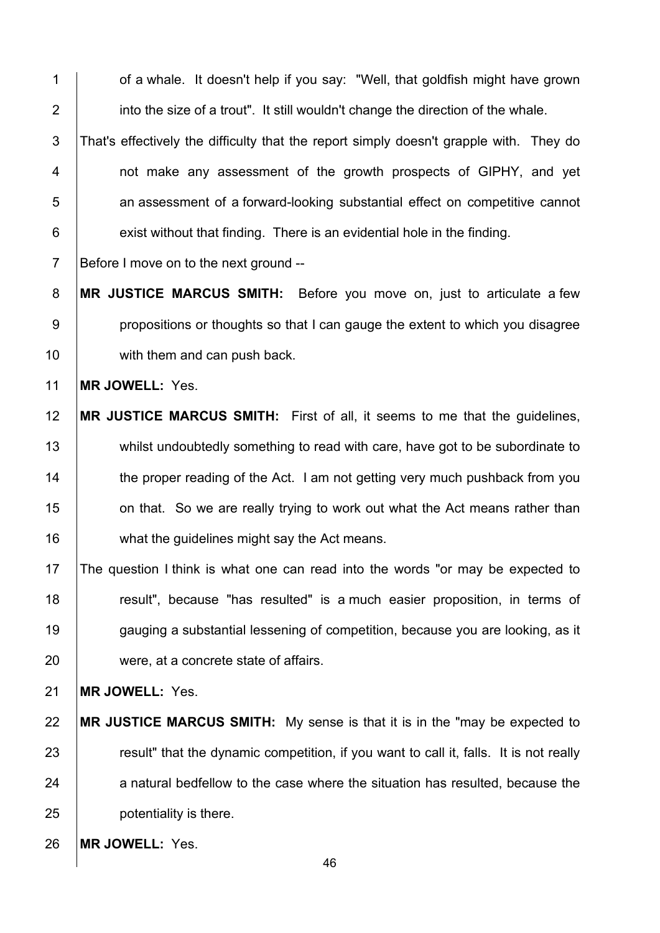1 | of a whale. It doesn't help if you say: "Well, that goldfish might have grown into the size of a trout". It still wouldn't change the direction of the whale.

3 That's effectively the difficulty that the report simply doesn't grapple with. They do 4 | not make any assessment of the growth prospects of GIPHY, and yet **b** an assessment of a forward-looking substantial effect on competitive cannot exist without that finding. There is an evidential hole in the finding.

7 Before I move on to the next ground --

**MR JUSTICE MARCUS SMITH:** Before you move on, just to articulate a few **propositions or thoughts so that I can gauge the extent to which you disagree** 10 | with them and can push back.

**MR JOWELL:** Yes.

 **MR JUSTICE MARCUS SMITH:** First of all, it seems to me that the guidelines, 13 whilst undoubtedly something to read with care, have got to be subordinate to 14 the proper reading of the Act. I am not getting very much pushback from you **15** on that. So we are really trying to work out what the Act means rather than **what the guidelines might say the Act means.** 

 The question I think is what one can read into the words "or may be expected to **The Step is result**", because "has resulted" is a much easier proposition, in terms of 19 gauging a substantial lessening of competition, because you are looking, as it were, at a concrete state of affairs.

**MR JOWELL:** Yes.

- **MR JUSTICE MARCUS SMITH:** My sense is that it is in the "may be expected to 23 Fig. 23 result" that the dynamic competition, if you want to call it, falls. It is not really a natural bedfellow to the case where the situation has resulted, because the **potentiality is there.**
- **MR JOWELL:** Yes.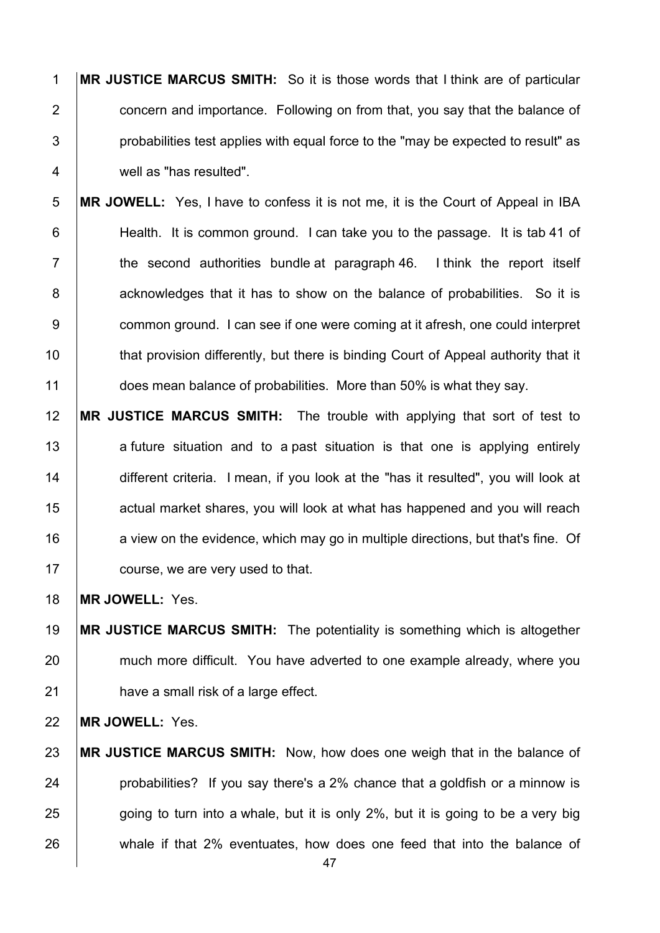**MR JUSTICE MARCUS SMITH:** So it is those words that I think are of particular **2** concern and importance. Following on from that, you say that the balance of | probabilities test applies with equal force to the "may be expected to result" as 4 well as "has resulted".

**MR JOWELL:** Yes, I have to confess it is not me, it is the Court of Appeal in IBA 6 Health. It is common ground. I can take you to the passage. It is tab 41 of  $\parallel$  the second authorities bundle at paragraph 46. I think the report itself 8 acknowledges that it has to show on the balance of probabilities. So it is **common ground.** I can see if one were coming at it afresh, one could interpret 10 that provision differently, but there is binding Court of Appeal authority that it 11 does mean balance of probabilities. More than 50% is what they say.

 **MR JUSTICE MARCUS SMITH:** The trouble with applying that sort of test to 13 a future situation and to a past situation is that one is applying entirely 14 different criteria. I mean, if you look at the "has it resulted", you will look at **15** actual market shares, you will look at what has happened and you will reach **a** view on the evidence, which may go in multiple directions, but that's fine. Of **course, we are very used to that.** 

**MR JOWELL:** Yes.

 **MR JUSTICE MARCUS SMITH:** The potentiality is something which is altogether 20 much more difficult. You have adverted to one example already, where you **have a small risk of a large effect.** 

**MR JOWELL:** Yes.

 **MR JUSTICE MARCUS SMITH:** Now, how does one weigh that in the balance of **probabilities?** If you say there's a 2% chance that a goldfish or a minnow is going to turn into a whale, but it is only 2%, but it is going to be a very big 26 whale if that 2% eventuates, how does one feed that into the balance of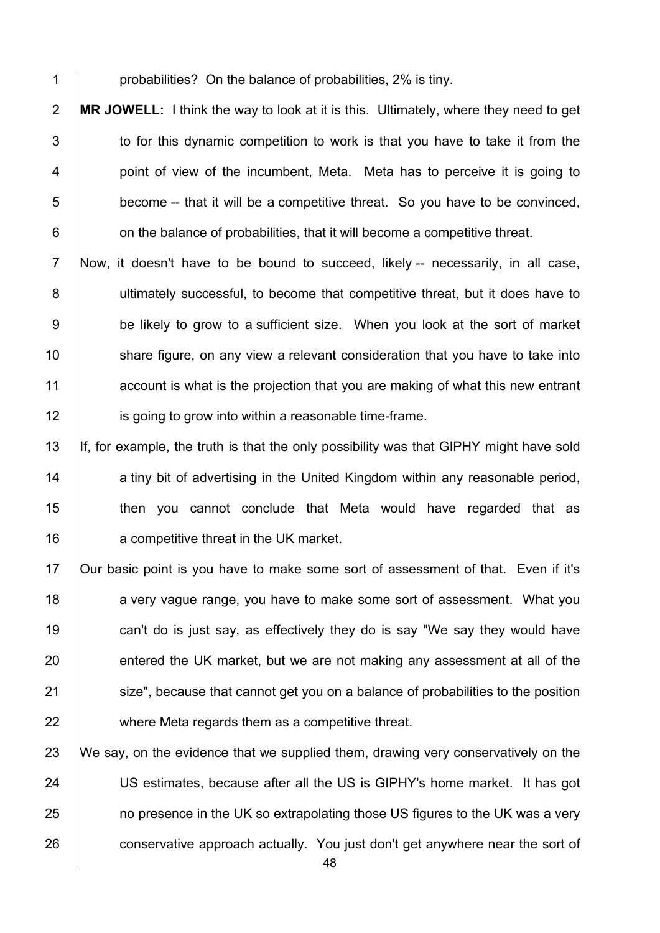1 **probabilities?** On the balance of probabilities, 2% is tiny.

2 **MR JOWELL:** I think the way to look at it is this. Ultimately, where they need to get 3 to for this dynamic competition to work is that you have to take it from the 4 | point of view of the incumbent, Meta. Meta has to perceive it is going to  $5$   $\vert$  become -- that it will be a competitive threat. So you have to be convinced,  $6$   $\vert$  on the balance of probabilities, that it will become a competitive threat.

7 Now, it doesn't have to be bound to succeed, likely -- necessarily, in all case, 8 | ultimately successful, to become that competitive threat, but it does have to 9 be likely to grow to a sufficient size. When you look at the sort of market 10 Share figure, on any view a relevant consideration that you have to take into 11 account is what is the projection that you are making of what this new entrant 12 **is going to grow into within a reasonable time-frame.** 

13 If, for example, the truth is that the only possibility was that GIPHY might have sold 14 a tiny bit of advertising in the United Kingdom within any reasonable period, 15 **then** you cannot conclude that Meta would have regarded that as 16 **a** competitive threat in the UK market.

 Our basic point is you have to make some sort of assessment of that. Even if it's 18 a very vague range, you have to make some sort of assessment. What you **can't do is just say, as effectively they do is say "We say they would have** 20 entered the UK market, but we are not making any assessment at all of the **Size**", because that cannot get you on a balance of probabilities to the position where Meta regards them as a competitive threat.

23 We say, on the evidence that we supplied them, drawing very conservatively on the 24 US estimates, because after all the US is GIPHY's home market. It has got 25 **no presence in the UK so extrapolating those US figures to the UK was a very** 26 conservative approach actually. You just don't get anywhere near the sort of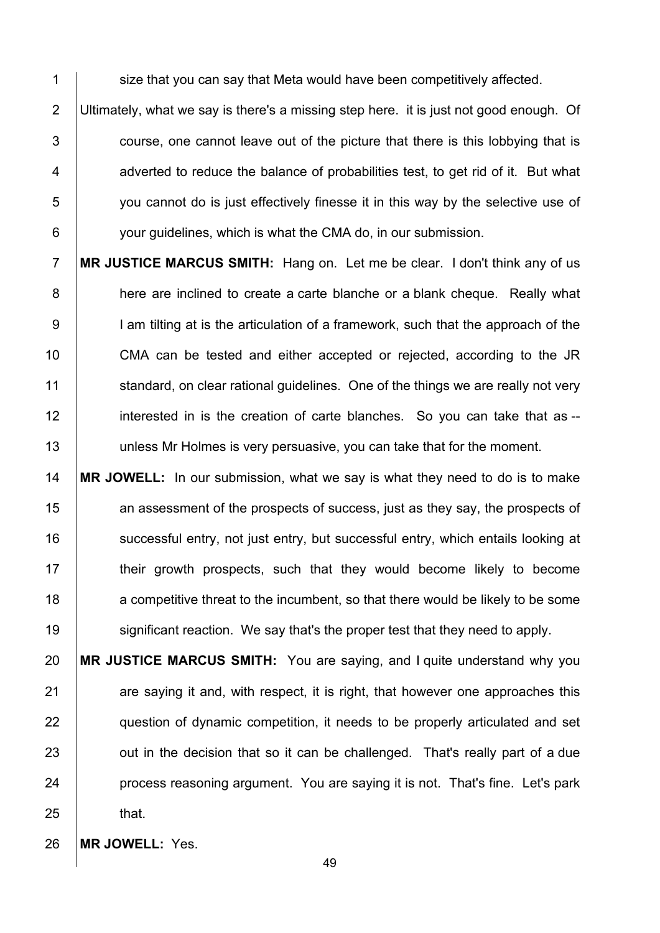1 Size that you can say that Meta would have been competitively affected.

2 Ultimately, what we say is there's a missing step here. it is just not good enough. Of  $3$   $\vert$  course, one cannot leave out of the picture that there is this lobbying that is  $4$   $\parallel$  adverted to reduce the balance of probabilities test, to get rid of it. But what 5 you cannot do is just effectively finesse it in this way by the selective use of 6 **your guidelines, which is what the CMA do, in our submission.** 

7 **MR JUSTICE MARCUS SMITH:** Hang on. Let me be clear. I don't think any of us 8 **here are inclined to create a carte blanche or a blank cheque. Really what** 9 | I am tilting at is the articulation of a framework, such that the approach of the 10 **CMA** can be tested and either accepted or rejected, according to the JR 11 standard, on clear rational quidelines. One of the things we are really not very 12 interested in is the creation of carte blanches. So you can take that as --13 | unless Mr Holmes is very persuasive, you can take that for the moment.

14 **MR JOWELL:** In our submission, what we say is what they need to do is to make 15 15 an assessment of the prospects of success, just as they say, the prospects of 16 successful entry, not just entry, but successful entry, which entails looking at 17 **their growth prospects, such that they would become likely to become** 18 a competitive threat to the incumbent, so that there would be likely to be some 19 | significant reaction. We say that's the proper test that they need to apply.

 **MR JUSTICE MARCUS SMITH:** You are saying, and I quite understand why you are saying it and, with respect, it is right, that however one approaches this **question of dynamic competition, it needs to be properly articulated and set J** out in the decision that so it can be challenged. That's really part of a due **process reasoning argument. You are saying it is not. That's fine. Let's park**  $25$  that.

26 **MR JOWELL:** Yes.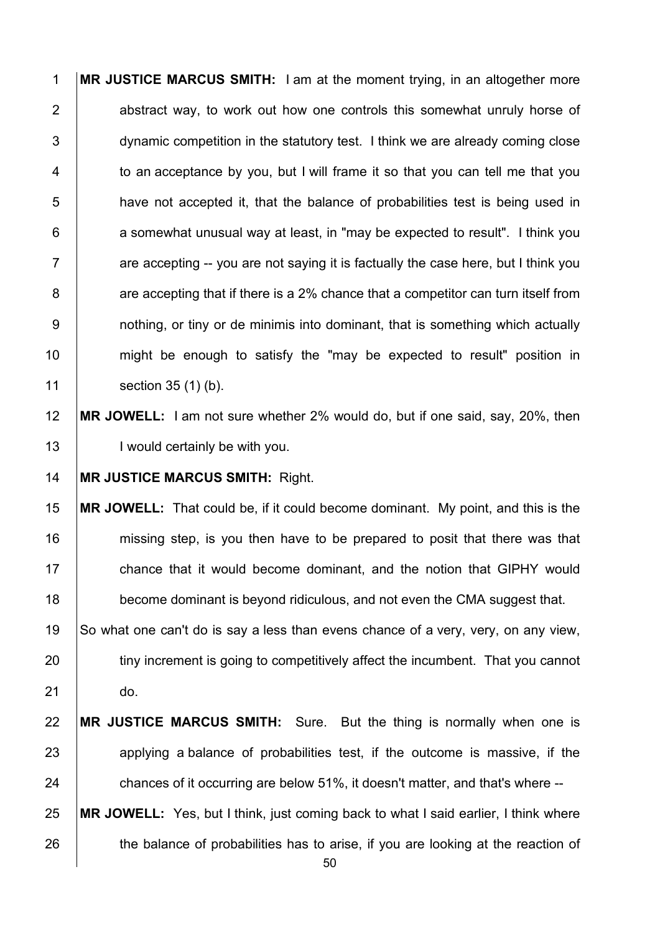**MR JUSTICE MARCUS SMITH:** I am at the moment trying, in an altogether more **2** abstract way, to work out how one controls this somewhat unruly horse of 3 dynamic competition in the statutory test. I think we are already coming close  $\vert$  to an acceptance by you, but I will frame it so that you can tell me that you **have not accepted it, that the balance of probabilities test is being used in b** a somewhat unusual way at least, in "may be expected to result". I think you  $7 \mid$  are accepting -- you are not saving it is factually the case here, but I think you | are accepting that if there is a 2% chance that a competitor can turn itself from 9 | nothing, or tiny or de minimis into dominant, that is something which actually might be enough to satisfy the "may be expected to result" position in 11 | section 35 (1) (b).

 **MR JOWELL:** I am not sure whether 2% would do, but if one said, say, 20%, then 13 | I would certainly be with you.

**MR JUSTICE MARCUS SMITH:** Right.

 **MR JOWELL:** That could be, if it could become dominant. My point, and this is the **missing step, is you then have to be prepared to posit that there was that** 17 chance that it would become dominant, and the notion that GIPHY would **become dominant is beyond ridiculous, and not even the CMA suggest that.** So what one can't do is say a less than evens chance of a very, very, on any view,

20 tiny increment is going to competitively affect the incumbent. That you cannot do.

 **MR JUSTICE MARCUS SMITH:** Sure. But the thing is normally when one is 23 applying a balance of probabilities test, if the outcome is massive, if the **chances of it occurring are below 51%, it doesn't matter, and that's where --**

 **MR JOWELL:** Yes, but I think, just coming back to what I said earlier, I think where 26 the balance of probabilities has to arise, if you are looking at the reaction of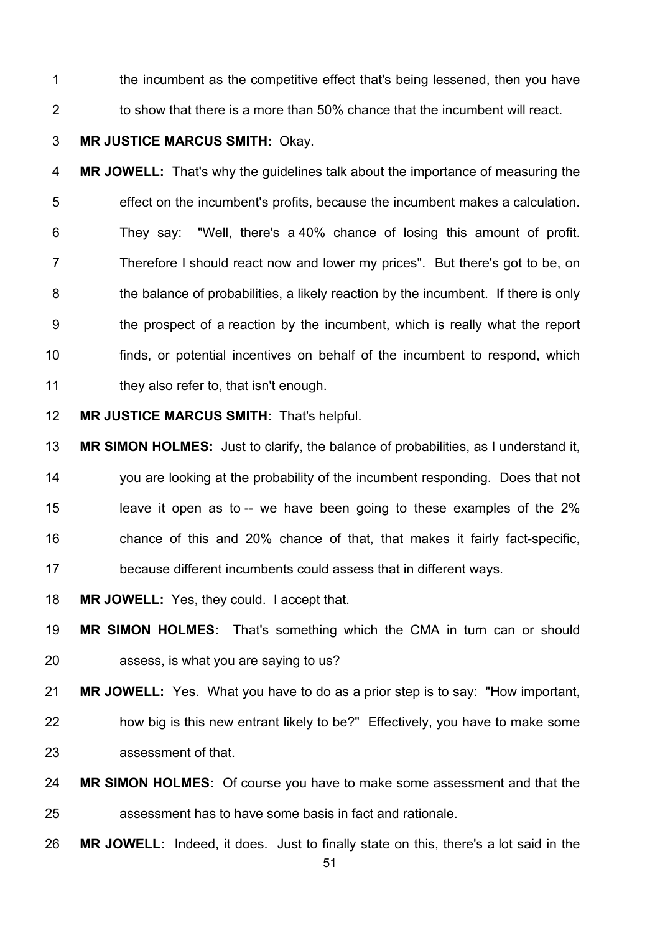1 the incumbent as the competitive effect that's being lessened, then you have  $\parallel$  to show that there is a more than 50% chance that the incumbent will react.

**MR JUSTICE MARCUS SMITH:** Okay.

**MR JOWELL:** That's why the guidelines talk about the importance of measuring the effect on the incumbent's profits, because the incumbent makes a calculation. **They say:** "Well, there's a 40% chance of losing this amount of profit. 7 Therefore I should react now and lower my prices". But there's got to be, on 8 the balance of probabilities, a likely reaction by the incumbent. If there is only 9 the prospect of a reaction by the incumbent, which is really what the report finds, or potential incentives on behalf of the incumbent to respond, which **they also refer to, that isn't enough.** 

**MR JUSTICE MARCUS SMITH:** That's helpful.

 **MR SIMON HOLMES:** Just to clarify, the balance of probabilities, as I understand it, 14 you are looking at the probability of the incumbent responding. Does that not leave it open as to -- we have been going to these examples of the 2% **chance of this and 20% chance of that, that makes it fairly fact-specific, because different incumbents could assess that in different ways.** 

**MR JOWELL:** Yes, they could. I accept that.

 **MR SIMON HOLMES:** That's something which the CMA in turn can or should **b** assess, is what you are saying to us?

 **MR JOWELL:** Yes. What you have to do as a prior step is to say: "How important, 22 how big is this new entrant likely to be?" Effectively, you have to make some **assessment of that.** 

 **MR SIMON HOLMES:** Of course you have to make some assessment and that the **a**ssessment has to have some basis in fact and rationale.

**MR JOWELL:** Indeed, it does. Just to finally state on this, there's a lot said in the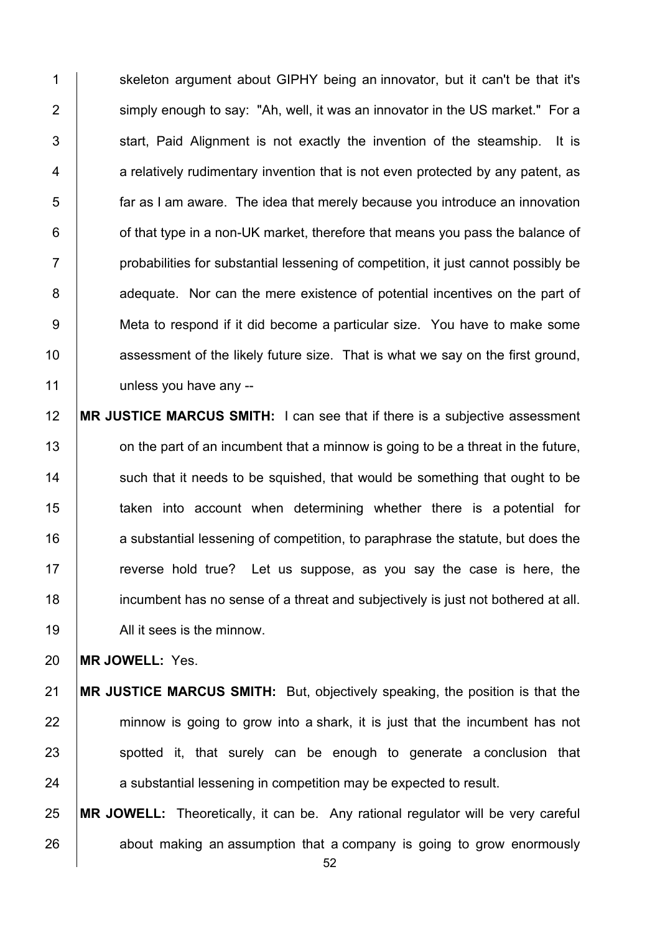1 Skeleton argument about GIPHY being an innovator, but it can't be that it's 2 Simply enough to say: "Ah, well, it was an innovator in the US market." For a start. Paid Alignment is not exactly the invention of the steamship. It is a relatively rudimentary invention that is not even protected by any patent, as **face is a far as I am aware.** The idea that merely because you introduce an innovation | of that type in a non-UK market, therefore that means you pass the balance of **Fig. 2** probabilities for substantial lessening of competition, it just cannot possibly be 8 adequate. Nor can the mere existence of potential incentives on the part of 9 Meta to respond if it did become a particular size. You have to make some **assessment of the likely future size.** That is what we say on the first ground, 11 Unless you have any --

 **MR JUSTICE MARCUS SMITH:** I can see that if there is a subjective assessment 13 on the part of an incumbent that a minnow is going to be a threat in the future, such that it needs to be squished, that would be something that ought to be **taken** into account when determining whether there is a potential for 16 a substantial lessening of competition, to paraphrase the statute, but does the **reverse hold true?** Let us suppose, as you say the case is here, the incumbent has no sense of a threat and subjectively is just not bothered at all. 19 | All it sees is the minnow.

**MR JOWELL:** Yes.

 **MR JUSTICE MARCUS SMITH:** But, objectively speaking, the position is that the minnow is going to grow into a shark, it is just that the incumbent has not spotted it, that surely can be enough to generate a conclusion that 24 a substantial lessening in competition may be expected to result.

 **MR JOWELL:** Theoretically, it can be. Any rational regulator will be very careful about making an assumption that a company is going to grow enormously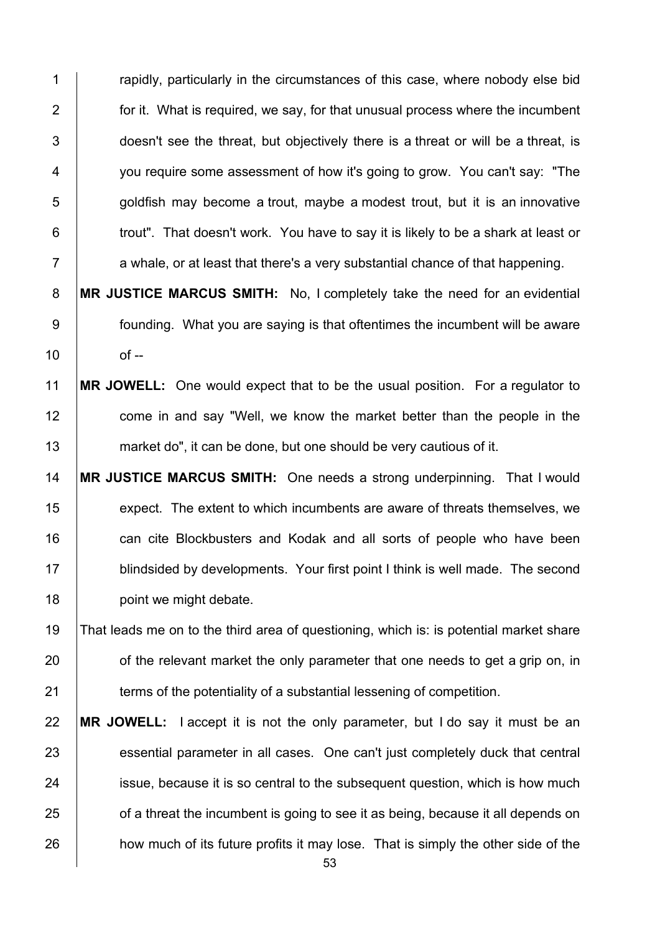1 **Fig. 2** rapidly, particularly in the circumstances of this case, where nobody else bid 2  $\parallel$  for it. What is required, we say, for that unusual process where the incumbent 3 doesn't see the threat, but objectively there is a threat or will be a threat, is 4 You require some assessment of how it's going to grow. You can't say: "The  $\overline{5}$  | goldfish may become a trout, maybe a modest trout, but it is an innovative 6 **trout**". That doesn't work. You have to say it is likely to be a shark at least or  $7$  a whale, or at least that there's a very substantial chance of that happening.

8 **MR JUSTICE MARCUS SMITH:** No, I completely take the need for an evidential 9 founding. What you are saying is that oftentimes the incumbent will be aware  $10$  of --

## 11 **MR JOWELL:** One would expect that to be the usual position. For a regulator to 12 come in and say "Well, we know the market better than the people in the 13 market do", it can be done, but one should be very cautious of it.

14 **MR JUSTICE MARCUS SMITH:** One needs a strong underpinning. That I would 15 expect. The extent to which incumbents are aware of threats themselves, we 16 **can cite Blockbusters and Kodak and all sorts of people who have been** 17 **blindsided by developments. Your first point I think is well made. The second** 18 point we might debate.

19 That leads me on to the third area of questioning, which is: is potential market share  $20$   $\Box$  of the relevant market the only parameter that one needs to get a grip on, in 21 **terms of the potentiality of a substantial lessening of competition.** 

22 **MR JOWELL:** I accept it is not the only parameter, but I do say it must be an 23 essential parameter in all cases. One can't just completely duck that central 24 **ignor** issue, because it is so central to the subsequent question, which is how much 25 **of a threat the incumbent is going to see it as being, because it all depends on** 26 how much of its future profits it may lose. That is simply the other side of the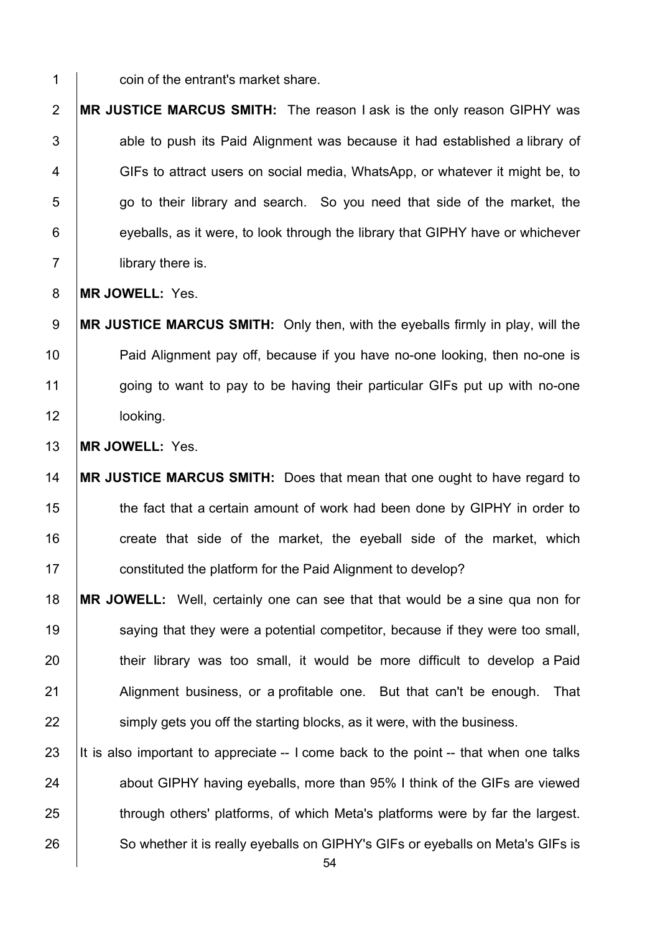**coin of the entrant's market share.** 

**MR JUSTICE MARCUS SMITH:** The reason I ask is the only reason GIPHY was  $\vert$  able to push its Paid Alignment was because it had established a library of 4 GIFs to attract users on social media, WhatsApp, or whatever it might be, to  $\vert$  go to their library and search. So you need that side of the market, the eyeballs, as it were, to look through the library that GIPHY have or whichever 7 | library there is.

**MR JOWELL:** Yes.

**MR JUSTICE MARCUS SMITH:** Only then, with the eyeballs firmly in play, will the **Paid Alignment pay off, because if you have no-one looking, then no-one is** 11 going to want to pay to be having their particular GIFs put up with no-one **looking**.

**MR JOWELL:** Yes.

 **MR JUSTICE MARCUS SMITH:** Does that mean that one ought to have regard to 15 the fact that a certain amount of work had been done by GIPHY in order to 16 create that side of the market, the eyeball side of the market, which **constituted the platform for the Paid Alignment to develop?** 

 **MR JOWELL:** Well, certainly one can see that that would be a sine qua non for **Saying that they were a potential competitor, because if they were too small, their library was too small, it would be more difficult to develop a Paid** 21 Alignment business, or a profitable one. But that can't be enough. That **Simply gets you off the starting blocks, as it were, with the business.** 

23 It is also important to appreciate  $-$  I come back to the point  $-$  that when one talks 24 about GIPHY having eyeballs, more than 95% I think of the GIFs are viewed 25 through others' platforms, of which Meta's platforms were by far the largest. 26 So whether it is really eyeballs on GIPHY's GIFs or eyeballs on Meta's GIFs is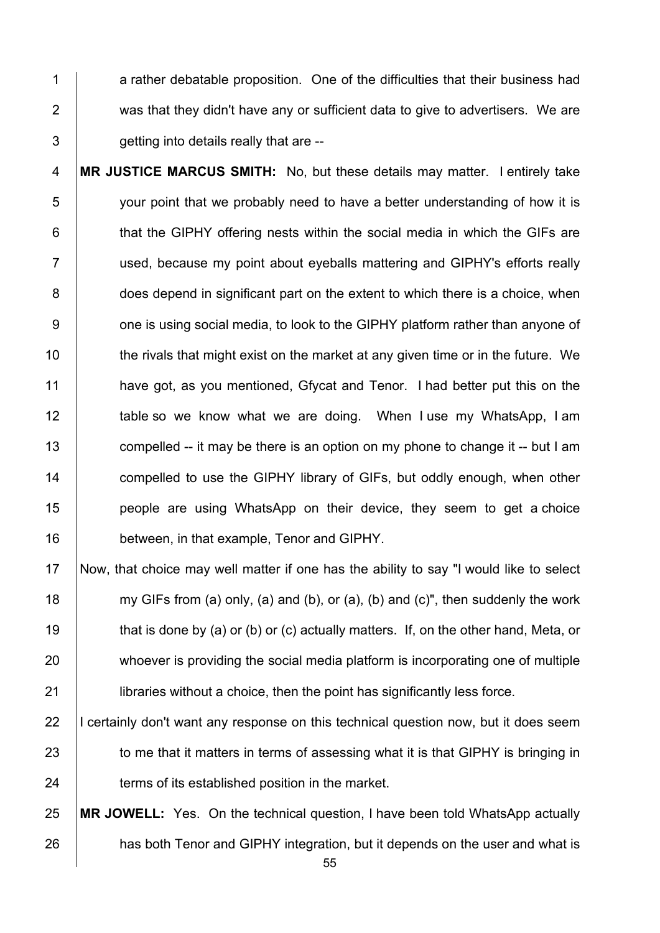1 a rather debatable proposition. One of the difficulties that their business had 2 was that they didn't have any or sufficient data to give to advertisers. We are  $3 \mid$  getting into details really that are --

**MR JUSTICE MARCUS SMITH:** No, but these details may matter. I entirely take 5 your point that we probably need to have a better understanding of how it is  $\parallel$  that the GIPHY offering nests within the social media in which the GIFs are 7 | used, because my point about eyeballs mattering and GIPHY's efforts really 8 does depend in significant part on the extent to which there is a choice, when **b** one is using social media, to look to the GIPHY platform rather than anyone of  $\parallel$  the rivals that might exist on the market at any given time or in the future. We **have got, as you mentioned, Gfycat and Tenor.** I had better put this on the **table so we know what we are doing.** When I use my WhatsApp, I am 13 compelled -- it may be there is an option on my phone to change it -- but I am **compelled to use the GIPHY library of GIFs, but oddly enough, when other people are using WhatsApp on their device, they seem to get a choice between, in that example, Tenor and GIPHY.** 

- 17 Now, that choice may well matter if one has the ability to say "I would like to select 18 my GIFs from (a) only, (a) and (b), or (a), (b) and (c)", then suddenly the work 19  $\parallel$  that is done by (a) or (b) or (c) actually matters. If, on the other hand, Meta, or 20 whoever is providing the social media platform is incorporating one of multiple 21 **I** libraries without a choice, then the point has significantly less force.
- 22 I certainly don't want any response on this technical question now, but it does seem 23 to me that it matters in terms of assessing what it is that GIPHY is bringing in 24 **terms of its established position in the market.**

25 **MR JOWELL:** Yes. On the technical question, I have been told WhatsApp actually 26 **has both Tenor and GIPHY integration, but it depends on the user and what is**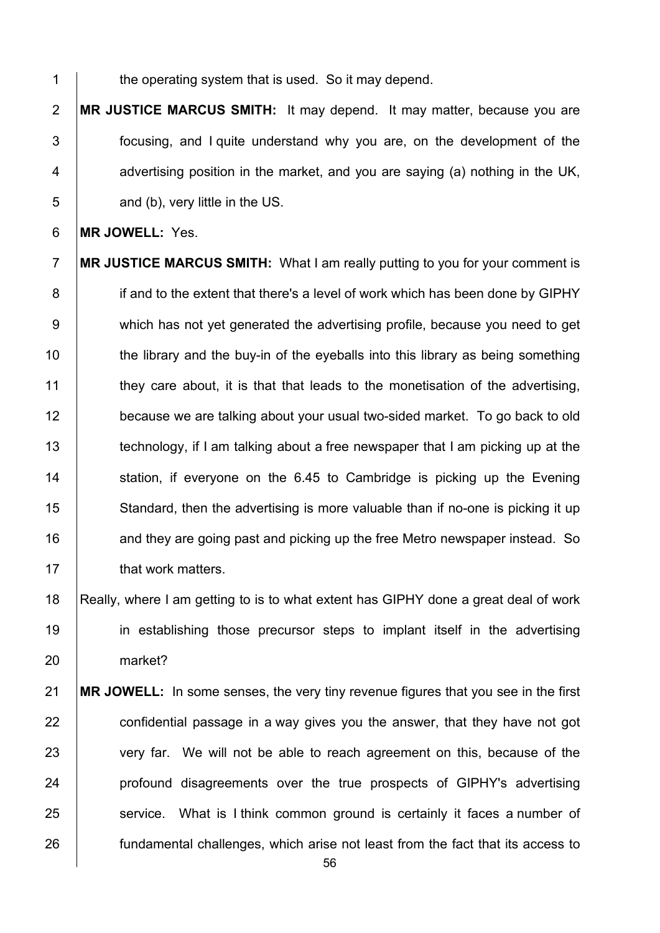1 the operating system that is used. So it may depend.

2 **MR JUSTICE MARCUS SMITH:** It may depend. It may matter, because you are 3 focusing, and I quite understand why you are, on the development of the 4  $\parallel$  advertising position in the market, and you are saying (a) nothing in the UK,  $5 \mid$  and (b), very little in the US.

6 **MR JOWELL:** Yes.

7 **MR JUSTICE MARCUS SMITH:** What I am really putting to you for your comment is 8 if and to the extent that there's a level of work which has been done by GIPHY 9 which has not yet generated the advertising profile, because you need to get 10 the library and the buy-in of the eyeballs into this library as being something 11 they care about, it is that that leads to the monetisation of the advertising, 12 because we are talking about your usual two-sided market. To go back to old 13 technology, if I am talking about a free newspaper that I am picking up at the 14 Station, if everyone on the 6.45 to Cambridge is picking up the Evening 15 Standard, then the advertising is more valuable than if no-one is picking it up 16 **and they are going past and picking up the free Metro newspaper instead. So** 17 **that work matters.** 

18 Really, where I am getting to is to what extent has GIPHY done a great deal of work 19 in establishing those precursor steps to implant itself in the advertising 20 market?

 **MR JOWELL:** In some senses, the very tiny revenue figures that you see in the first  $\vert$  confidential passage in a way gives you the answer, that they have not got 23 very far. We will not be able to reach agreement on this, because of the **profound disagreements over the true prospects of GIPHY's advertising Service.** What is I think common ground is certainly it faces a number of **fundamental challenges, which arise not least from the fact that its access to**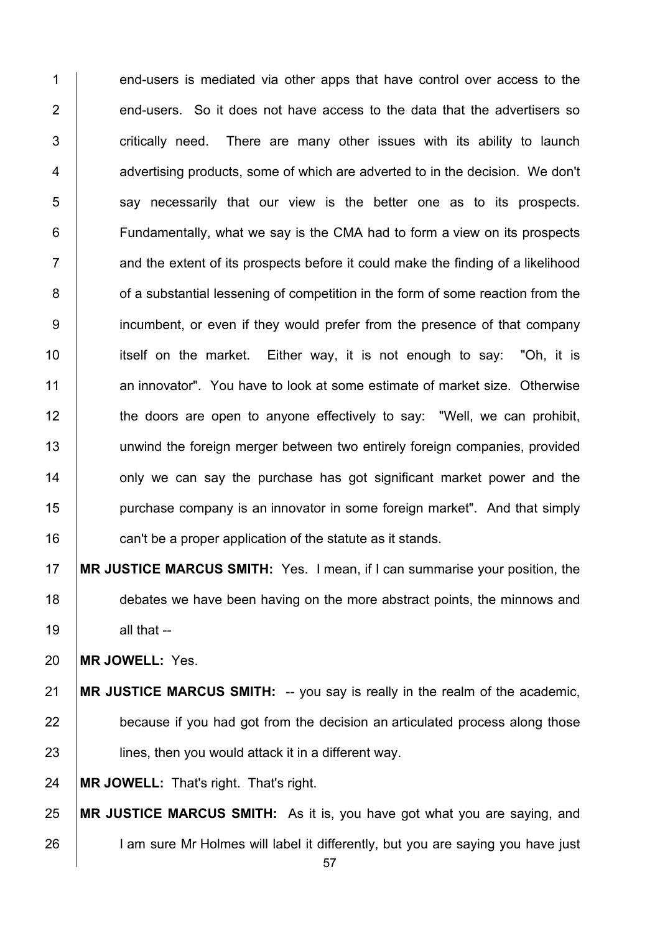1 end-users is mediated via other apps that have control over access to the  $\parallel$  end-users. So it does not have access to the data that the advertisers so  $\vert$  critically need. There are many other issues with its ability to launch  $\parallel$  advertising products, some of which are adverted to in the decision. We don't say necessarily that our view is the better one as to its prospects. **Fundamentally, what we say is the CMA had to form a view on its prospects**  $7 \mid$  and the extent of its prospects before it could make the finding of a likelihood **of a substantial lessening of competition in the form of some reaction from the** 9 incumbent, or even if they would prefer from the presence of that company 10 itself on the market. Either way, it is not enough to say: "Oh, it is 11 an innovator". You have to look at some estimate of market size. Otherwise 12 the doors are open to anyone effectively to say: "Well, we can prohibit, unwind the foreign merger between two entirely foreign companies, provided **14** only we can say the purchase has got significant market power and the **purchase company is an innovator in some foreign market".** And that simply **can't be a proper application of the statute as it stands.** 

 **MR JUSTICE MARCUS SMITH:** Yes. I mean, if I can summarise your position, the 18 debates we have been having on the more abstract points, the minnows and all that --

**MR JOWELL:** Yes.

**MR JUSTICE MARCUS SMITH:** -- you say is really in the realm of the academic, because if you had got from the decision an articulated process along those **let in the lines, then you would attack it in a different way.** 

**MR JOWELL:** That's right. That's right.

 **MR JUSTICE MARCUS SMITH:** As it is, you have got what you are saying, and 26 I am sure Mr Holmes will label it differently, but you are saying you have just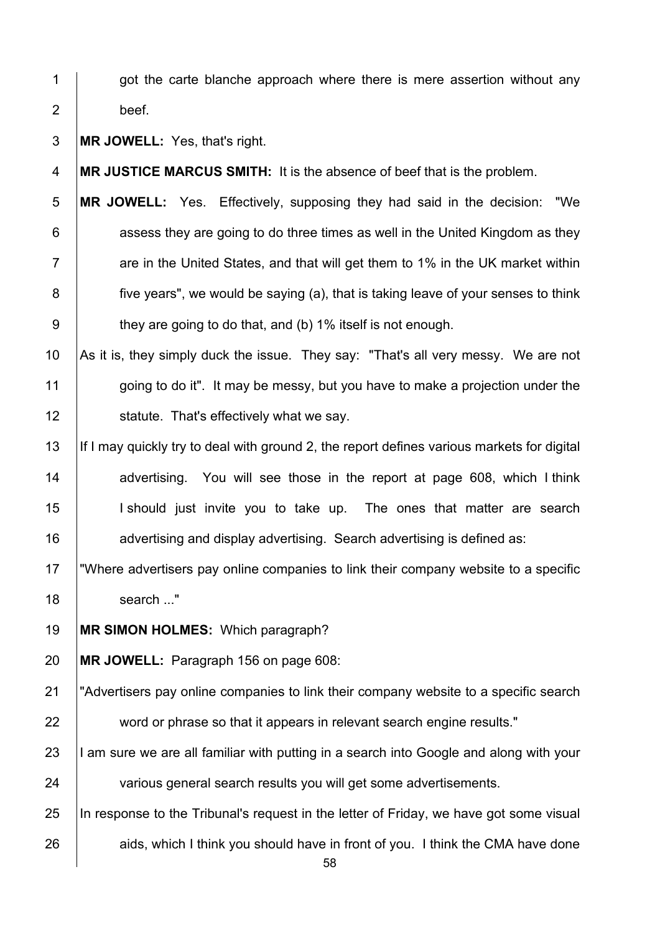1 | got the carte blanche approach where there is mere assertion without any 2 beef.

3 **MR JOWELL:** Yes, that's right.

4 **MR JUSTICE MARCUS SMITH:** It is the absence of beef that is the problem.

**MR JOWELL:** Yes. Effectively, supposing they had said in the decision: "We | assess they are going to do three times as well in the United Kingdom as they  $7 \mid$  are in the United States, and that will get them to 1% in the UK market within **five years", we would be saying (a), that is taking leave of your senses to think b** they are going to do that, and (b) 1% itself is not enough.

10  $\vert$  As it is, they simply duck the issue. They say: "That's all very messy. We are not 11 going to do it". It may be messy, but you have to make a projection under the 12 **Statute.** That's effectively what we say.

13 If I may quickly try to deal with ground 2, the report defines various markets for digital 14 advertising. You will see those in the report at page 608, which I think 15 | I should just invite you to take up. The ones that matter are search 16 **a**dvertising and display advertising. Search advertising is defined as:

17 TWhere advertisers pay online companies to link their company website to a specific 18 search ..."

19 **MR SIMON HOLMES:** Which paragraph?

20 **MR JOWELL:** Paragraph 156 on page 608:

21 The Tadvertisers pay online companies to link their company website to a specific search 22 word or phrase so that it appears in relevant search engine results."

 $23$  I am sure we are all familiar with putting in a search into Google and along with your 24 various general search results you will get some advertisements.

25 In response to the Tribunal's request in the letter of Friday, we have got some visual 26 aids, which I think you should have in front of you. I think the CMA have done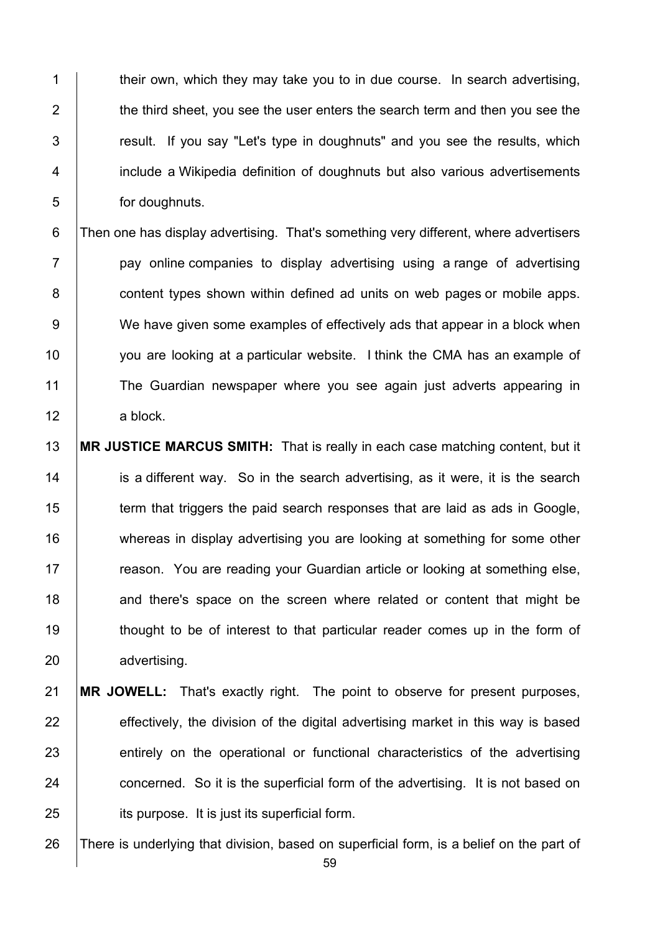$\parallel$  their own, which they may take you to in due course. In search advertising,  $\parallel$  the third sheet, you see the user enters the search term and then you see the  $\vert$  result. If you say "Let's type in doughnuts" and you see the results, which **i** include a Wikipedia definition of doughnuts but also various advertisements 5 for doughnuts.

6 Then one has display advertising. That's something very different, where advertisers  $7$  | pay online companies to display advertising using a range of advertising 8 **content types shown within defined ad units on web pages or mobile apps.** 9 We have given some examples of effectively ads that appear in a block when 10 you are looking at a particular website. I think the CMA has an example of 11 The Guardian newspaper where you see again just adverts appearing in 12 a block.

13 **MR JUSTICE MARCUS SMITH:** That is really in each case matching content, but it 14 is a different way. So in the search advertising, as it were, it is the search 15 Term that triggers the paid search responses that are laid as ads in Google, 16 whereas in display advertising you are looking at something for some other 17 **Figure 2** reason. You are reading your Guardian article or looking at something else, 18 and there's space on the screen where related or content that might be 19 thought to be of interest to that particular reader comes up in the form of 20 advertising.

21 **MR JOWELL:** That's exactly right. The point to observe for present purposes,  $22$  effectively, the division of the digital advertising market in this way is based 23 entirely on the operational or functional characteristics of the advertising 24 concerned. So it is the superficial form of the advertising. It is not based on 25 **its purpose.** It is just its superficial form.

26 There is underlying that division, based on superficial form, is a belief on the part of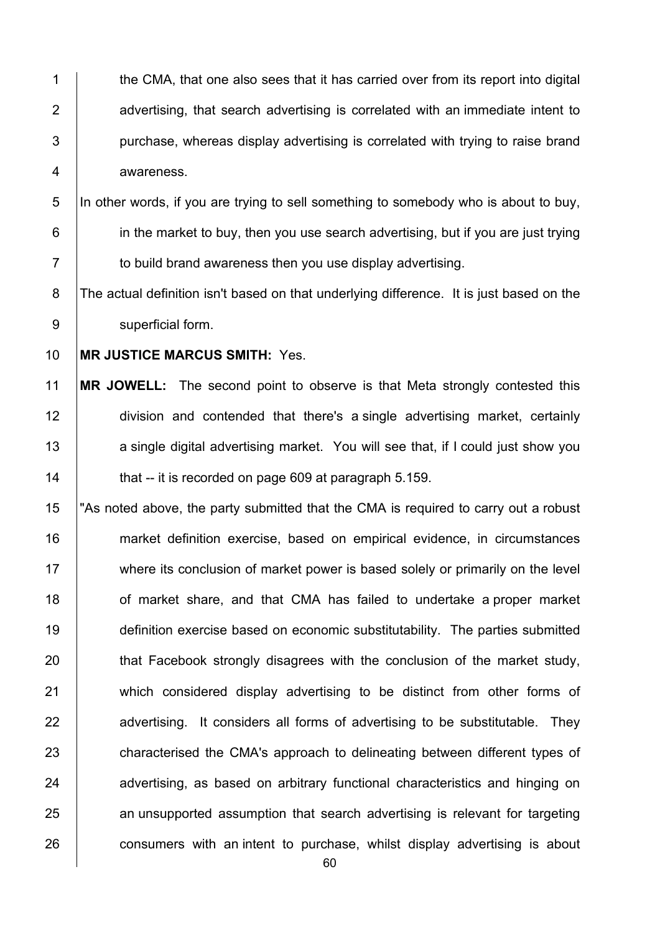1 the CMA, that one also sees that it has carried over from its report into digital 2 **a**dvertising, that search advertising is correlated with an immediate intent to  $3$  | purchase, whereas display advertising is correlated with trying to raise brand 4 awareness.

5 In other words, if you are trying to sell something to somebody who is about to buy,  $6$  in the market to buy, then you use search advertising, but if you are just trying 7 **to build brand awareness then you use display advertising.** 

8 The actual definition isn't based on that underlying difference. It is just based on the 9 | superficial form.

10 **MR JUSTICE MARCUS SMITH:** Yes.

 **MR JOWELL:** The second point to observe is that Meta strongly contested this division and contended that there's a single advertising market, certainly 13 a single digital advertising market. You will see that, if I could just show you  $\parallel$  that -- it is recorded on page 609 at paragraph 5.159.

15 The state of the party submitted that the CMA is required to carry out a robust 16 market definition exercise, based on empirical evidence, in circumstances 17 where its conclusion of market power is based solely or primarily on the level 18 **18** of market share, and that CMA has failed to undertake a proper market 19 definition exercise based on economic substitutability. The parties submitted 20 **that Facebook strongly disagrees with the conclusion of the market study,** 21 which considered display advertising to be distinct from other forms of 22 advertising. It considers all forms of advertising to be substitutable. They 23 characterised the CMA's approach to delineating between different types of 24 advertising, as based on arbitrary functional characteristics and hinging on 25 an unsupported assumption that search advertising is relevant for targeting 26 consumers with an intent to purchase, whilst display advertising is about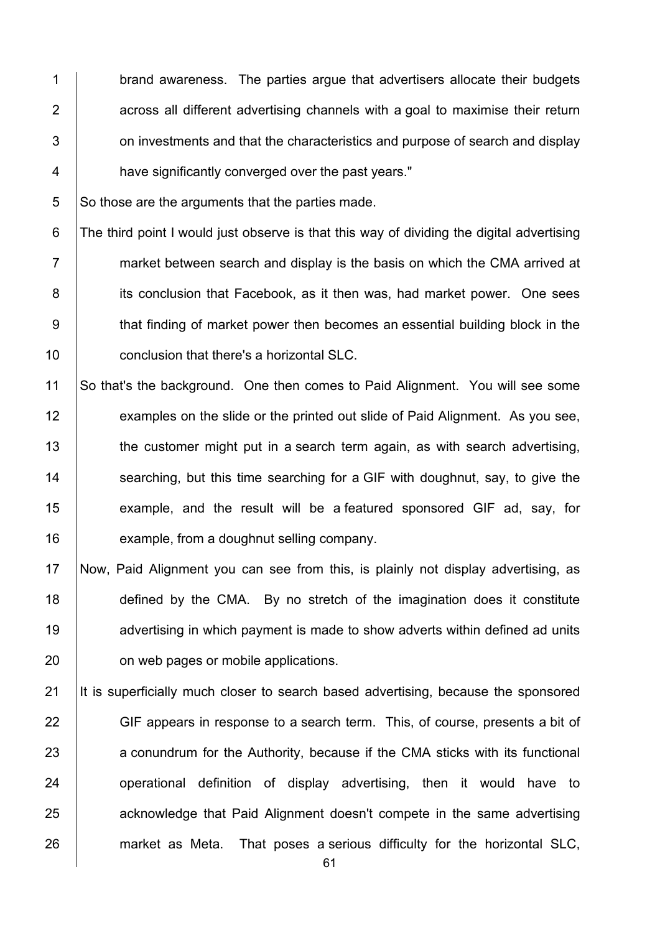1 brand awareness. The parties argue that advertisers allocate their budgets | across all different advertising channels with a goal to maximise their return  $\vert$  on investments and that the characteristics and purpose of search and display **have significantly converged over the past years."** 

 $5$  So those are the arguments that the parties made.

6 The third point I would just observe is that this way of dividing the digital advertising  $7 \mid$  market between search and display is the basis on which the CMA arrived at 8 its conclusion that Facebook, as it then was, had market power. One sees 9 that finding of market power then becomes an essential building block in the 10 **conclusion that there's a horizontal SLC.** 

 So that's the background. One then comes to Paid Alignment. You will see some 12 examples on the slide or the printed out slide of Paid Alignment. As you see, 13 the customer might put in a search term again, as with search advertising,  $\parallel$  searching, but this time searching for a GIF with doughnut, say, to give the **example, and the result will be a featured sponsored GIF ad, say, for example, from a doughnut selling company.** 

 Now, Paid Alignment you can see from this, is plainly not display advertising, as **defined by the CMA.** By no stretch of the imagination does it constitute **advertising in which payment is made to show adverts within defined ad units b** on web pages or mobile applications.

21 It is superficially much closer to search based advertising, because the sponsored 22 GIF appears in response to a search term. This, of course, presents a bit of 23 a conundrum for the Authority, because if the CMA sticks with its functional 24 | operational definition of display advertising, then it would have to 25 acknowledge that Paid Alignment doesn't compete in the same advertising 26 market as Meta. That poses a serious difficulty for the horizontal SLC,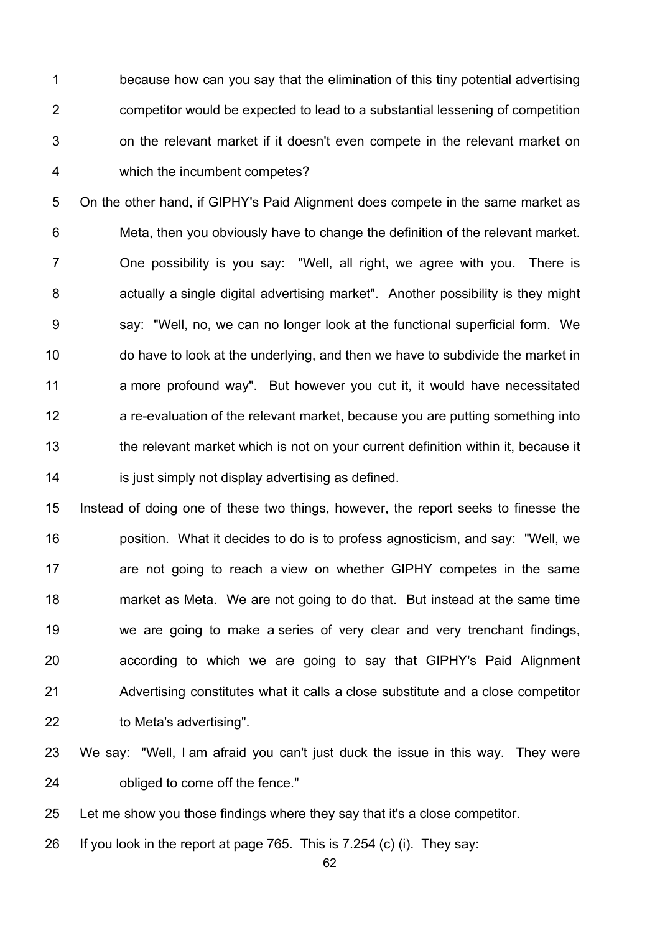1 because how can you say that the elimination of this tiny potential advertising 2 **2** competitor would be expected to lead to a substantial lessening of competition 3 **b** on the relevant market if it doesn't even compete in the relevant market on 4 which the incumbent competes?

5 On the other hand, if GIPHY's Paid Alignment does compete in the same market as 6 **Meta, then you obviously have to change the definition of the relevant market.** 7 **One possibility is you say: "Well, all right, we agree with you. There is** 8 actually a single digital advertising market". Another possibility is they might 9 | say: "Well, no, we can no longer look at the functional superficial form. We 10 do have to look at the underlying, and then we have to subdivide the market in 11 a more profound way". But however you cut it, it would have necessitated 12 a re-evaluation of the relevant market, because you are putting something into 13 the relevant market which is not on your current definition within it, because it 14 **is just simply not display advertising as defined.** 

15 Instead of doing one of these two things, however, the report seeks to finesse the 16 **position.** What it decides to do is to profess agnosticism, and say: "Well, we 17 **are not going to reach a view on whether GIPHY competes in the same** 18 market as Meta. We are not going to do that. But instead at the same time 19 we are going to make a series of very clear and very trenchant findings, 20 **according to which we are going to say that GIPHY's Paid Alignment** 21 Advertising constitutes what it calls a close substitute and a close competitor 22 to Meta's advertising".

23 We say: "Well, I am afraid you can't just duck the issue in this way. They were 24 **b** obliged to come off the fence."

25 Let me show you those findings where they say that it's a close competitor.

26 If you look in the report at page 765. This is 7.254 (c) (i). They say: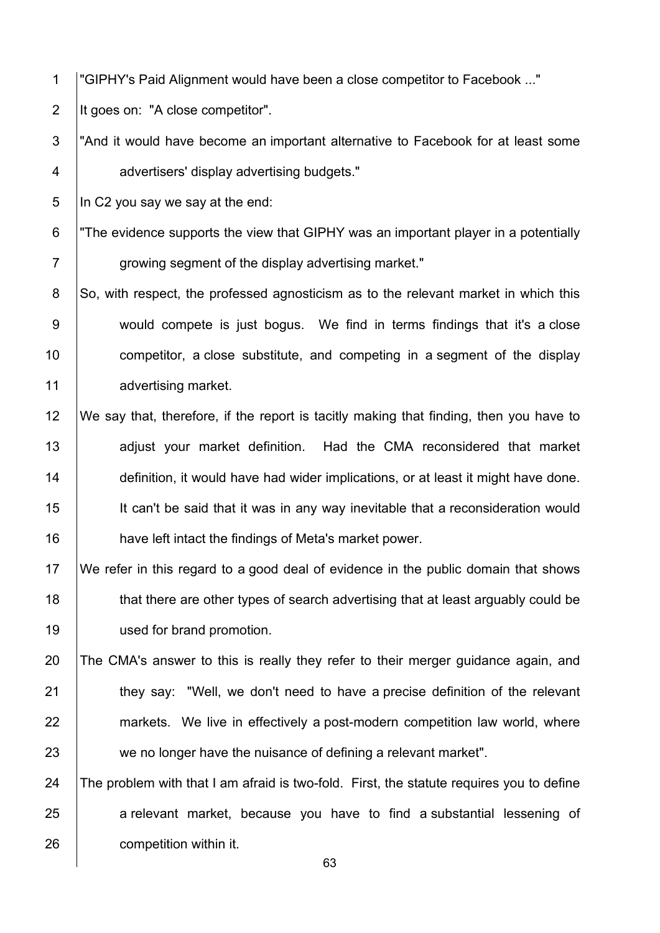1 "GIPHY's Paid Alignment would have been a close competitor to Facebook ..."

2 | It goes on: "A close competitor".

3 I And it would have become an important alternative to Facebook for at least some 4 advertisers' display advertising budgets."

 $5$  In C2 you say we say at the end:

- 6 "The evidence supports the view that GIPHY was an important player in a potentially 7 | growing segment of the display advertising market."
- 8 So, with respect, the professed agnosticism as to the relevant market in which this 9 would compete is just bogus. We find in terms findings that it's a close 10 **competition** a close substitute, and competing in a segment of the display 11 advertising market.
- 12 We say that, therefore, if the report is tacitly making that finding, then you have to 13 **adjust your market definition.** Had the CMA reconsidered that market 14 **definition, it would have had wider implications, or at least it might have done.** 15 It can't be said that it was in any way inevitable that a reconsideration would 16 have left intact the findings of Meta's market power.
- 17 We refer in this regard to a good deal of evidence in the public domain that shows 18 that there are other types of search advertising that at least arguably could be 19 | used for brand promotion.
- 20 The CMA's answer to this is really they refer to their merger guidance again, and 21 **they say: "Well, we don't need to have a precise definition of the relevant** 22 markets. We live in effectively a post-modern competition law world, where 23 we no longer have the nuisance of defining a relevant market".
- 24  $\parallel$  The problem with that I am afraid is two-fold. First, the statute requires you to define 25 a relevant market, because you have to find a substantial lessening of 26 **competition within it.**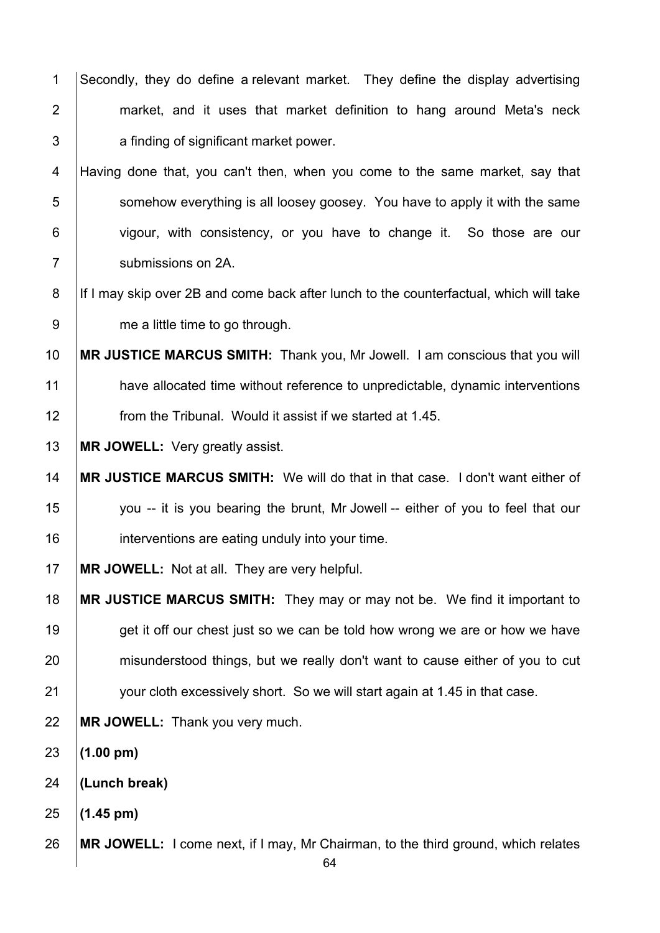1 Secondly, they do define a relevant market. They define the display advertising **market, and it uses that market definition to hang around Meta's neck a** finding of significant market power.

4 Having done that, you can't then, when you come to the same market, say that 5 S im somehow everything is all loosey goosey. You have to apply it with the same 6 vigour, with consistency, or you have to change it. So those are our **Submissions on 2A.** 

8 | If I may skip over 2B and come back after lunch to the counterfactual, which will take 9 me a little time to go through.

 **MR JUSTICE MARCUS SMITH:** Thank you, Mr Jowell. I am conscious that you will 11 have allocated time without reference to unpredictable, dynamic interventions **from the Tribunal. Would it assist if we started at 1.45.** 

**MR JOWELL:** Very greatly assist.

 **MR JUSTICE MARCUS SMITH:** We will do that in that case. I don't want either of 15 you -- it is you bearing the brunt, Mr Jowell -- either of you to feel that our **interventions are eating unduly into your time.** 

**MR JOWELL:** Not at all. They are very helpful.

 **MR JUSTICE MARCUS SMITH:** They may or may not be. We find it important to 19 get it off our chest just so we can be told how wrong we are or how we have 20 misunderstood things, but we really don't want to cause either of you to cut **your cloth excessively short.** So we will start again at 1.45 in that case.

**MR JOWELL:** Thank you very much.

**(1.00 pm)** 

**(Lunch break)**

**(1.45 pm)** 

**MR JOWELL:** I come next, if I may, Mr Chairman, to the third ground, which relates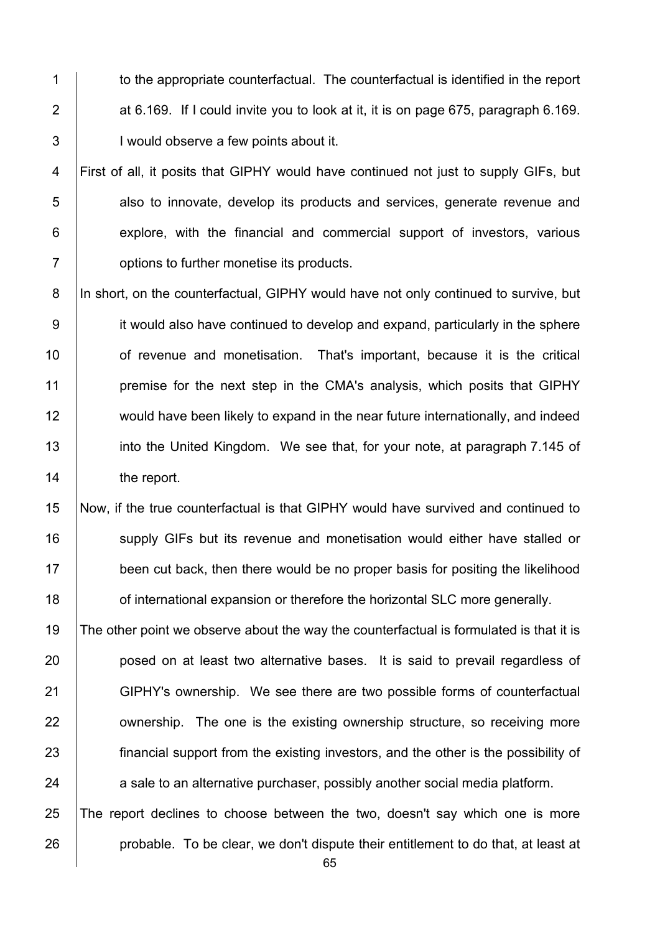1 to the appropriate counterfactual. The counterfactual is identified in the report 2  $\parallel$  at 6.169. If I could invite you to look at it, it is on page 675, paragraph 6.169. 3 | Would observe a few points about it.

4 First of all, it posits that GIPHY would have continued not just to supply GIFs, but **b** also to innovate, develop its products and services, generate revenue and **explore, with the financial and commercial support of investors, various b** options to further monetise its products.

8 |In short, on the counterfactual, GIPHY would have not only continued to survive, but 9 it would also have continued to develop and expand, particularly in the sphere 10 **1** of revenue and monetisation. That's important, because it is the critical 11 **premise for the next step in the CMA's analysis, which posits that GIPHY** 12 would have been likely to expand in the near future internationally, and indeed 13 into the United Kingdom. We see that, for your note, at paragraph 7.145 of 14 | the report.

15 Now, if the true counterfactual is that GIPHY would have survived and continued to 16 Supply GIFs but its revenue and monetisation would either have stalled or 17 been cut back, then there would be no proper basis for positing the likelihood 18 **Fig. 3** of international expansion or therefore the horizontal SLC more generally.

19 The other point we observe about the way the counterfactual is formulated is that it is **posed on at least two alternative bases.** It is said to prevail regardless of 21 GIPHY's ownership. We see there are two possible forms of counterfactual **ownership.** The one is the existing ownership structure, so receiving more **financial support from the existing investors, and the other is the possibility of** a sale to an alternative purchaser, possibly another social media platform.

25 The report declines to choose between the two, doesn't say which one is more 26 **probable.** To be clear, we don't dispute their entitlement to do that, at least at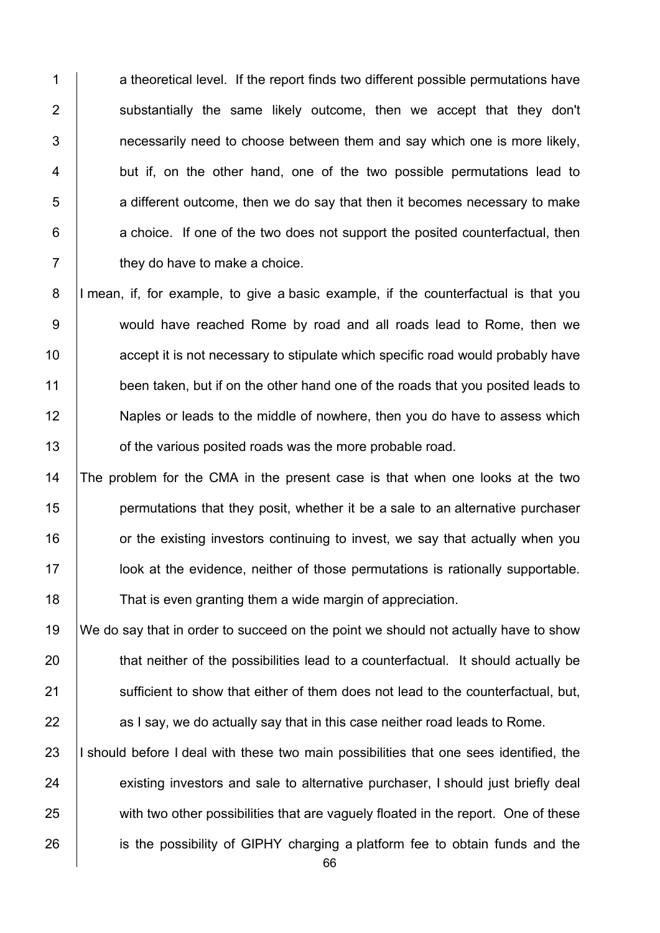1 a theoretical level. If the report finds two different possible permutations have 2 | substantially the same likely outcome, then we accept that they don't  $3$  | necessarily need to choose between them and say which one is more likely, 4 but if, on the other hand, one of the two possible permutations lead to  $\overline{5}$  a different outcome, then we do say that then it becomes necessary to make  $6$  | a choice. If one of the two does not support the posited counterfactual, then  $7 \mid$  they do have to make a choice.

8 I mean, if, for example, to give a basic example, if the counterfactual is that you 9 would have reached Rome by road and all roads lead to Rome, then we 10 **10** accept it is not necessary to stipulate which specific road would probably have 11 been taken, but if on the other hand one of the roads that you posited leads to 12 Naples or leads to the middle of nowhere, then you do have to assess which 13 **orable 13** of the various posited roads was the more probable road.

 The problem for the CMA in the present case is that when one looks at the two **permutations that they posit, whether it be a sale to an alternative purchaser**  or the existing investors continuing to invest, we say that actually when you look at the evidence, neither of those permutations is rationally supportable. 18 That is even granting them a wide margin of appreciation.

19 We do say that in order to succeed on the point we should not actually have to show 20 that neither of the possibilities lead to a counterfactual. It should actually be 21 Sufficient to show that either of them does not lead to the counterfactual, but,  $22$  as I say, we do actually say that in this case neither road leads to Rome.

23 I should before I deal with these two main possibilities that one sees identified, the 24 existing investors and sale to alternative purchaser, I should just briefly deal 25 with two other possibilities that are vaguely floated in the report. One of these 26 is the possibility of GIPHY charging a platform fee to obtain funds and the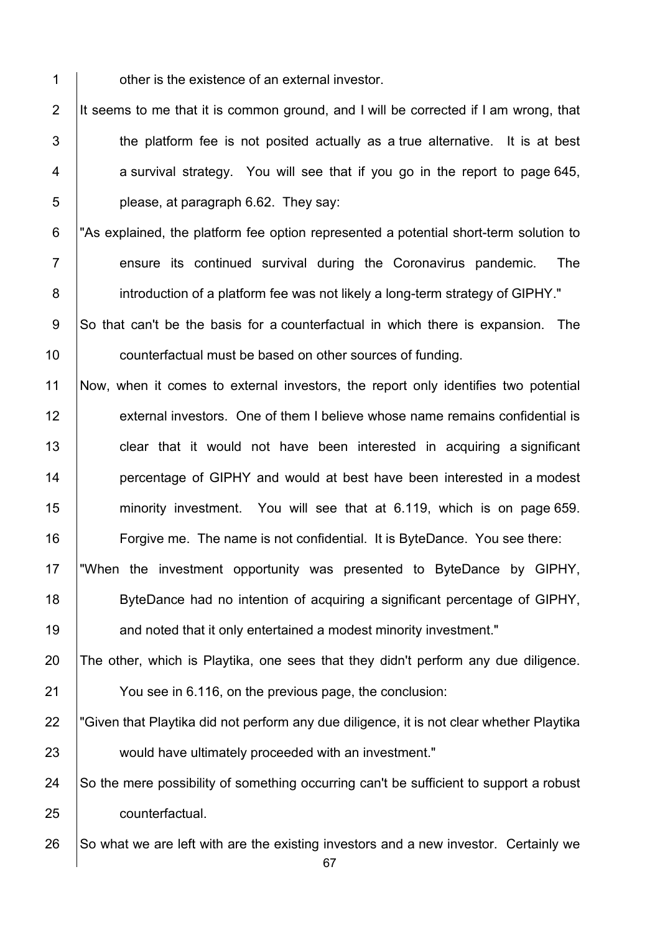**deciry 1** other is the existence of an external investor.

2 It seems to me that it is common ground, and I will be corrected if I am wrong, that  $\vert$  the platform fee is not posited actually as a true alternative. It is at best a survival strategy. You will see that if you go in the report to page 645,  $\overline{5}$  | please, at paragraph 6.62. They say:

6 "As explained, the platform fee option represented a potential short-term solution to **Fig. 2** ensure its continued survival during the Coronavirus pandemic. The 8 introduction of a platform fee was not likely a long-term strategy of GIPHY."

9 So that can't be the basis for a counterfactual in which there is expansion. The **counterfactual must be based on other sources of funding.** 

 Now, when it comes to external investors, the report only identifies two potential 12 external investors. One of them I believe whose name remains confidential is **clear that it would not have been interested in acquiring a significant percentage of GIPHY and would at best have been interested in a modest minority investment.** You will see that at 6.119, which is on page 659. **Forgive me.** The name is not confidential. It is ByteDance. You see there:

 "When the investment opportunity was presented to ByteDance by GIPHY, ByteDance had no intention of acquiring a significant percentage of GIPHY, **and noted that it only entertained a modest minority investment."** 

The other, which is Playtika, one sees that they didn't perform any due diligence.

You see in 6.116, on the previous page, the conclusion:

22 F Given that Playtika did not perform any due diligence, it is not clear whether Playtika **would have ultimately proceeded with an investment."** 

24  $\vert$  So the mere possibility of something occurring can't be sufficient to support a robust **counterfactual.** 

26  $\vert$  So what we are left with are the existing investors and a new investor. Certainly we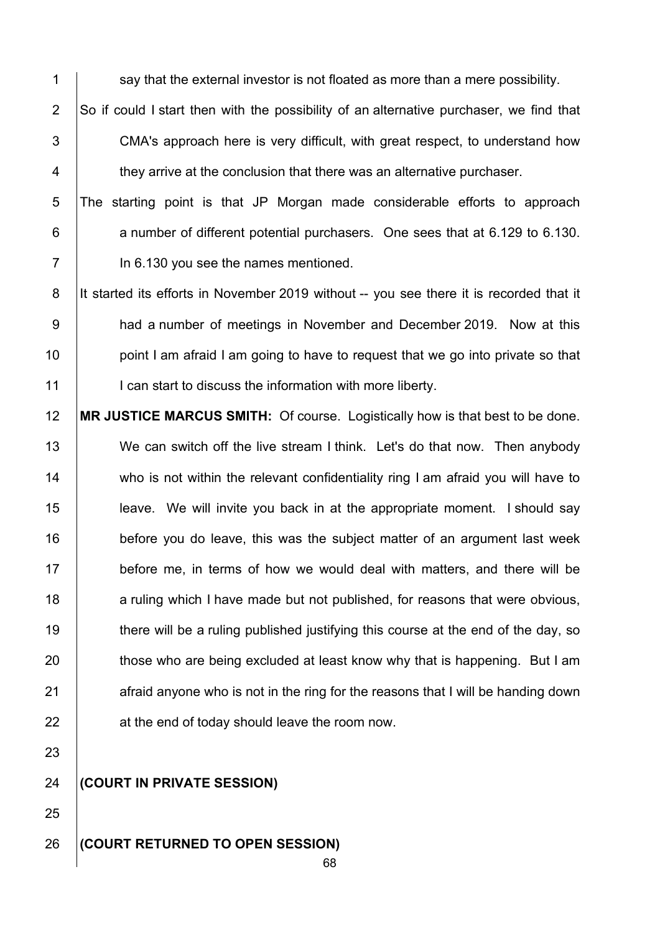$1$  say that the external investor is not floated as more than a mere possibility.

2  $\vert$ So if could I start then with the possibility of an alternative purchaser, we find that 3 CMA's approach here is very difficult, with great respect, to understand how  $4$   $\parallel$  they arrive at the conclusion that there was an alternative purchaser.

5 The starting point is that JP Morgan made considerable efforts to approach 6 **a** number of different potential purchasers. One sees that at 6.129 to 6.130. 7 In 6.130 you see the names mentioned.

8 It started its efforts in November 2019 without -- you see there it is recorded that it 9 had a number of meetings in November and December 2019. Now at this  $10$  point I am afraid I am going to have to request that we go into private so that 11 | I can start to discuss the information with more liberty.

12 **MR JUSTICE MARCUS SMITH:** Of course. Logistically how is that best to be done. 13 We can switch off the live stream I think. Let's do that now. Then anybody 14 who is not within the relevant confidentiality ring I am afraid you will have to 15 **leave.** We will invite you back in at the appropriate moment. I should say 16 **before you do leave, this was the subject matter of an argument last week** 17 before me, in terms of how we would deal with matters, and there will be 18 a ruling which I have made but not published, for reasons that were obvious, 19 there will be a ruling published justifying this course at the end of the day, so 20 those who are being excluded at least know why that is happening. But I am  $21$  afraid anyone who is not in the ring for the reasons that I will be handing down 22 **a**t the end of today should leave the room now.

23

25

24 **(COURT IN PRIVATE SESSION)** 

### 26 **(COURT RETURNED TO OPEN SESSION)**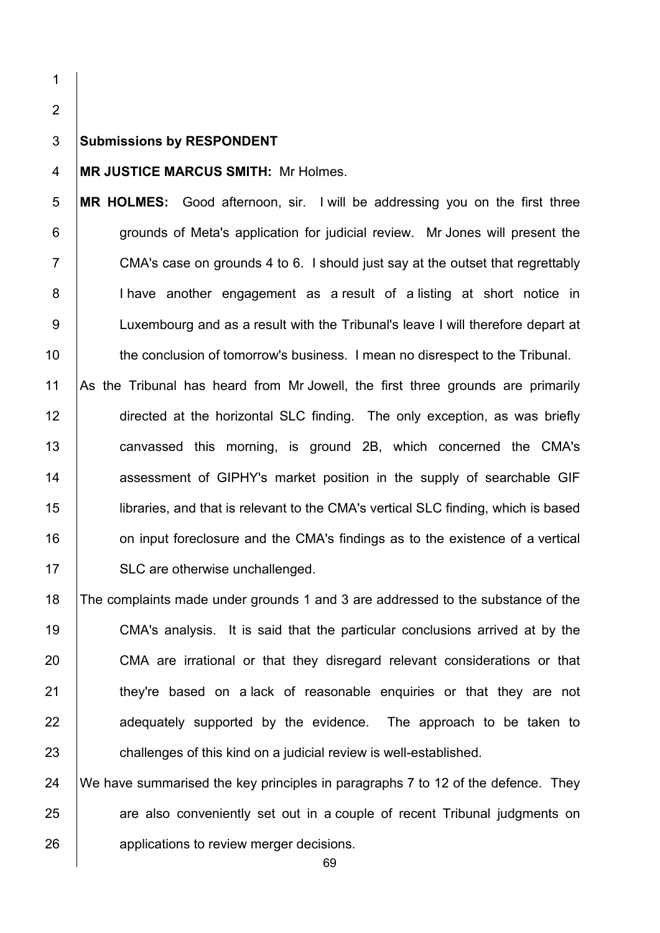1

2

#### 3 **Submissions by RESPONDENT**

#### 4 **MR JUSTICE MARCUS SMITH:** Mr Holmes.

5 **MR HOLMES:** Good afternoon, sir. I will be addressing you on the first three 6 **grounds of Meta's application for judicial review.** Mr Jones will present the 7 CMA's case on grounds 4 to 6. I should just say at the outset that regrettably 8 | I have another engagement as a result of a listing at short notice in 9 | Luxembourg and as a result with the Tribunal's leave I will therefore depart at 10 the conclusion of tomorrow's business. I mean no disrespect to the Tribunal.

 As the Tribunal has heard from Mr Jowell, the first three grounds are primarily 12 directed at the horizontal SLC finding. The only exception, as was briefly **canvassed this morning, is ground 2B, which concerned the CMA's assessment of GIPHY's market position in the supply of searchable GIF**  libraries, and that is relevant to the CMA's vertical SLC finding, which is based **16** on input foreclosure and the CMA's findings as to the existence of a vertical 17 | SLC are otherwise unchallenged.

18 The complaints made under grounds 1 and 3 are addressed to the substance of the 19 CMA's analysis. It is said that the particular conclusions arrived at by the 20 CMA are irrational or that they disregard relevant considerations or that 21 | they're based on a lack of reasonable enquiries or that they are not 22 adequately supported by the evidence. The approach to be taken to 23 **challenges of this kind on a judicial review is well-established.** 

24  $\parallel$  We have summarised the key principles in paragraphs 7 to 12 of the defence. They 25 are also conveniently set out in a couple of recent Tribunal judgments on 26 **b** applications to review merger decisions.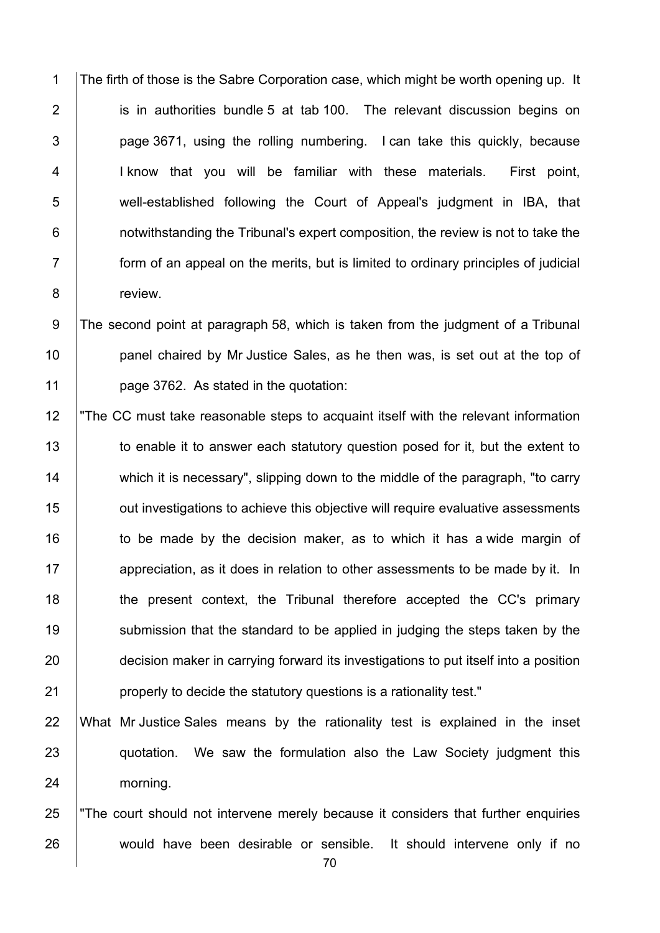1 The firth of those is the Sabre Corporation case, which might be worth opening up. It 2 is in authorities bundle 5 at tab 100. The relevant discussion begins on  $3$  | page 3671, using the rolling numbering. I can take this quickly, because 4 | I know that you will be familiar with these materials. First point, 5 well-established following the Court of Appeal's judgment in IBA, that 6 **1** notwithstanding the Tribunal's expert composition, the review is not to take the 7 form of an appeal on the merits, but is limited to ordinary principles of judicial 8 **b** review.

9 The second point at paragraph 58, which is taken from the judgment of a Tribunal 10 **panel chaired by Mr Justice Sales, as he then was, is set out at the top of** 11 **page 3762.** As stated in the quotation:

12 "The CC must take reasonable steps to acquaint itself with the relevant information 13 to enable it to answer each statutory question posed for it, but the extent to 14 which it is necessary", slipping down to the middle of the paragraph, "to carry 15 **15** out investigations to achieve this objective will require evaluative assessments  $16$  to be made by the decision maker, as to which it has a wide margin of 17 **a**ppreciation, as it does in relation to other assessments to be made by it. In 18 the present context, the Tribunal therefore accepted the CC's primary 19 Submission that the standard to be applied in judging the steps taken by the 20 decision maker in carrying forward its investigations to put itself into a position 21 **properly to decide the statutory questions is a rationality test."** 

## 22 What Mr Justice Sales means by the rationality test is explained in the inset 23 quotation. We saw the formulation also the Law Society judgment this 24 morning.

25 The court should not intervene merely because it considers that further enquiries 26 would have been desirable or sensible. It should intervene only if no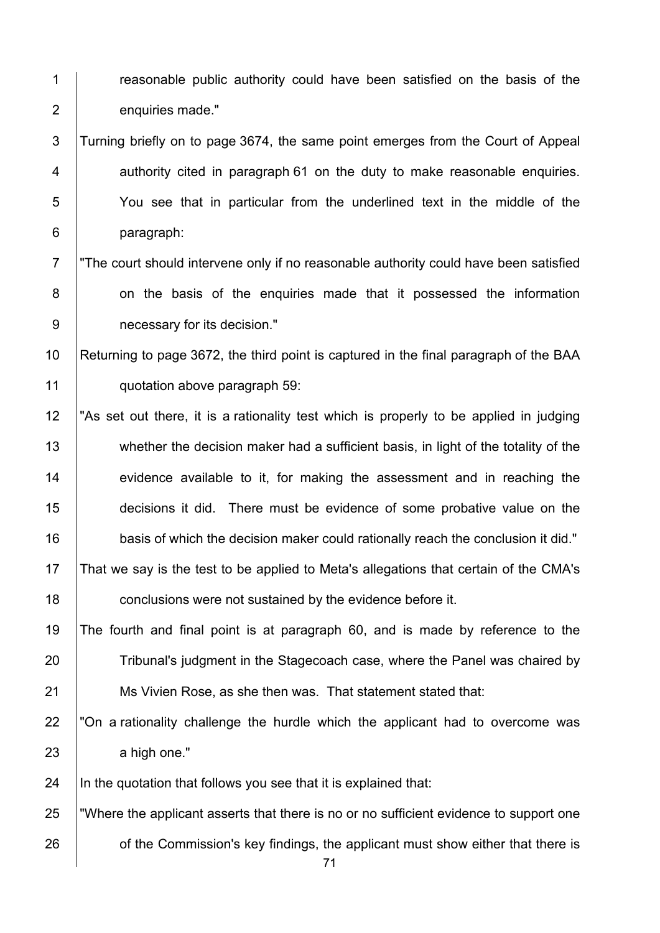1 **Figure 2** reasonable public authority could have been satisfied on the basis of the 2 enquiries made."

3 Turning briefly on to page 3674, the same point emerges from the Court of Appeal  $4$  | authority cited in paragraph 61 on the duty to make reasonable enquiries. 5 You see that in particular from the underlined text in the middle of the 6 paragraph:

7 The court should intervene only if no reasonable authority could have been satisfied 8 on the basis of the enquiries made that it possessed the information 9 **paints** necessary for its decision."

10 Returning to page 3672, the third point is captured in the final paragraph of the BAA 11 **quotation above paragraph 59:** 

12 "As set out there, it is a rationality test which is properly to be applied in judging 13 whether the decision maker had a sufficient basis, in light of the totality of the 14 evidence available to it, for making the assessment and in reaching the 15 decisions it did. There must be evidence of some probative value on the 16 basis of which the decision maker could rationally reach the conclusion it did." 17 That we say is the test to be applied to Meta's allegations that certain of the CMA's

18 **conclusions were not sustained by the evidence before it.** 

19 The fourth and final point is at paragraph 60, and is made by reference to the 20 Tribunal's judgment in the Stagecoach case, where the Panel was chaired by 21 **Ms Vivien Rose, as she then was. That statement stated that:** 

22  $\degree$  Ton a rationality challenge the hurdle which the applicant had to overcome was 23 a high one."

 $24$  In the quotation that follows you see that it is explained that:

25 "Where the applicant asserts that there is no or no sufficient evidence to support one 26 **on** of the Commission's key findings, the applicant must show either that there is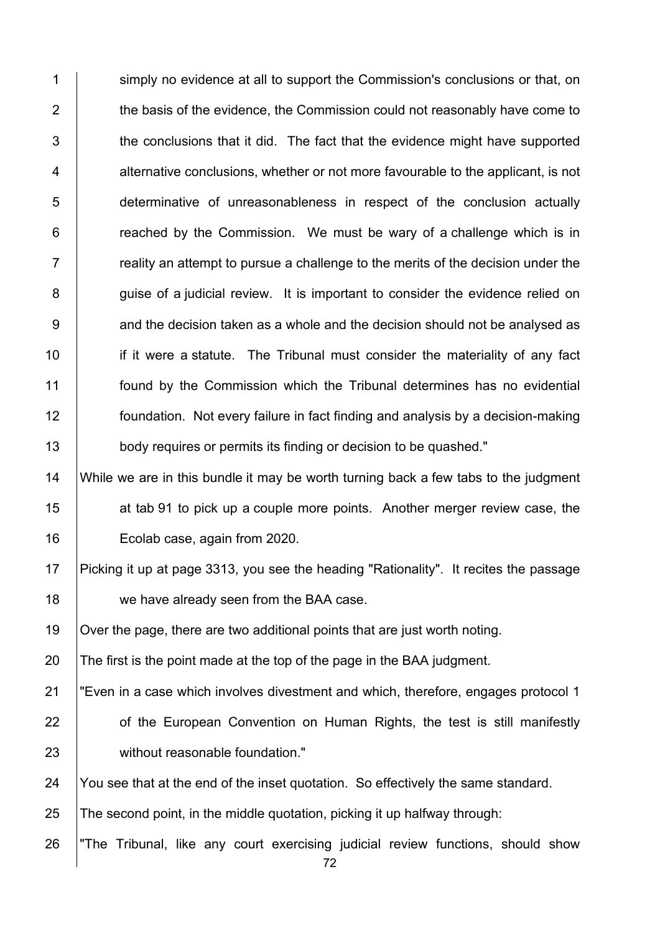1 Simply no evidence at all to support the Commission's conclusions or that, on 2 the basis of the evidence, the Commission could not reasonably have come to  $3$   $\parallel$  the conclusions that it did. The fact that the evidence might have supported 4 alternative conclusions, whether or not more favourable to the applicant, is not 5 determinative of unreasonableness in respect of the conclusion actually  $6$  | reached by the Commission. We must be wary of a challenge which is in  $7 \mid$  reality an attempt to pursue a challenge to the merits of the decision under the 8 | guise of a judicial review. It is important to consider the evidence relied on 9 <br>9 and the decision taken as a whole and the decision should not be analysed as 10 **i** if it were a statute. The Tribunal must consider the materiality of any fact 11 found by the Commission which the Tribunal determines has no evidential 12 foundation. Not every failure in fact finding and analysis by a decision-making 13 body requires or permits its finding or decision to be quashed."

14 While we are in this bundle it may be worth turning back a few tabs to the judgment 15 **15** at tab 91 to pick up a couple more points. Another merger review case, the 16 | Ecolab case, again from 2020.

17 Picking it up at page 3313, you see the heading "Rationality". It recites the passage 18 we have already seen from the BAA case.

19 Over the page, there are two additional points that are just worth noting.

20  $\vert$  The first is the point made at the top of the page in the BAA judgment.

21 "Even in a case which involves divestment and which, therefore, engages protocol 1 22 **of the European Convention on Human Rights, the test is still manifestly** 

23 | without reasonable foundation."

24 You see that at the end of the inset quotation. So effectively the same standard.

25  $\vert$  The second point, in the middle quotation, picking it up halfway through:

26 The Tribunal, like any court exercising judicial review functions, should show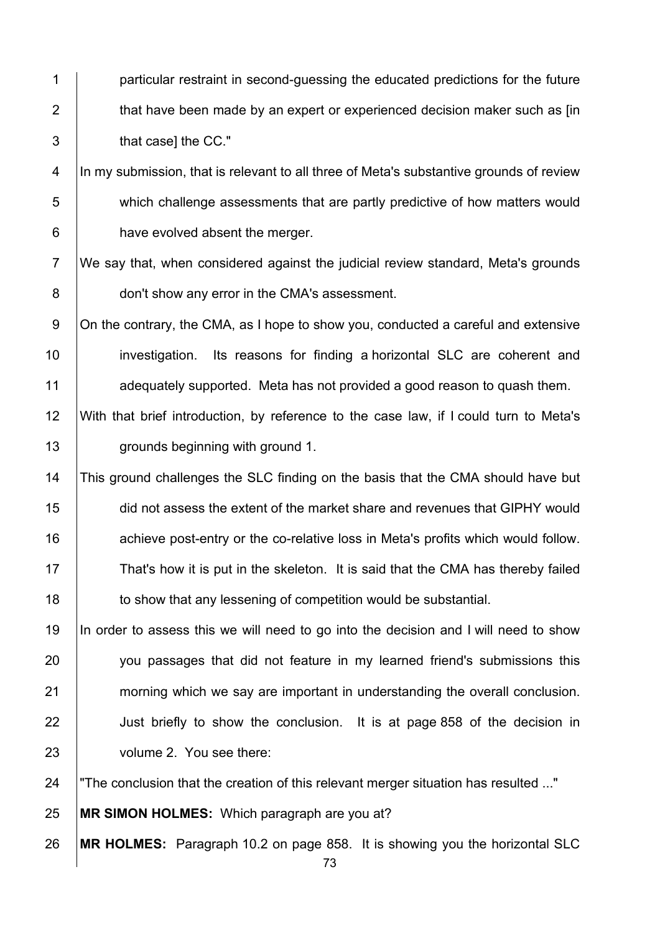**particular restraint in second-quessing the educated predictions for the future**  $\parallel$  that have been made by an expert or experienced decision maker such as [in **b** that casel the CC."

4 | In my submission, that is relevant to all three of Meta's substantive grounds of review 5 which challenge assessments that are partly predictive of how matters would **have evolved absent the merger.** 

7 We say that, when considered against the judicial review standard, Meta's grounds **don't show any error in the CMA's assessment.** 

9 On the contrary, the CMA, as I hope to show you, conducted a careful and extensive 10 investigation. Its reasons for finding a horizontal SLC are coherent and **1** adequately supported. Meta has not provided a good reason to quash them.

 With that brief introduction, by reference to the case law, if I could turn to Meta's **grounds beginning with ground 1.** 

 This ground challenges the SLC finding on the basis that the CMA should have but did not assess the extent of the market share and revenues that GIPHY would **16** achieve post-entry or the co-relative loss in Meta's profits which would follow. 17 That's how it is put in the skeleton. It is said that the CMA has thereby failed **to show that any lessening of competition would be substantial.** 

19 In order to assess this we will need to go into the decision and I will need to show 20 you passages that did not feature in my learned friend's submissions this 21 morning which we say are important in understanding the overall conclusion. 22 Just briefly to show the conclusion. It is at page 858 of the decision in volume 2. You see there:

"The conclusion that the creation of this relevant merger situation has resulted ..."

**MR SIMON HOLMES:** Which paragraph are you at?

**MR HOLMES:** Paragraph 10.2 on page 858. It is showing you the horizontal SLC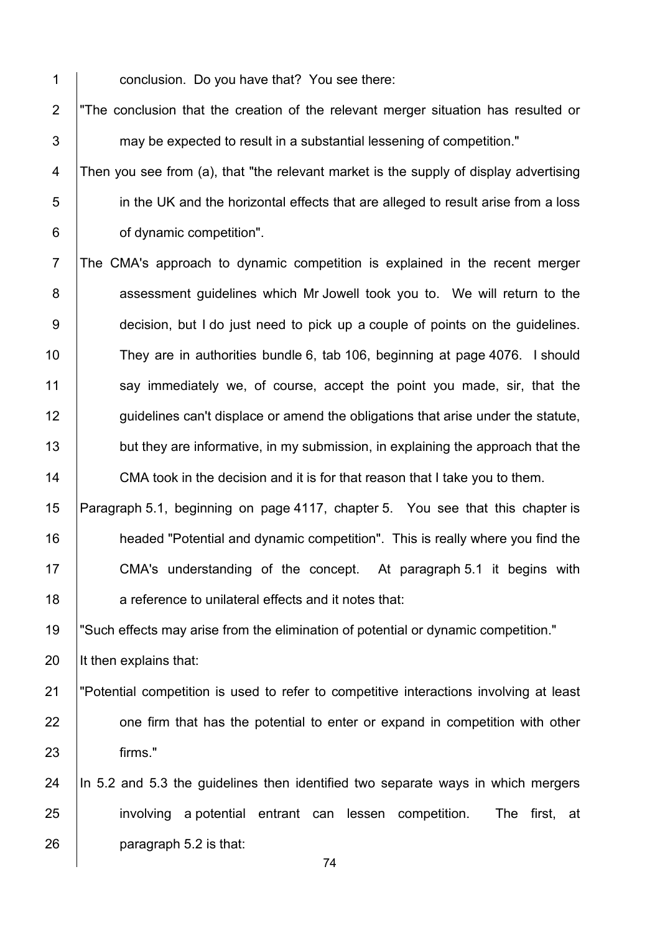1 **conclusion.** Do you have that? You see there:

2 The conclusion that the creation of the relevant merger situation has resulted or  $3$   $\parallel$  may be expected to result in a substantial lessening of competition."

4 Then you see from (a), that "the relevant market is the supply of display advertising 5 **i** in the UK and the horizontal effects that are alleged to result arise from a loss 6 **of dynamic competition".** 

7 The CMA's approach to dynamic competition is explained in the recent merger 8 assessment guidelines which Mr Jowell took you to. We will return to the 9 **decision, but I do just need to pick up a couple of points on the guidelines.** 10 They are in authorities bundle 6, tab 106, beginning at page 4076. I should 11 say immediately we, of course, accept the point you made, sir, that the 12 guidelines can't displace or amend the obligations that arise under the statute, 13 but they are informative, in my submission, in explaining the approach that the 14 CMA took in the decision and it is for that reason that I take you to them.

 Paragraph 5.1, beginning on page 4117, chapter 5. You see that this chapter is **headed "Potential and dynamic competition".** This is really where you find the 17 CMA's understanding of the concept. At paragraph 5.1 it begins with **a** reference to unilateral effects and it notes that:

19 "Such effects may arise from the elimination of potential or dynamic competition."

20  $\vert$  It then explains that:

- 21 "Potential competition is used to refer to competitive interactions involving at least 22 **one firm that has the potential to enter or expand in competition with other** 23 firms."
- 24  $\parallel$  In 5.2 and 5.3 the quidelines then identified two separate ways in which mergers 25 involving a potential entrant can lessen competition. The first, at 26 **paragraph 5.2** is that: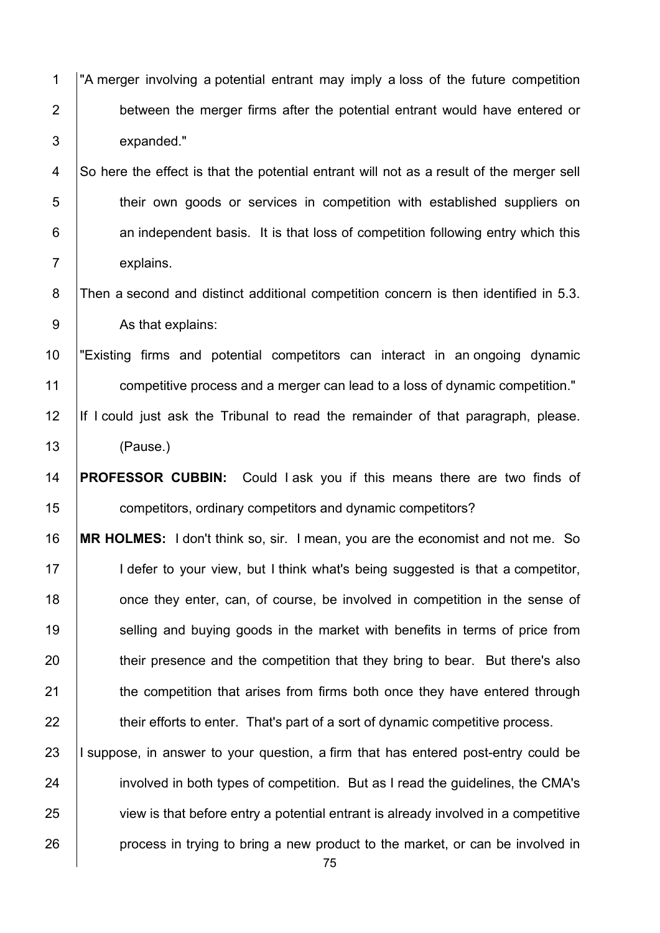1 "A merger involving a potential entrant may imply a loss of the future competition 2 **between the merger firms after the potential entrant would have entered or** 3 expanded."

4 So here the effect is that the potential entrant will not as a result of the merger sell 5 **their own goods or services in competition with established suppliers on** 6 **an independent basis.** It is that loss of competition following entry which this 7 explains.

8 Then a second and distinct additional competition concern is then identified in 5.3. 9 As that explains:

10 "Existing firms and potential competitors can interact in an ongoing dynamic 11 competitive process and a merger can lead to a loss of dynamic competition."

12 If I could just ask the Tribunal to read the remainder of that paragraph, please. 13 (Pause.)

14 **PROFESSOR CUBBIN:** Could I ask you if this means there are two finds of 15 competitors, ordinary competitors and dynamic competitors?

16 **MR HOLMES:** I don't think so, sir. I mean, you are the economist and not me. So 17 **I** defer to your view, but I think what's being suggested is that a competitor, 18 once they enter, can, of course, be involved in competition in the sense of 19 Selling and buying goods in the market with benefits in terms of price from 20 their presence and the competition that they bring to bear. But there's also 21 **the competition that arises from firms both once they have entered through** 22 **their efforts to enter.** That's part of a sort of dynamic competitive process.

23 I suppose, in answer to your question, a firm that has entered post-entry could be 24 involved in both types of competition. But as I read the guidelines, the CMA's 25 view is that before entry a potential entrant is already involved in a competitive 26 **process** in trying to bring a new product to the market, or can be involved in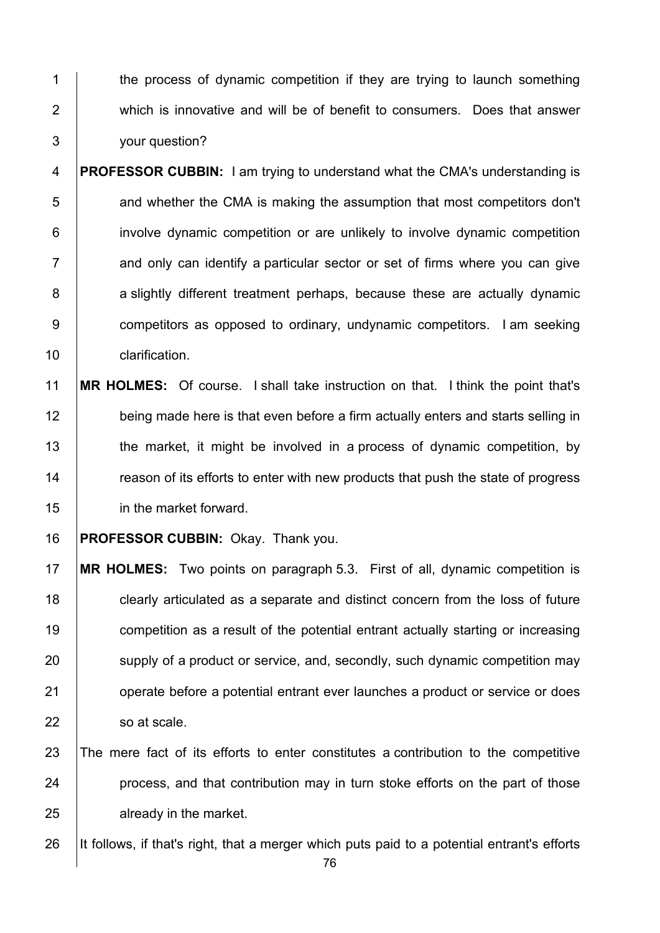1 the process of dynamic competition if they are trying to launch something 2 which is innovative and will be of benefit to consumers. Does that answer 3 your question?

4 **PROFESSOR CUBBIN:** I am trying to understand what the CMA's understanding is 5 **1** and whether the CMA is making the assumption that most competitors don't 6 involve dynamic competition or are unlikely to involve dynamic competition  $7$  and only can identify a particular sector or set of firms where you can give 8 a slightly different treatment perhaps, because these are actually dynamic 9 competitors as opposed to ordinary, undynamic competitors. I am seeking 10 | clarification.

- 11 **MR HOLMES:** Of course. I shall take instruction on that. I think the point that's 12 being made here is that even before a firm actually enters and starts selling in 13 the market, it might be involved in a process of dynamic competition, by 14 The reason of its efforts to enter with new products that push the state of progress 15 in the market forward.
- 16 **PROFESSOR CUBBIN:** Okay. Thank you.

 **MR HOLMES:** Two points on paragraph 5.3. First of all, dynamic competition is **clearly articulated as a separate and distinct concern from the loss of future competition as a result of the potential entrant actually starting or increasing** 20 supply of a product or service, and, secondly, such dynamic competition may **operate before a potential entrant ever launches a product or service or does** 22 so at scale.

- 23 The mere fact of its efforts to enter constitutes a contribution to the competitive 24 **process**, and that contribution may in turn stoke efforts on the part of those 25 **already in the market.**
- 26 It follows, if that's right, that a merger which puts paid to a potential entrant's efforts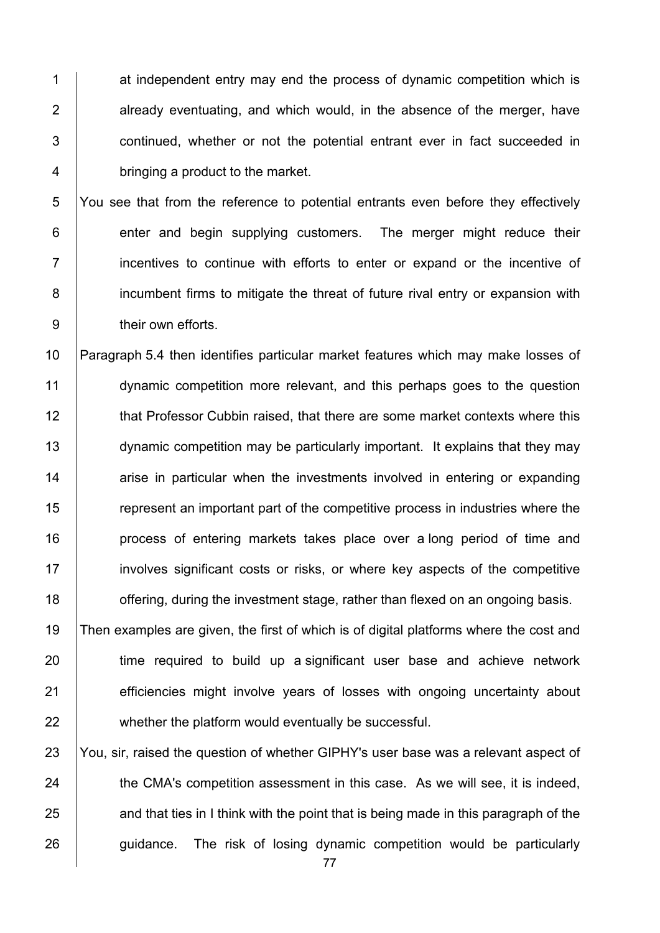1 at independent entry may end the process of dynamic competition which is  $\parallel$  already eventuating, and which would, in the absence of the merger, have **1** continued, whether or not the potential entrant ever in fact succeeded in **bringing a product to the market.** 

5 You see that from the reference to potential entrants even before they effectively 6 **enter and begin supplying customers.** The merger might reduce their 7 **i** incentives to continue with efforts to enter or expand or the incentive of 8 incumbent firms to mitigate the threat of future rival entry or expansion with 9 **b** their own efforts.

10 Paragraph 5.4 then identifies particular market features which may make losses of 11 **dynamic competition more relevant, and this perhaps goes to the question** 12 **that Professor Cubbin raised, that there are some market contexts where this** 13 dynamic competition may be particularly important. It explains that they may 14 arise in particular when the investments involved in entering or expanding 15 The represent an important part of the competitive process in industries where the 16 **process of entering markets takes place over a long period of time and** 17 involves significant costs or risks, or where key aspects of the competitive 18 **offering, during the investment stage, rather than flexed on an ongoing basis.** 

19 Then examples are given, the first of which is of digital platforms where the cost and 20 time required to build up a significant user base and achieve network 21 efficiencies might involve years of losses with ongoing uncertainty about 22 whether the platform would eventually be successful.

23 You, sir, raised the question of whether GIPHY's user base was a relevant aspect of 24 the CMA's competition assessment in this case. As we will see, it is indeed,  $25$  and that ties in I think with the point that is being made in this paragraph of the 26 guidance. The risk of losing dynamic competition would be particularly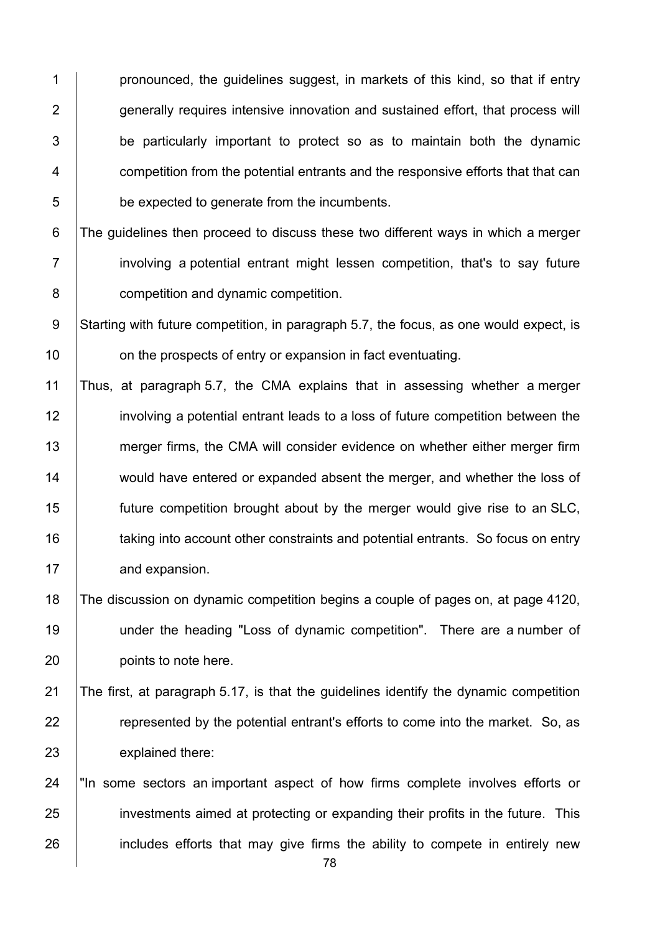**pronounced, the quidelines suggest, in markets of this kind, so that if entry generally requires intensive innovation and sustained effort, that process will**   $\vert$  be particularly important to protect so as to maintain both the dynamic **Fig. 2** competition from the potential entrants and the responsive efforts that that can 5 be expected to generate from the incumbents.

6 The guidelines then proceed to discuss these two different ways in which a merger **i** involving a potential entrant might lessen competition, that's to say future **competition and dynamic competition.** 

9 Starting with future competition, in paragraph 5.7, the focus, as one would expect, is **10** on the prospects of entry or expansion in fact eventuating.

 Thus, at paragraph 5.7, the CMA explains that in assessing whether a merger involving a potential entrant leads to a loss of future competition between the 13 merger firms, the CMA will consider evidence on whether either merger firm 14 would have entered or expanded absent the merger, and whether the loss of future competition brought about by the merger would give rise to an SLC, 16 taking into account other constraints and potential entrants. So focus on entry 17 and expansion.

 The discussion on dynamic competition begins a couple of pages on, at page 4120, under the heading "Loss of dynamic competition". There are a number of points to note here.

 The first, at paragraph 5.17, is that the guidelines identify the dynamic competition **Fig.** represented by the potential entrant's efforts to come into the market. So, as explained there:

24 Th some sectors an important aspect of how firms complete involves efforts or 25 investments aimed at protecting or expanding their profits in the future. This 26 includes efforts that may give firms the ability to compete in entirely new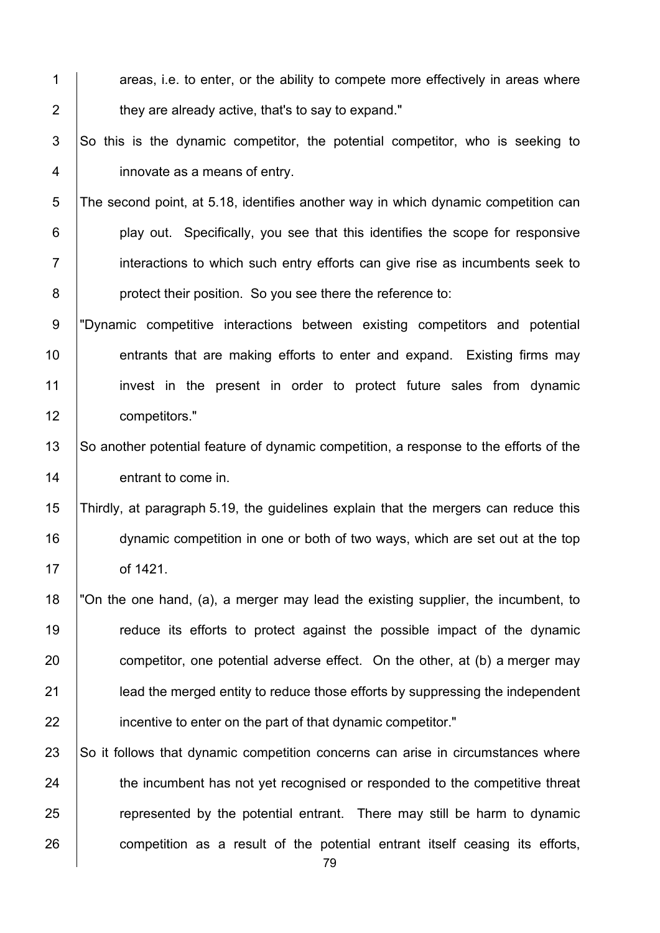- 1  $\parallel$  areas, i.e. to enter, or the ability to compete more effectively in areas where  $2 \mid$  they are already active, that's to say to expand."
- $3$  So this is the dynamic competitor, the potential competitor, who is seeking to 4 innovate as a means of entry.
- 5 The second point, at 5.18, identifies another way in which dynamic competition can 6 **play out.** Specifically, you see that this identifies the scope for responsive 7 **i** interactions to which such entry efforts can give rise as incumbents seek to 8 **protect their position.** So you see there the reference to:
- 9 "Dynamic competitive interactions between existing competitors and potential 10 **entrants that are making efforts to enter and expand.** Existing firms may 11 invest in the present in order to protect future sales from dynamic 12 **competitors.**"
- 13 So another potential feature of dynamic competition, a response to the efforts of the 14 **entrant to come in.**
- 15 Thirdly, at paragraph 5.19, the guidelines explain that the mergers can reduce this 16 dynamic competition in one or both of two ways, which are set out at the top 17 of 1421.
- 18 "On the one hand, (a), a merger may lead the existing supplier, the incumbent, to 19 The reduce its efforts to protect against the possible impact of the dynamic 20  $\vert$  competitor, one potential adverse effect. On the other, at (b) a merger may 21 **lead the merged entity to reduce those efforts by suppressing the independent** 22 **incentive to enter on the part of that dynamic competitor.**"
- 23 So it follows that dynamic competition concerns can arise in circumstances where 24 the incumbent has not yet recognised or responded to the competitive threat 25 **Fig.** represented by the potential entrant. There may still be harm to dynamic 26 competition as a result of the potential entrant itself ceasing its efforts,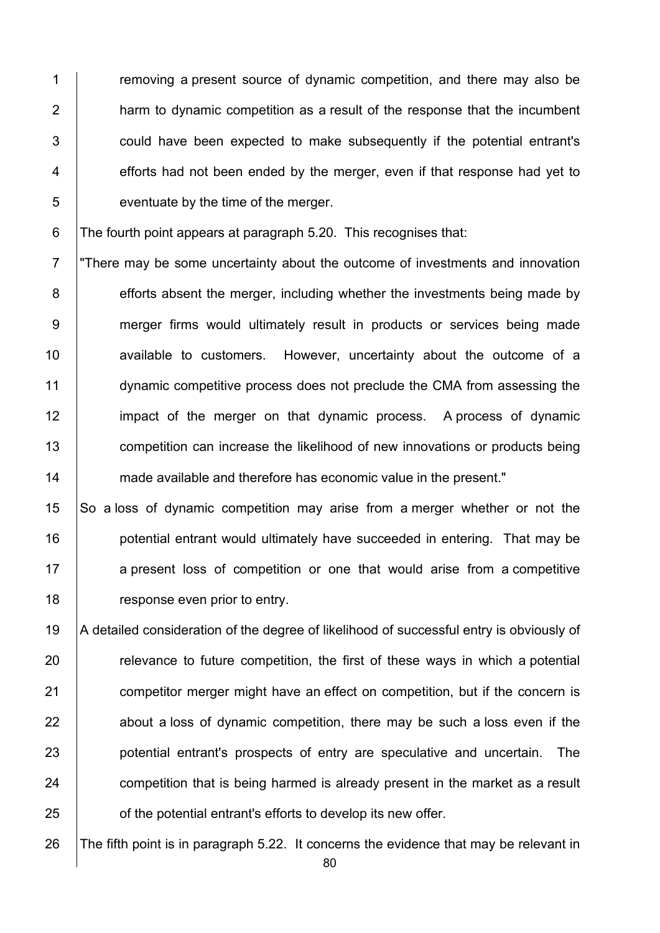**the multiple of the state of dynamic competition, and there may also be harm to dynamic competition as a result of the response that the incumbent 1** could have been expected to make subsequently if the potential entrant's | efforts had not been ended by the merger, even if that response had yet to **S** 

6 The fourth point appears at paragraph 5.20. This recognises that:

7 "There may be some uncertainty about the outcome of investments and innovation 8 efforts absent the merger, including whether the investments being made by 9 merger firms would ultimately result in products or services being made **Audio available to customers.** However, uncertainty about the outcome of a 11 dynamic competitive process does not preclude the CMA from assessing the 12 impact of the merger on that dynamic process. A process of dynamic **competition can increase the likelihood of new innovations or products being** 14 made available and therefore has economic value in the present."

 So a loss of dynamic competition may arise from a merger whether or not the **potential entrant would ultimately have succeeded in entering. That may be** 17 a present loss of competition or one that would arise from a competitive **Figure 18** response even prior to entry.

19 A detailed consideration of the degree of likelihood of successful entry is obviously of relevance to future competition, the first of these ways in which a potential **competitor merger might have an effect on competition, but if the concern is**   $\parallel$  about a loss of dynamic competition, there may be such a loss even if the **potential entrant's prospects of entry are speculative and uncertain.** The **competition that is being harmed is already present in the market as a result orable 25** of the potential entrant's efforts to develop its new offer.

26  $\parallel$  The fifth point is in paragraph 5.22. It concerns the evidence that may be relevant in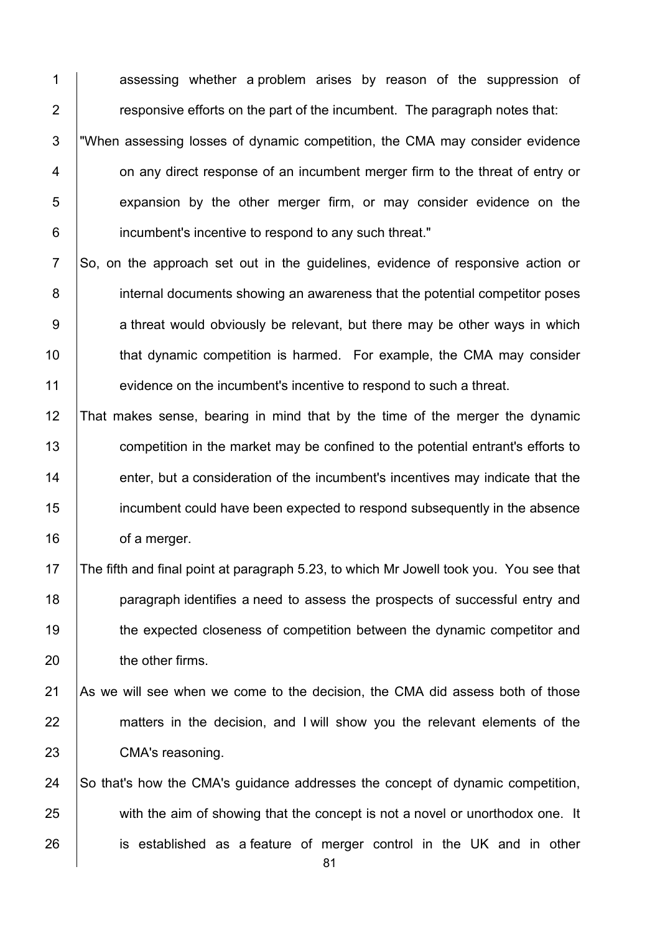1 assessing whether a problem arises by reason of the suppression of  $\parallel$  responsive efforts on the part of the incumbent. The paragraph notes that: 3 "When assessing losses of dynamic competition, the CMA may consider evidence **1** on any direct response of an incumbent merger firm to the threat of entry or **EXPERS** 6 Expansion by the other merger firm, or may consider evidence on the **incumbent's incentive to respond to any such threat."** 

7 So, on the approach set out in the quidelines, evidence of responsive action or 8 internal documents showing an awareness that the potential competitor poses 9 a threat would obviously be relevant, but there may be other ways in which 10 **that dynamic competition is harmed.** For example, the CMA may consider 11 evidence on the incumbent's incentive to respond to such a threat.

 That makes sense, bearing in mind that by the time of the merger the dynamic 13 competition in the market may be confined to the potential entrant's efforts to **enter, but a consideration of the incumbent's incentives may indicate that the ignor** incumbent could have been expected to respond subsequently in the absence **of a merger.** 

17 The fifth and final point at paragraph 5.23, to which Mr Jowell took you. You see that 18 **paragraph identifies a need to assess the prospects of successful entry and** 19 the expected closeness of competition between the dynamic competitor and 20 the other firms.

21 As we will see when we come to the decision, the CMA did assess both of those 22 matters in the decision, and I will show you the relevant elements of the 23 CMA's reasoning.

24 So that's how the CMA's quidance addresses the concept of dynamic competition, 25 with the aim of showing that the concept is not a novel or unorthodox one. It 26 is established as a feature of merger control in the UK and in other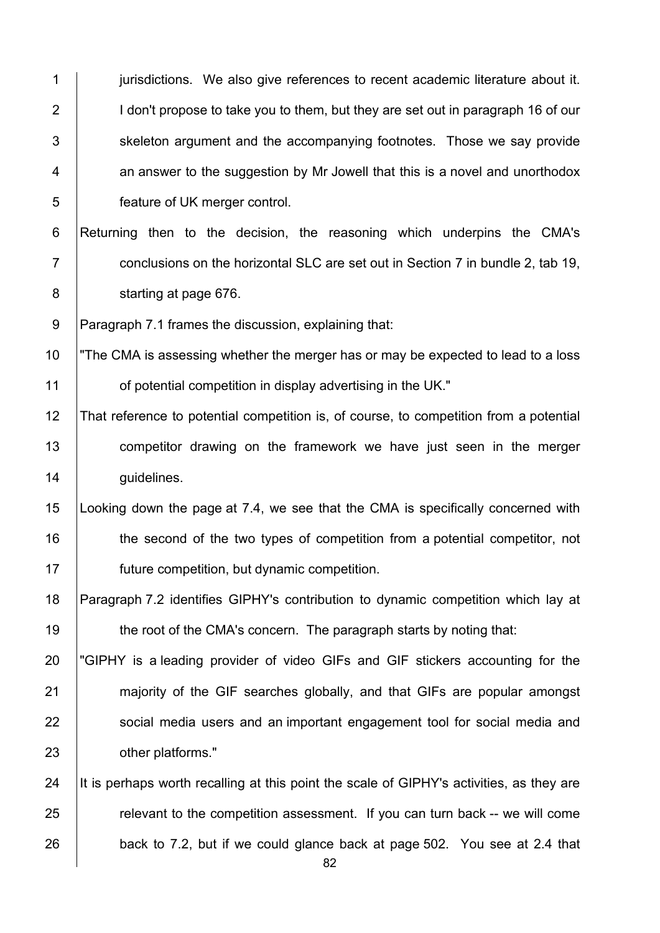| $\mathbf 1$    | jurisdictions. We also give references to recent academic literature about it.           |
|----------------|------------------------------------------------------------------------------------------|
| $\overline{2}$ | I don't propose to take you to them, but they are set out in paragraph 16 of our         |
| 3              | skeleton argument and the accompanying footnotes. Those we say provide                   |
| 4              | an answer to the suggestion by Mr Jowell that this is a novel and unorthodox             |
| 5              | feature of UK merger control.                                                            |
| $\,6$          | Returning then to the decision, the reasoning which underpins the CMA's                  |
| $\overline{7}$ | conclusions on the horizontal SLC are set out in Section 7 in bundle 2, tab 19,          |
| 8              | starting at page 676.                                                                    |
| $\overline{9}$ | Paragraph 7.1 frames the discussion, explaining that:                                    |
| 10             | "The CMA is assessing whether the merger has or may be expected to lead to a loss        |
| 11             | of potential competition in display advertising in the UK."                              |
| 12             | That reference to potential competition is, of course, to competition from a potential   |
| 13             | competitor drawing on the framework we have just seen in the merger                      |
| 14             | guidelines.                                                                              |
| 15             | Looking down the page at 7.4, we see that the CMA is specifically concerned with         |
| 16             | the second of the two types of competition from a potential competitor, not              |
| 17             | future competition, but dynamic competition.                                             |
| 18             | Paragraph 7.2 identifies GIPHY's contribution to dynamic competition which lay at        |
| 19             | the root of the CMA's concern. The paragraph starts by noting that:                      |
| 20             | "GIPHY is a leading provider of video GIFs and GIF stickers accounting for the           |
| 21             | majority of the GIF searches globally, and that GIFs are popular amongst                 |
| 22             | social media users and an important engagement tool for social media and                 |
| 23             | other platforms."                                                                        |
| 24             | It is perhaps worth recalling at this point the scale of GIPHY's activities, as they are |
| 25             | relevant to the competition assessment. If you can turn back -- we will come             |
| 26             | back to 7.2, but if we could glance back at page 502. You see at 2.4 that                |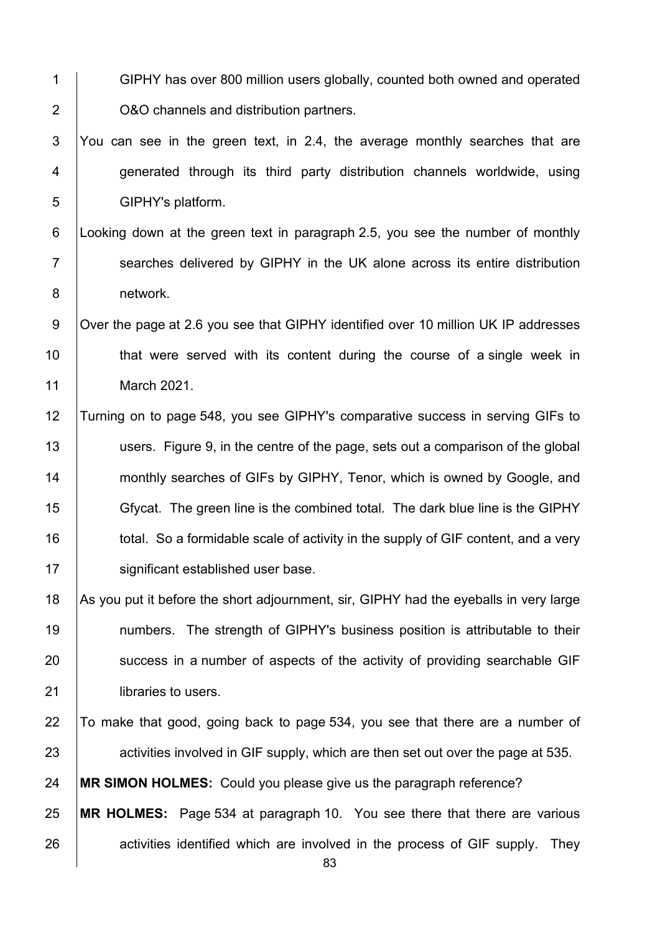- 1 GIPHY has over 800 million users globally, counted both owned and operated 2 O&O channels and distribution partners.
- 3 You can see in the green text, in 2.4, the average monthly searches that are 4 generated through its third party distribution channels worldwide, using 5 GIPHY's platform.
- 6 Looking down at the green text in paragraph 2.5, you see the number of monthly 7 Searches delivered by GIPHY in the UK alone across its entire distribution 8 | network.
- 9 | Over the page at 2.6 you see that GIPHY identified over 10 million UK IP addresses 10 **that were served with its content during the course of a single week in** 11 March 2021.
- 12 Turning on to page 548, you see GIPHY's comparative success in serving GIFs to 13 users. Figure 9, in the centre of the page, sets out a comparison of the global 14 **monthly searches of GIFs by GIPHY, Tenor, which is owned by Google, and** 15 Gfycat. The green line is the combined total. The dark blue line is the GIPHY 16 **total.** So a formidable scale of activity in the supply of GIF content, and a very 17 | significant established user base.
- 18 As you put it before the short adjournment, sir, GIPHY had the eyeballs in very large 19 numbers. The strength of GIPHY's business position is attributable to their 20 success in a number of aspects of the activity of providing searchable GIF 21 | libraries to users.
- 22 To make that good, going back to page 534, you see that there are a number of 23 activities involved in GIF supply, which are then set out over the page at 535.
- 24 **MR SIMON HOLMES:** Could you please give us the paragraph reference?
- 25 **MR HOLMES:** Page 534 at paragraph 10. You see there that there are various  $26$  activities identified which are involved in the process of GIF supply. They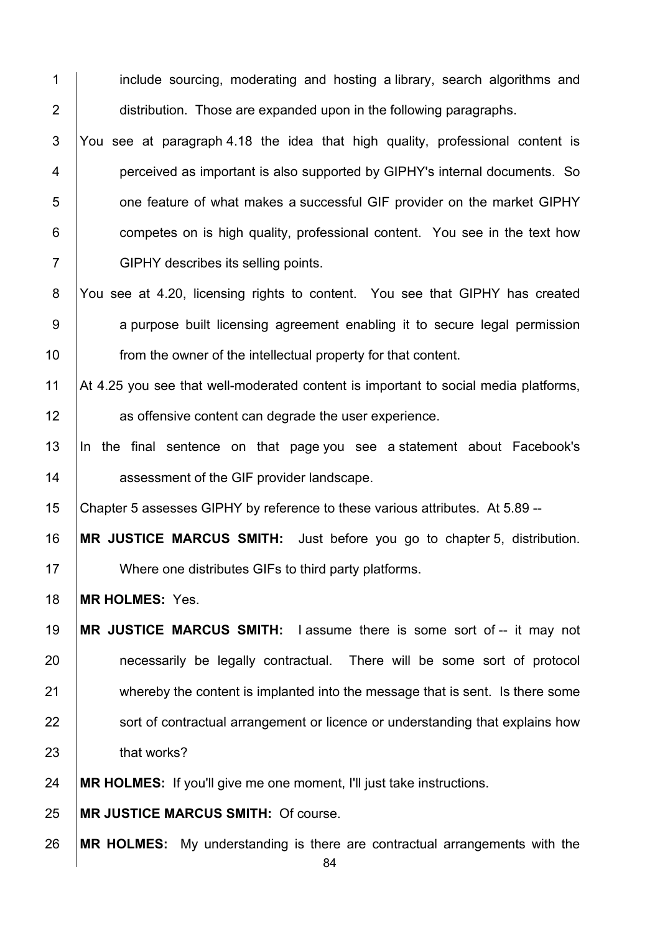1 include sourcing, moderating and hosting a library, search algorithms and **distribution.** Those are expanded upon in the following paragraphs.

3 You see at paragraph 4.18 the idea that high quality, professional content is **perceived as important is also supported by GIPHY's internal documents. So b** one feature of what makes a successful GIF provider on the market GIPHY **competes on is high quality, professional content.** You see in the text how 7 GIPHY describes its selling points.

8 You see at 4.20, licensing rights to content. You see that GIPHY has created 9 a purpose built licensing agreement enabling it to secure legal permission **from the owner of the intellectual property for that content.** 

11 At 4.25 you see that well-moderated content is important to social media platforms, **as offensive content can degrade the user experience.** 

 In the final sentence on that page you see a statement about Facebook's **Aulter** assessment of the GIF provider landscape.

Chapter 5 assesses GIPHY by reference to these various attributes. At 5.89 --

 **MR JUSTICE MARCUS SMITH:** Just before you go to chapter 5, distribution. 17 | Where one distributes GIFs to third party platforms.

**MR HOLMES:** Yes.

 **MR JUSTICE MARCUS SMITH:** I assume there is some sort of -- it may not **necessarily be legally contractual.** There will be some sort of protocol 21 whereby the content is implanted into the message that is sent. Is there some **Sort of contractual arrangement or licence or understanding that explains how that works?** 

**MR HOLMES:** If you'll give me one moment, I'll just take instructions.

**MR JUSTICE MARCUS SMITH:** Of course.

**MR HOLMES:** My understanding is there are contractual arrangements with the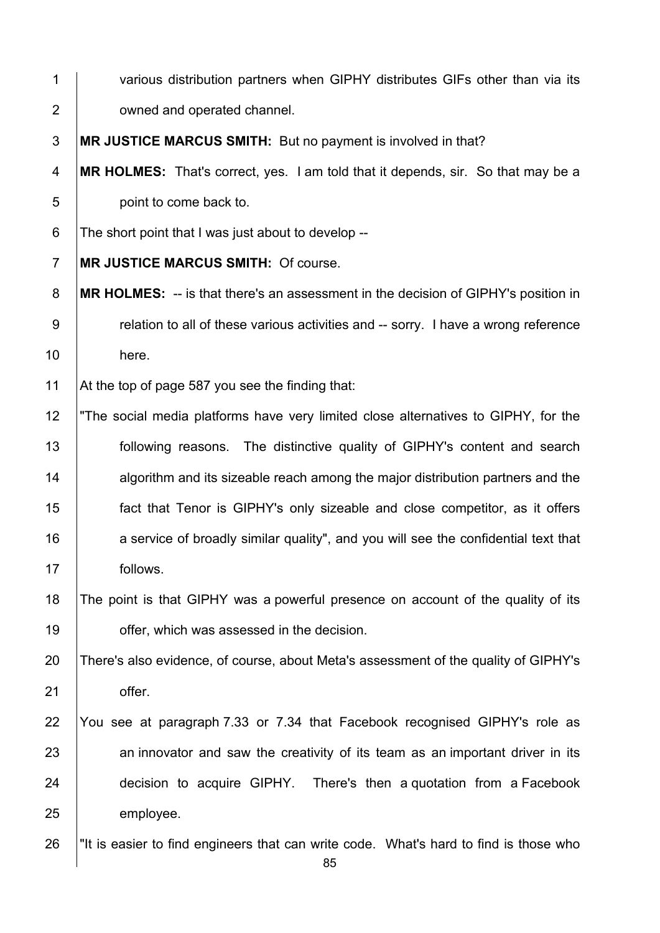| $\mathbf 1$      | various distribution partners when GIPHY distributes GIFs other than via its              |
|------------------|-------------------------------------------------------------------------------------------|
| $\overline{2}$   | owned and operated channel.                                                               |
| $\mathfrak{S}$   | MR JUSTICE MARCUS SMITH: But no payment is involved in that?                              |
| 4                | MR HOLMES: That's correct, yes. I am told that it depends, sir. So that may be a          |
| $\sqrt{5}$       | point to come back to.                                                                    |
| 6                | The short point that I was just about to develop --                                       |
| $\overline{7}$   | MR JUSTICE MARCUS SMITH: Of course.                                                       |
| $\bf 8$          | <b>MR HOLMES:</b> -- is that there's an assessment in the decision of GIPHY's position in |
| $\boldsymbol{9}$ | relation to all of these various activities and -- sorry. I have a wrong reference        |
| 10               | here.                                                                                     |
| 11               | At the top of page 587 you see the finding that:                                          |
| 12               | "The social media platforms have very limited close alternatives to GIPHY, for the        |
| 13               | following reasons. The distinctive quality of GIPHY's content and search                  |
| 14               | algorithm and its sizeable reach among the major distribution partners and the            |
| 15               | fact that Tenor is GIPHY's only sizeable and close competitor, as it offers               |
| 16               | a service of broadly similar quality", and you will see the confidential text that        |
| 17               | follows.                                                                                  |
| 18               | The point is that GIPHY was a powerful presence on account of the quality of its          |
| 19               | offer, which was assessed in the decision.                                                |
| 20               | There's also evidence, of course, about Meta's assessment of the quality of GIPHY's       |
| 21               | offer.                                                                                    |
| 22               | You see at paragraph 7.33 or 7.34 that Facebook recognised GIPHY's role as                |
| 23               | an innovator and saw the creativity of its team as an important driver in its             |
| 24               | decision to acquire GIPHY. There's then a quotation from a Facebook                       |
| 25               | employee.                                                                                 |
| 26               | "It is easier to find engineers that can write code. What's hard to find is those who     |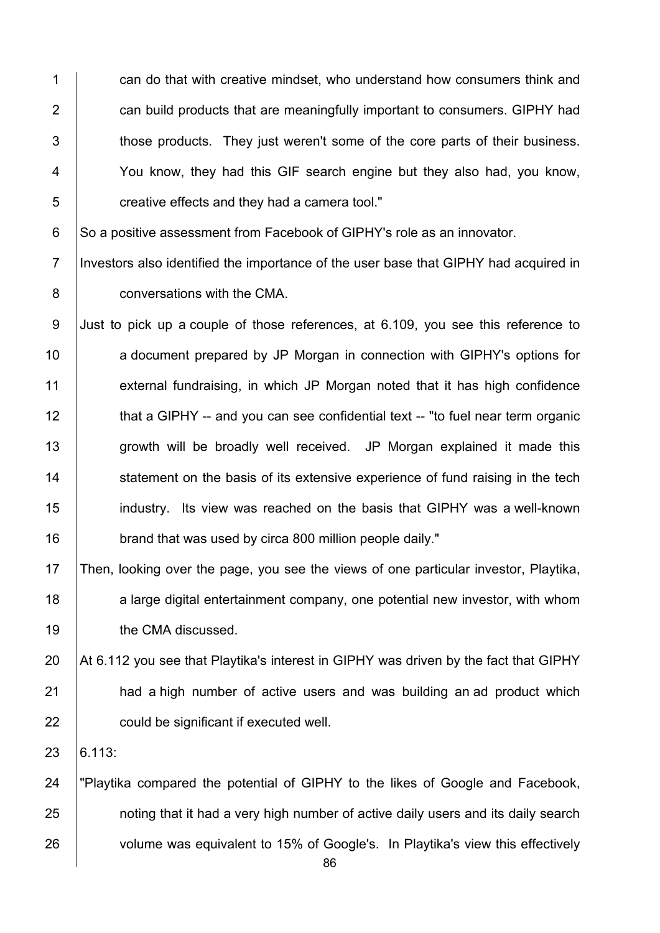1 can do that with creative mindset, who understand how consumers think and 2 **can build products that are meaningfully important to consumers. GIPHY had** 3 those products. They just weren't some of the core parts of their business. 4 You know, they had this GIF search engine but they also had, you know, 5 **creative effects and they had a camera tool.**"

6 So a positive assessment from Facebook of GIPHY's role as an innovator.

7 Investors also identified the importance of the user base that GIPHY had acquired in 8 **conversations with the CMA.** 

9 Just to pick up a couple of those references, at 6.109, you see this reference to 10 **a** document prepared by JP Morgan in connection with GIPHY's options for 11 external fundraising, in which JP Morgan noted that it has high confidence 12 that a GIPHY -- and you can see confidential text -- "to fuel near term organic 13 | growth will be broadly well received. JP Morgan explained it made this 14 Statement on the basis of its extensive experience of fund raising in the tech 15 industry. Its view was reached on the basis that GIPHY was a well-known 16 **brand that was used by circa 800 million people daily."** 

17 Then, looking over the page, you see the views of one particular investor, Playtika, 18 a large digital entertainment company, one potential new investor, with whom 19 **the CMA discussed.** 

20 At 6.112 you see that Playtika's interest in GIPHY was driven by the fact that GIPHY 21 **had a high number of active users and was building an ad product which** 22 **could be significant if executed well.** 

 $23 \mid 6.113$ :

24 "Playtika compared the potential of GIPHY to the likes of Google and Facebook, 25 **noting that it had a very high number of active daily users and its daily search** 26 volume was equivalent to 15% of Google's. In Playtika's view this effectively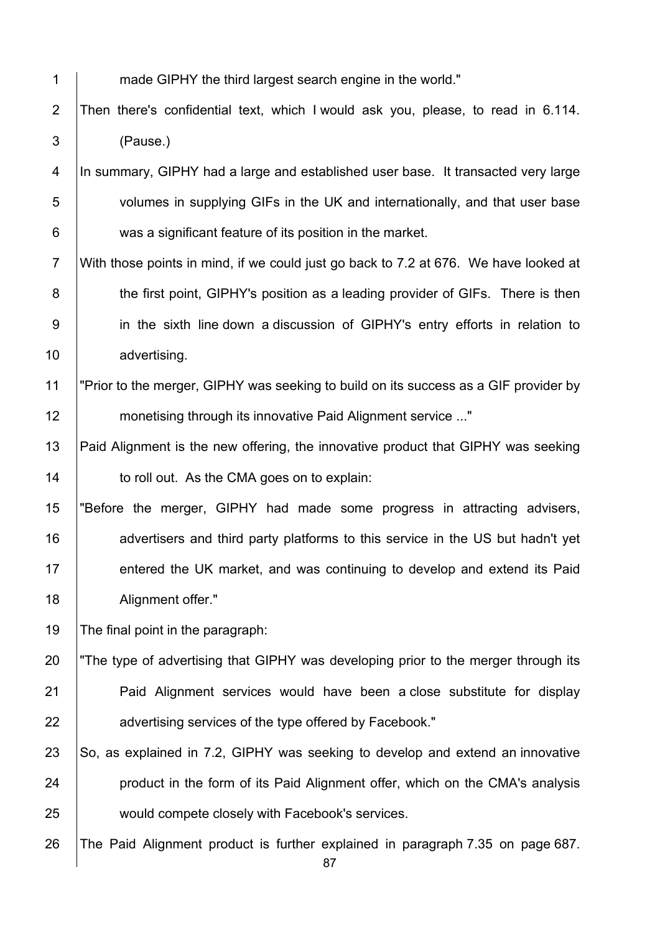1 made GIPHY the third largest search engine in the world."

2 Then there's confidential text, which I would ask you, please, to read in 6.114. 3 (Pause.)

4 In summary, GIPHY had a large and established user base. It transacted very large 5 volumes in supplying GIFs in the UK and internationally, and that user base 6 was a significant feature of its position in the market.

7 With those points in mind, if we could just go back to 7.2 at 676. We have looked at 8 **the first point, GIPHY's position as a leading provider of GIFs.** There is then 9 in the sixth line down a discussion of GIPHY's entry efforts in relation to 10 advertising.

11 | "Prior to the merger, GIPHY was seeking to build on its success as a GIF provider by 12 monetising through its innovative Paid Alignment service ..."

13 Paid Alignment is the new offering, the innovative product that GIPHY was seeking 14 **to roll out.** As the CMA goes on to explain:

15 "Before the merger, GIPHY had made some progress in attracting advisers, 16 **a**dvertisers and third party platforms to this service in the US but hadn't yet 17 entered the UK market, and was continuing to develop and extend its Paid 18 | Alignment offer."

19 The final point in the paragraph:

20 The type of advertising that GIPHY was developing prior to the merger through its 21 **Paid Alignment services would have been a close substitute for display** 22 **Alter 20** advertising services of the type offered by Facebook."

23  $\vert$  So, as explained in 7.2, GIPHY was seeking to develop and extend an innovative 24 **product in the form of its Paid Alignment offer, which on the CMA's analysis** 25 would compete closely with Facebook's services.

26 The Paid Alignment product is further explained in paragraph 7.35 on page 687.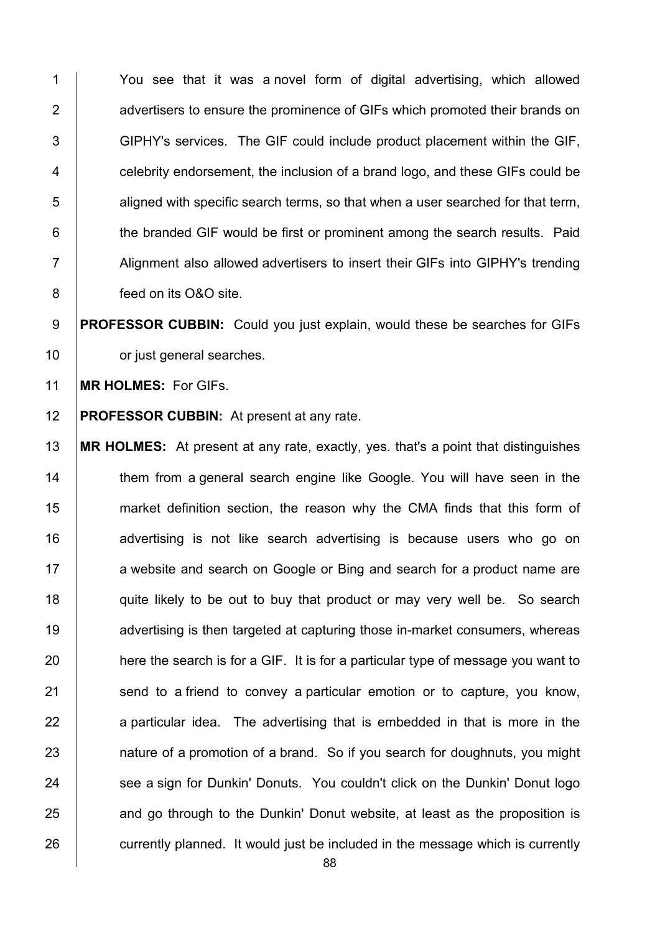1 You see that it was a novel form of digital advertising, which allowed 2 **2** advertisers to ensure the prominence of GIFs which promoted their brands on 3 GIPHY's services. The GIF could include product placement within the GIF,  $4 \mid$  celebrity endorsement, the inclusion of a brand logo, and these GIFs could be  $5$  aligned with specific search terms, so that when a user searched for that term, 6 **the branded GIF would be first or prominent among the search results. Paid** 7 Alignment also allowed advertisers to insert their GIFs into GIPHY's trending 8 **feed on its O&O site.** 

9 **PROFESSOR CUBBIN:** Could you just explain, would these be searches for GIFs 10 **compared** or just general searches.

11 **MR HOLMES:** For GIFs.

12 **PROFESSOR CUBBIN:** At present at any rate.

13 **MR HOLMES:** At present at any rate, exactly, yes. that's a point that distinguishes 14 Them from a general search engine like Google. You will have seen in the 15 market definition section, the reason why the CMA finds that this form of 16 | advertising is not like search advertising is because users who go on 17 a website and search on Google or Bing and search for a product name are 18 quite likely to be out to buy that product or may very well be. So search 19 **Arror** advertising is then targeted at capturing those in-market consumers, whereas 20 here the search is for a GIF. It is for a particular type of message you want to 21 Send to a friend to convey a particular emotion or to capture, you know,  $22$  a particular idea. The advertising that is embedded in that is more in the 23 **Fig. 23 nature of a promotion of a brand.** So if you search for doughnuts, you might 24 See a sign for Dunkin' Donuts. You couldn't click on the Dunkin' Donut logo 25 and go through to the Dunkin' Donut website, at least as the proposition is 26 currently planned. It would just be included in the message which is currently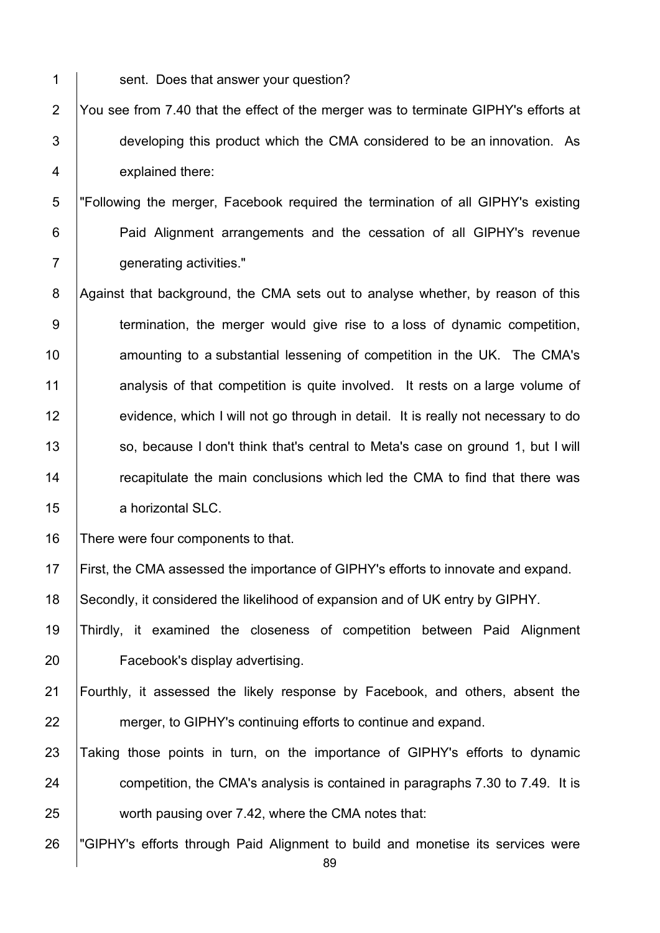1 Sent. Does that answer your question? 2 You see from 7.40 that the effect of the merger was to terminate GIPHY's efforts at 3 developing this product which the CMA considered to be an innovation. As 4 explained there: 5 "Following the merger, Facebook required the termination of all GIPHY's existing 6 **Paid Alignment arrangements and the cessation of all GIPHY's revenue** 7 **generating activities."** 8 Against that background, the CMA sets out to analyse whether, by reason of this 9 termination, the merger would give rise to a loss of dynamic competition, 10 **Fig. 2** amounting to a substantial lessening of competition in the UK. The CMA's 11 analysis of that competition is quite involved. It rests on a large volume of 12 evidence, which I will not go through in detail. It is really not necessary to do 13 | so, because I don't think that's central to Meta's case on ground 1, but I will 14 The recapitulate the main conclusions which led the CMA to find that there was 15 | a horizontal SLC. 16 There were four components to that. 17 First, the CMA assessed the importance of GIPHY's efforts to innovate and expand. 18 Secondly, it considered the likelihood of expansion and of UK entry by GIPHY. 19 Thirdly, it examined the closeness of competition between Paid Alignment 20 Facebook's display advertising. 21 Fourthly, it assessed the likely response by Facebook, and others, absent the 22 merger, to GIPHY's continuing efforts to continue and expand. 23 Taking those points in turn, on the importance of GIPHY's efforts to dynamic 24 competition, the CMA's analysis is contained in paragraphs 7.30 to 7.49. It is

25 worth pausing over 7.42, where the CMA notes that:

26 "GIPHY's efforts through Paid Alignment to build and monetise its services were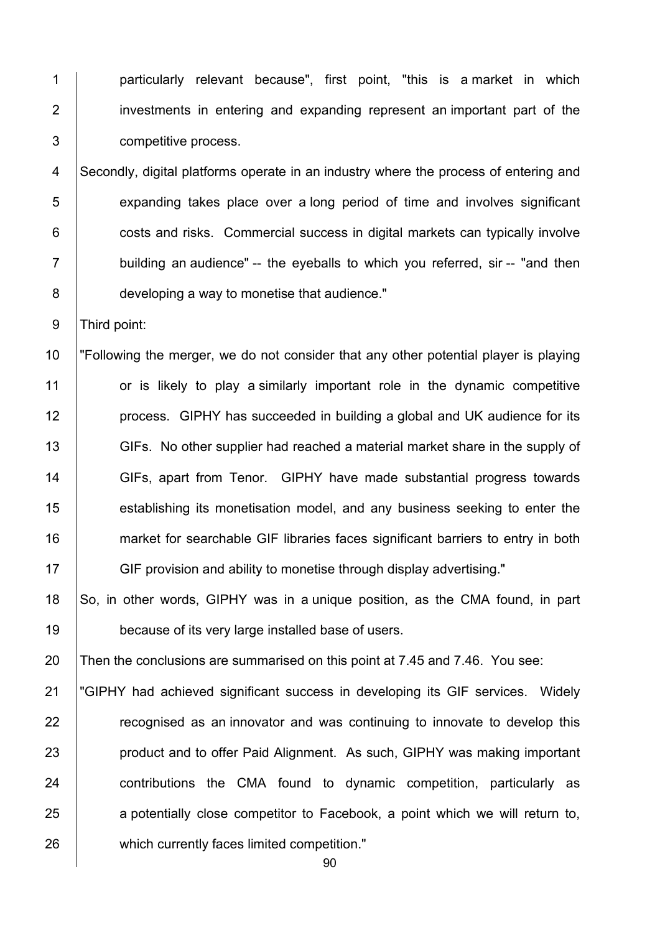1 | particularly relevant because", first point, "this is a market in which 2 investments in entering and expanding represent an important part of the 3 competitive process.

4 Secondly, digital platforms operate in an industry where the process of entering and **EXPERD** expanding takes place over a long period of time and involves significant  $\vert$  costs and risks. Commercial success in digital markets can typically involve  $\parallel$  building an audience" -- the eveballs to which you referred, sir -- "and then **developing a way to monetise that audience.**"

9 Third point:

 "Following the merger, we do not consider that any other potential player is playing 11 or is likely to play a similarly important role in the dynamic competitive **process.** GIPHY has succeeded in building a global and UK audience for its 13 GIFs. No other supplier had reached a material market share in the supply of 14 GIFs, apart from Tenor. GIPHY have made substantial progress towards **establishing its monetisation model, and any business seeking to enter the market for searchable GIF libraries faces significant barriers to entry in both** GIF provision and ability to monetise through display advertising."

18 So, in other words, GIPHY was in a unique position, as the CMA found, in part 19 **because of its very large installed base of users.** 

20 Then the conclusions are summarised on this point at 7.45 and 7.46. You see:

 "GIPHY had achieved significant success in developing its GIF services. Widely **Fig.** 7 recognised as an innovator and was continuing to innovate to develop this **product and to offer Paid Alignment.** As such, GIPHY was making important **contributions the CMA found to dynamic competition, particularly as** 25 a potentially close competitor to Facebook, a point which we will return to, 26 | which currently faces limited competition."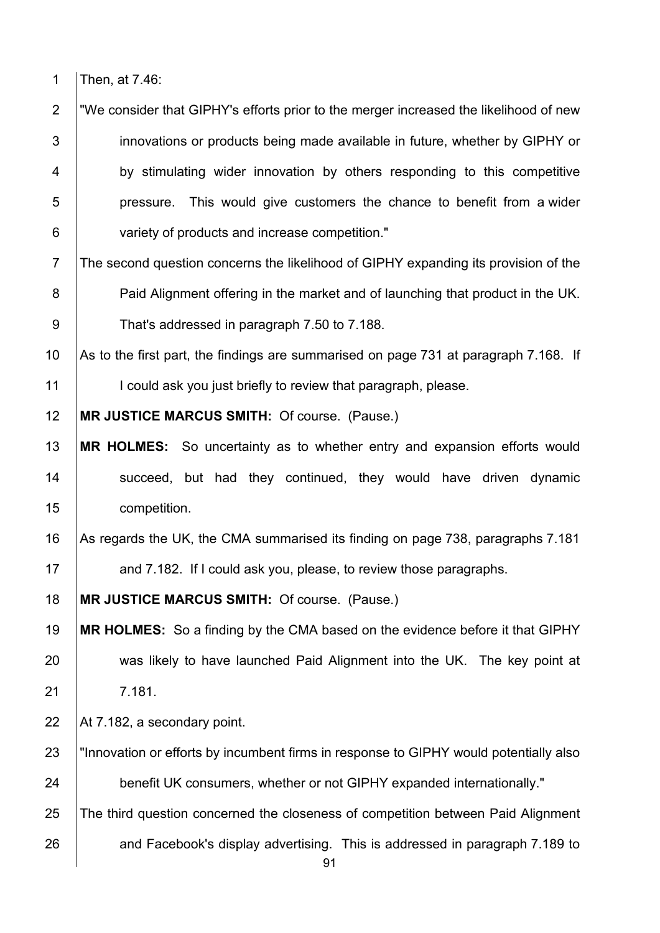1 Then, at 7.46:

2 "We consider that GIPHY's efforts prior to the merger increased the likelihood of new 3 **i** innovations or products being made available in future, whether by GIPHY or 4 by stimulating wider innovation by others responding to this competitive  $5$  | pressure. This would give customers the chance to benefit from a wider 6 variety of products and increase competition."

7 The second question concerns the likelihood of GIPHY expanding its provision of the 8 **Paid Alignment offering in the market and of launching that product in the UK.** 9 That's addressed in paragraph 7.50 to 7.188.

10 As to the first part, the findings are summarised on page 731 at paragraph 7.168. If

11 | I could ask you just briefly to review that paragraph, please.

12 **MR JUSTICE MARCUS SMITH:** Of course. (Pause.)

- 13 **MR HOLMES:** So uncertainty as to whether entry and expansion efforts would 14 Succeed, but had they continued, they would have driven dynamic 15 competition.
- 16 As regards the UK, the CMA summarised its finding on page 738, paragraphs 7.181 17 **Arror** and 7.182. If I could ask you, please, to review those paragraphs.

18 **MR JUSTICE MARCUS SMITH:** Of course. (Pause.)

19 **MR HOLMES:** So a finding by the CMA based on the evidence before it that GIPHY 20 was likely to have launched Paid Alignment into the UK. The key point at 21 7.181.

22  $\vert$  At 7.182, a secondary point.

- 23 "Innovation or efforts by incumbent firms in response to GIPHY would potentially also 24 benefit UK consumers, whether or not GIPHY expanded internationally."
- 25 The third question concerned the closeness of competition between Paid Alignment

26 and Facebook's display advertising. This is addressed in paragraph 7.189 to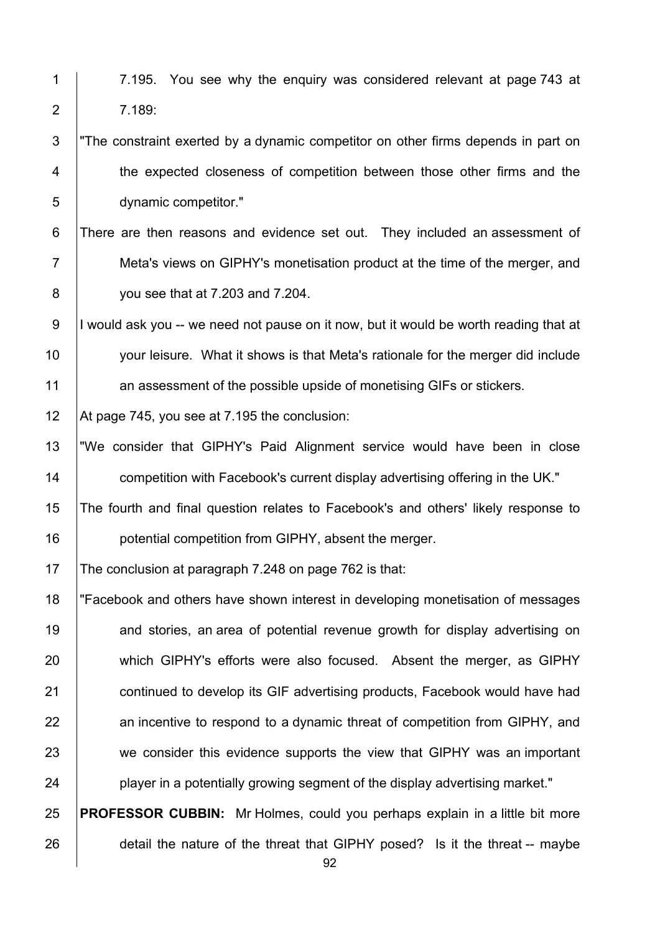1 | 7.195. You see why the enguiry was considered relevant at page 743 at 2 7.189: 3 The constraint exerted by a dynamic competitor on other firms depends in part on 4 the expected closeness of competition between those other firms and the 5 dynamic competitor." 6 There are then reasons and evidence set out. They included an assessment of 7 Meta's views on GIPHY's monetisation product at the time of the merger, and 8 you see that at 7.203 and 7.204. 9 I would ask you -- we need not pause on it now, but it would be worth reading that at 10 | your leisure. What it shows is that Meta's rationale for the merger did include 11 an assessment of the possible upside of monetising GIFs or stickers. 12 At page 745, you see at 7.195 the conclusion: 13 "We consider that GIPHY's Paid Alignment service would have been in close 14 **14** competition with Facebook's current display advertising offering in the UK." 15 The fourth and final question relates to Facebook's and others' likely response to 16 **potential competition from GIPHY**, absent the merger.

17 The conclusion at paragraph 7.248 on page 762 is that:

18 "Facebook and others have shown interest in developing monetisation of messages 19 **and stories, an area of potential revenue growth for display advertising on** 20 which GIPHY's efforts were also focused. Absent the merger, as GIPHY 21 **continued to develop its GIF advertising products, Facebook would have had** 22 an incentive to respond to a dynamic threat of competition from GIPHY, and 23 we consider this evidence supports the view that GIPHY was an important  $24$  | player in a potentially growing segment of the display advertising market."

25 **PROFESSOR CUBBIN:** Mr Holmes, could you perhaps explain in a little bit more 26 detail the nature of the threat that GIPHY posed? Is it the threat -- maybe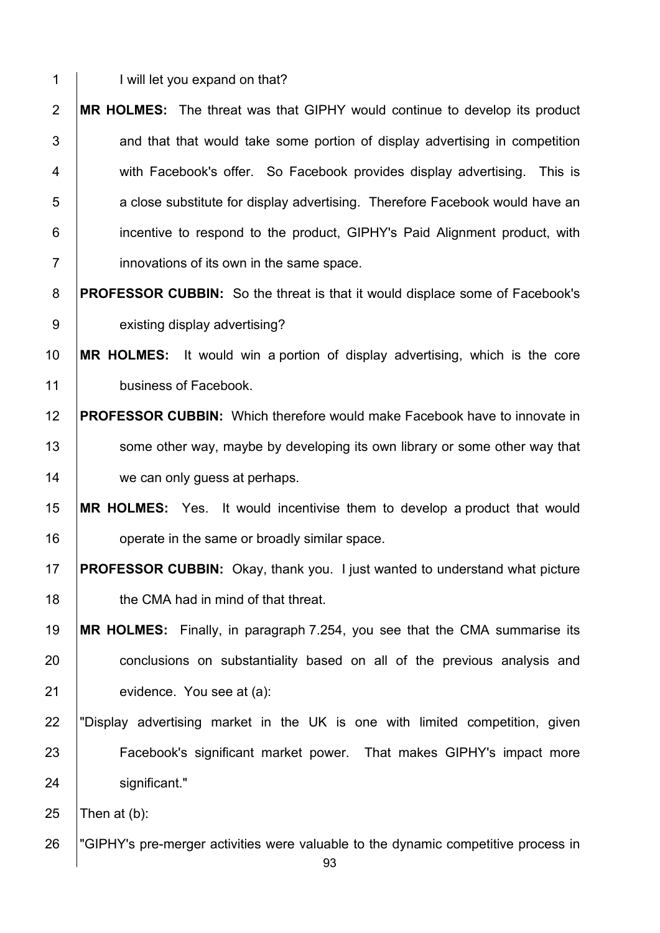1 | I will let you expand on that?

**MR HOLMES:** The threat was that GIPHY would continue to develop its product  $\vert$  and that that would take some portion of display advertising in competition 4 With Facebook's offer. So Facebook provides display advertising. This is **b** a close substitute for display advertising. Therefore Facebook would have an **i** incentive to respond to the product, GIPHY's Paid Alignment product, with **innovations of its own in the same space.** 

**PROFESSOR CUBBIN:** So the threat is that it would displace some of Facebook's 9 existing display advertising?

 **MR HOLMES:** It would win a portion of display advertising, which is the core **business of Facebook.** 

 **PROFESSOR CUBBIN:** Which therefore would make Facebook have to innovate in 13 Some other way, maybe by developing its own library or some other way that 14 we can only guess at perhaps.

## **MR HOLMES:** Yes. It would incentivise them to develop a product that would **b** operate in the same or broadly similar space.

- **PROFESSOR CUBBIN:** Okay, thank you. I just wanted to understand what picture **the CMA had in mind of that threat.**
- **MR HOLMES:** Finally, in paragraph 7.254, you see that the CMA summarise its 20 conclusions on substantiality based on all of the previous analysis and **evidence.** You see at (a):
- "Display advertising market in the UK is one with limited competition, given 23 Facebook's significant market power. That makes GIPHY's impact more 24 | significant."

25  $\vert$ Then at (b):

26 "GIPHY's pre-merger activities were valuable to the dynamic competitive process in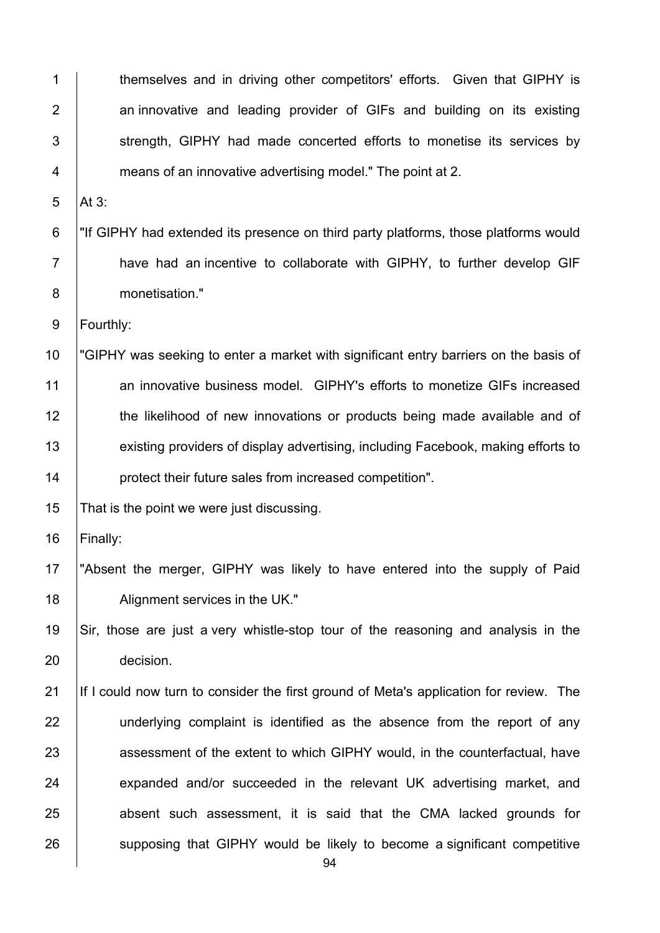94 1 themselves and in driving other competitors' efforts. Given that GIPHY is  $2$   $\vert$  an innovative and leading provider of GIFs and building on its existing 3 Strength, GIPHY had made concerted efforts to monetise its services by 4 **Fig. 2** means of an innovative advertising model." The point at 2.  $5$  | At 3: 6 "If GIPHY had extended its presence on third party platforms, those platforms would 7 **have had an incentive to collaborate with GIPHY, to further develop GIF** 8 monetisation." 9 | Fourthly: 10 | "GIPHY was seeking to enter a market with significant entry barriers on the basis of 11 an innovative business model. GIPHY's efforts to monetize GIFs increased 12 the likelihood of new innovations or products being made available and of 13 existing providers of display advertising, including Facebook, making efforts to 14 **protect their future sales from increased competition".** 15 That is the point we were just discussing. 16 Finally: 17 "Absent the merger, GIPHY was likely to have entered into the supply of Paid 18 | Alignment services in the UK." 19 Sir, those are just a very whistle-stop tour of the reasoning and analysis in the 20 decision. 21 If I could now turn to consider the first ground of Meta's application for review. The 22 | underlying complaint is identified as the absence from the report of any 23 assessment of the extent to which GIPHY would, in the counterfactual, have 24 expanded and/or succeeded in the relevant UK advertising market, and 25 absent such assessment, it is said that the CMA lacked grounds for 26 supposing that GIPHY would be likely to become a significant competitive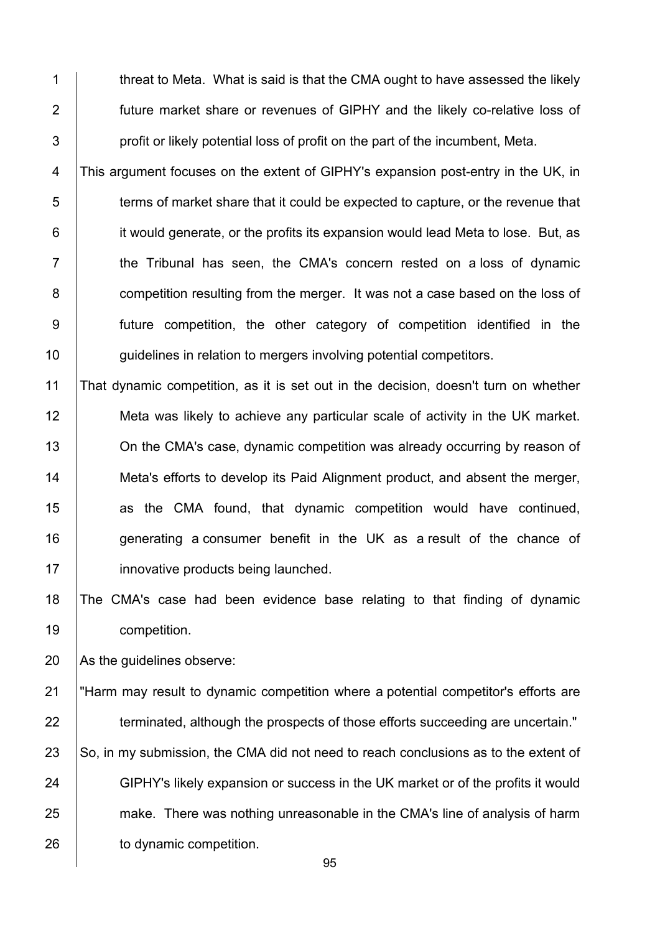1 threat to Meta. What is said is that the CMA ought to have assessed the likely 2 **future market share or revenues of GIPHY and the likely co-relative loss of**  $3$  | profit or likely potential loss of profit on the part of the incumbent, Meta.

4 This argument focuses on the extent of GIPHY's expansion post-entry in the UK, in  $5$  terms of market share that it could be expected to capture, or the revenue that 6 **iduble** it would generate, or the profits its expansion would lead Meta to lose. But, as  $7$   $\parallel$  the Tribunal has seen, the CMA's concern rested on a loss of dynamic 8 **competition resulting from the merger.** It was not a case based on the loss of 9 future competition, the other category of competition identified in the 10 | guidelines in relation to mergers involving potential competitors.

 That dynamic competition, as it is set out in the decision, doesn't turn on whether Meta was likely to achieve any particular scale of activity in the UK market. **On the CMA's case, dynamic competition was already occurring by reason of** 14 | Meta's efforts to develop its Paid Alignment product, and absent the merger, **as the CMA found, that dynamic competition would have continued,**  generating a consumer benefit in the UK as a result of the chance of **innovative products being launched.** 

18 The CMA's case had been evidence base relating to that finding of dynamic 19 | competition.

20 As the guidelines observe:

21 "Harm may result to dynamic competition where a potential competitor's efforts are 22 terminated, although the prospects of those efforts succeeding are uncertain." 23 So, in my submission, the CMA did not need to reach conclusions as to the extent of 24 GIPHY's likely expansion or success in the UK market or of the profits it would 25 make. There was nothing unreasonable in the CMA's line of analysis of harm 26 to dynamic competition.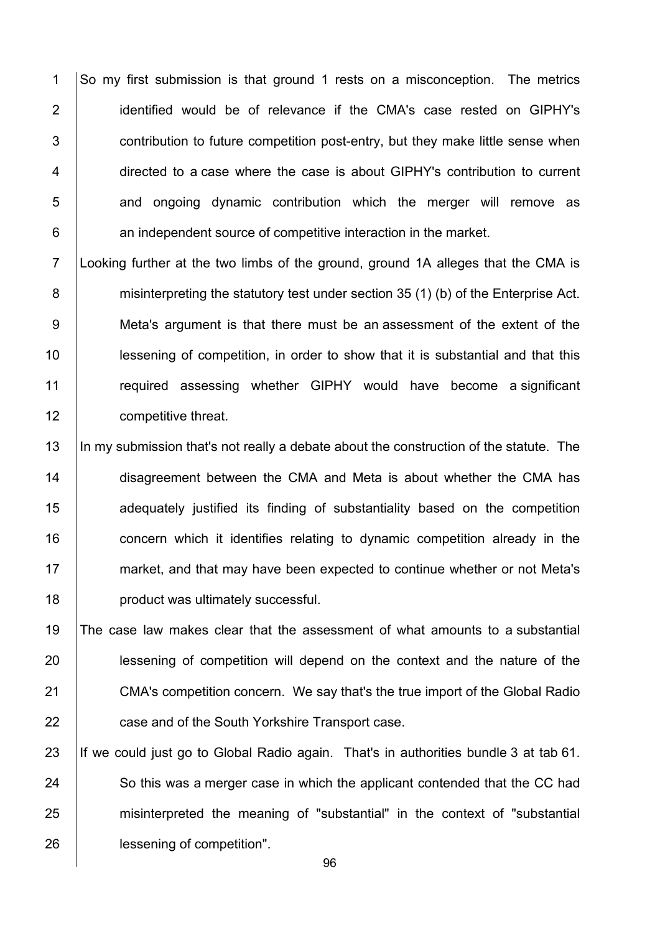1 So my first submission is that ground 1 rests on a misconception. The metrics 2 | identified would be of relevance if the CMA's case rested on GIPHY's 3 **Fig. 2** contribution to future competition post-entry, but they make little sense when 4 directed to a case where the case is about GIPHY's contribution to current 5 **1** and ongoing dynamic contribution which the merger will remove as 6 **b** an independent source of competitive interaction in the market.

7 Looking further at the two limbs of the ground, ground 1A alleges that the CMA is 8 misinterpreting the statutory test under section 35 (1) (b) of the Enterprise Act. 9 Meta's argument is that there must be an assessment of the extent of the 10 lessening of competition, in order to show that it is substantial and that this 11 | required assessing whether GIPHY would have become a significant 12 **competitive threat.** 

13 In my submission that's not really a debate about the construction of the statute. The 14 disagreement between the CMA and Meta is about whether the CMA has 15 **adequately** justified its finding of substantiality based on the competition 16 **concern** which it identifies relating to dynamic competition already in the 17 market, and that may have been expected to continue whether or not Meta's 18 **product was ultimately successful.** 

 The case law makes clear that the assessment of what amounts to a substantial **lessening of competition will depend on the context and the nature of the** 21 CMA's competition concern. We say that's the true import of the Global Radio **case and of the South Yorkshire Transport case.** 

23 If we could just go to Global Radio again. That's in authorities bundle 3 at tab 61. 24 So this was a merger case in which the applicant contended that the CC had 25 misinterpreted the meaning of "substantial" in the context of "substantial 26 **lessening of competition".**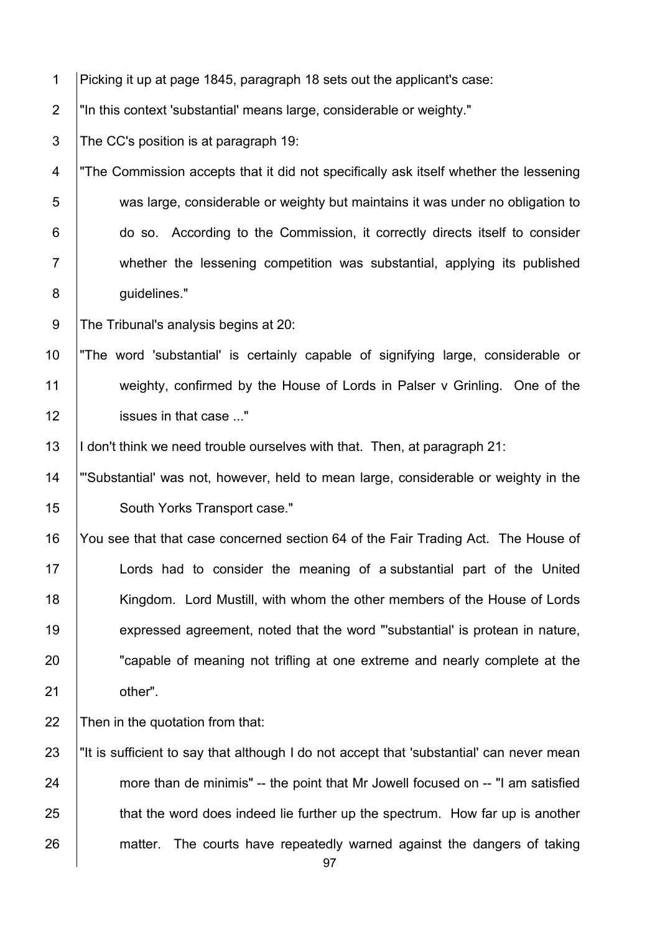| $\mathbf 1$      | Picking it up at page 1845, paragraph 18 sets out the applicant's case:                  |
|------------------|------------------------------------------------------------------------------------------|
| $\overline{2}$   | "In this context 'substantial' means large, considerable or weighty."                    |
| $\sqrt{3}$       | The CC's position is at paragraph 19:                                                    |
| 4                | "The Commission accepts that it did not specifically ask itself whether the lessening    |
| 5                | was large, considerable or weighty but maintains it was under no obligation to           |
| 6                | do so. According to the Commission, it correctly directs itself to consider              |
| $\overline{7}$   | whether the lessening competition was substantial, applying its published                |
| 8                | guidelines."                                                                             |
| $\boldsymbol{9}$ | The Tribunal's analysis begins at 20:                                                    |
| 10               | "The word 'substantial' is certainly capable of signifying large, considerable or        |
| 11               | weighty, confirmed by the House of Lords in Palser v Grinling. One of the                |
| 12               | issues in that case "                                                                    |
| 13               | I don't think we need trouble ourselves with that. Then, at paragraph 21:                |
| 14               | "Substantial' was not, however, held to mean large, considerable or weighty in the       |
| 15               | South Yorks Transport case."                                                             |
| 16               | You see that that case concerned section 64 of the Fair Trading Act. The House of        |
| 17               | Lords had to consider the meaning of a substantial part of the United                    |
| 18               | Kingdom. Lord Mustill, with whom the other members of the House of Lords                 |
| 19               | expressed agreement, noted that the word "substantial' is protean in nature,             |
| 20               | "capable of meaning not trifling at one extreme and nearly complete at the               |
| 21               | other".                                                                                  |
| 22               | Then in the quotation from that:                                                         |
| 23               | "It is sufficient to say that although I do not accept that 'substantial' can never mean |
| 24               | more than de minimis" -- the point that Mr Jowell focused on -- "I am satisfied          |
| 25               | that the word does indeed lie further up the spectrum. How far up is another             |
| 26               | The courts have repeatedly warned against the dangers of taking<br>matter.<br>97         |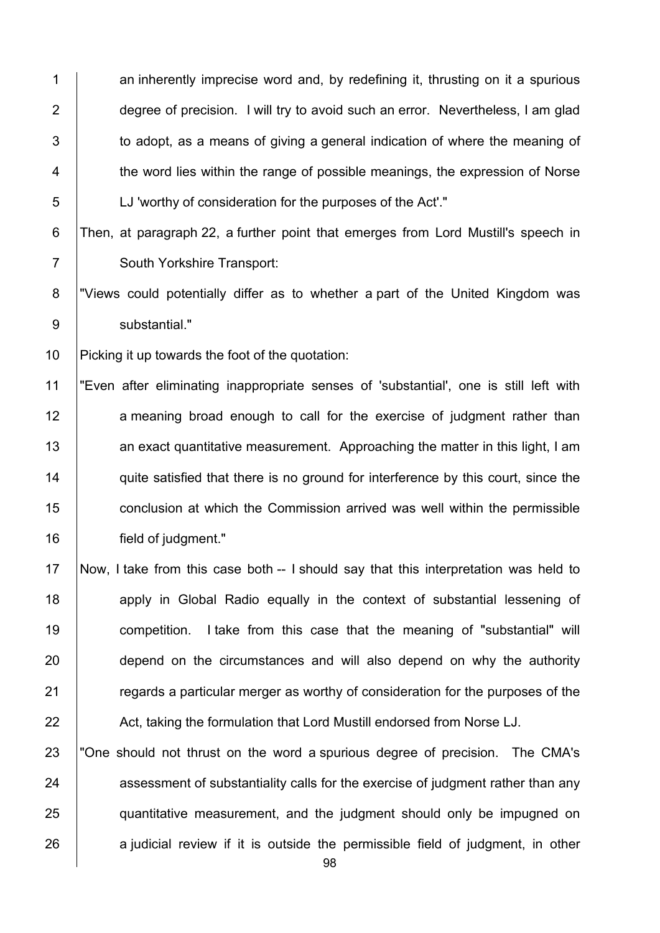1 an inherently imprecise word and, by redefining it, thrusting on it a spurious 2 degree of precision. I will try to avoid such an error. Nevertheless, I am glad  $3$   $\vert$  to adopt, as a means of giving a general indication of where the meaning of 4 the word lies within the range of possible meanings, the expression of Norse 5 LJ 'worthy of consideration for the purposes of the Act'."

## 6 Then, at paragraph 22, a further point that emerges from Lord Mustill's speech in 7 | South Yorkshire Transport:

8 | "Views could potentially differ as to whether a part of the United Kingdom was 9 substantial."

10 Picking it up towards the foot of the quotation:

11 "Even after eliminating inappropriate senses of 'substantial', one is still left with 12 a meaning broad enough to call for the exercise of judgment rather than 13 an exact quantitative measurement. Approaching the matter in this light, I am 14 quite satisfied that there is no ground for interference by this court, since the 15 **conclusion at which the Commission arrived was well within the permissible** 16 **field of judgment.**"

 Now, I take from this case both -- I should say that this interpretation was held to **18** apply in Global Radio equally in the context of substantial lessening of **competition.** I take from this case that the meaning of "substantial" will 20 depend on the circumstances and will also depend on why the authority **Figure 21** regards a particular merger as worthy of consideration for the purposes of the 22 Act, taking the formulation that Lord Mustill endorsed from Norse LJ.

 "One should not thrust on the word a spurious degree of precision. The CMA's 24 assessment of substantiality calls for the exercise of judgment rather than any **quantitative measurement, and the judgment should only be impugned on** a judicial review if it is outside the permissible field of judgment, in other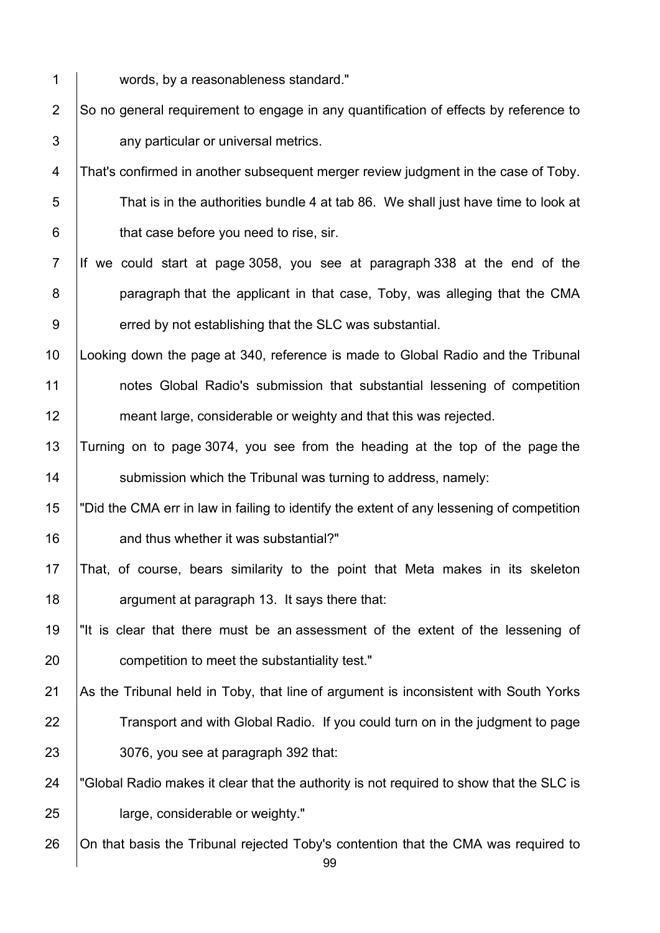1 words, by a reasonableness standard."

2  $\vert$ So no general requirement to engage in any quantification of effects by reference to 3 **J** any particular or universal metrics.

4 That's confirmed in another subsequent merger review judgment in the case of Toby. 5 That is in the authorities bundle 4 at tab 86. We shall just have time to look at  $6 \mid$  that case before you need to rise, sir.

7 If we could start at page 3058, you see at paragraph 338 at the end of the 8 **paragraph that the applicant in that case, Toby, was alleging that the CMA** 9 erred by not establishing that the SLC was substantial.

10 Looking down the page at 340, reference is made to Global Radio and the Tribunal 11 notes Global Radio's submission that substantial lessening of competition 12 **meant large, considerable or weighty and that this was rejected.** 

13 Turning on to page 3074, you see from the heading at the top of the page the 14 | submission which the Tribunal was turning to address, namely:

15 "Did the CMA err in law in failing to identify the extent of any lessening of competition 16 **16** and thus whether it was substantial?"

17 That, of course, bears similarity to the point that Meta makes in its skeleton 18 **Fig.** argument at paragraph 13. It says there that:

19 "It is clear that there must be an assessment of the extent of the lessening of 20 **competition to meet the substantiality test.**"

21 As the Tribunal held in Toby, that line of argument is inconsistent with South Yorks 22 Transport and with Global Radio. If you could turn on in the judgment to page 23 3076, you see at paragraph 392 that:

24 | "Global Radio makes it clear that the authority is not required to show that the SLC is 25 **large, considerable or weighty."** 

26 | On that basis the Tribunal rejected Toby's contention that the CMA was required to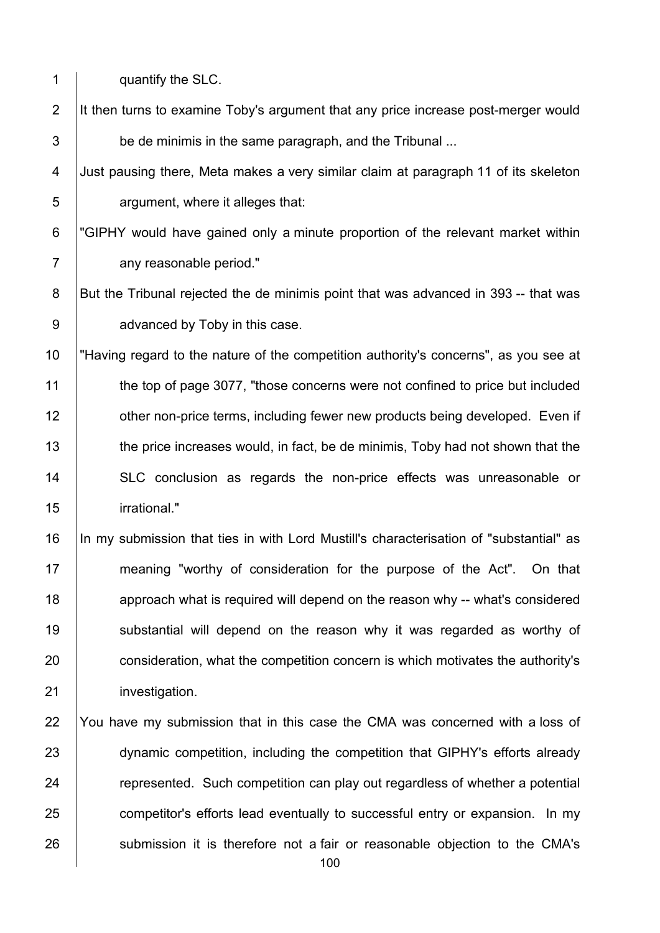| $\mathbf 1$    | quantify the SLC.                                                                      |
|----------------|----------------------------------------------------------------------------------------|
| $\overline{2}$ | It then turns to examine Toby's argument that any price increase post-merger would     |
| $\sqrt{3}$     | be de minimis in the same paragraph, and the Tribunal                                  |
| 4              | Just pausing there, Meta makes a very similar claim at paragraph 11 of its skeleton    |
| 5              | argument, where it alleges that:                                                       |
| $\,6$          | "GIPHY would have gained only a minute proportion of the relevant market within        |
| $\overline{7}$ | any reasonable period."                                                                |
| $\bf 8$        | But the Tribunal rejected the de minimis point that was advanced in 393 -- that was    |
| 9              | advanced by Toby in this case.                                                         |
| 10             | "Having regard to the nature of the competition authority's concerns", as you see at   |
| 11             | the top of page 3077, "those concerns were not confined to price but included          |
| 12             | other non-price terms, including fewer new products being developed. Even if           |
| 13             | the price increases would, in fact, be de minimis, Toby had not shown that the         |
| 14             | SLC conclusion as regards the non-price effects was unreasonable or                    |
| 15             | irrational."                                                                           |
| 16             | In my submission that ties in with Lord Mustill's characterisation of "substantial" as |
| 17             | meaning "worthy of consideration for the purpose of the Act". On that                  |
| 18             | approach what is required will depend on the reason why -- what's considered           |
| 19             | substantial will depend on the reason why it was regarded as worthy of                 |
| 20             | consideration, what the competition concern is which motivates the authority's         |
| 21             | investigation.                                                                         |
| 22             | You have my submission that in this case the CMA was concerned with a loss of          |
| 23             | dynamic competition, including the competition that GIPHY's efforts already            |
| 24             | represented. Such competition can play out regardless of whether a potential           |
| 25             | competitor's efforts lead eventually to successful entry or expansion. In my           |

submission it is therefore not a fair or reasonable objection to the CMA's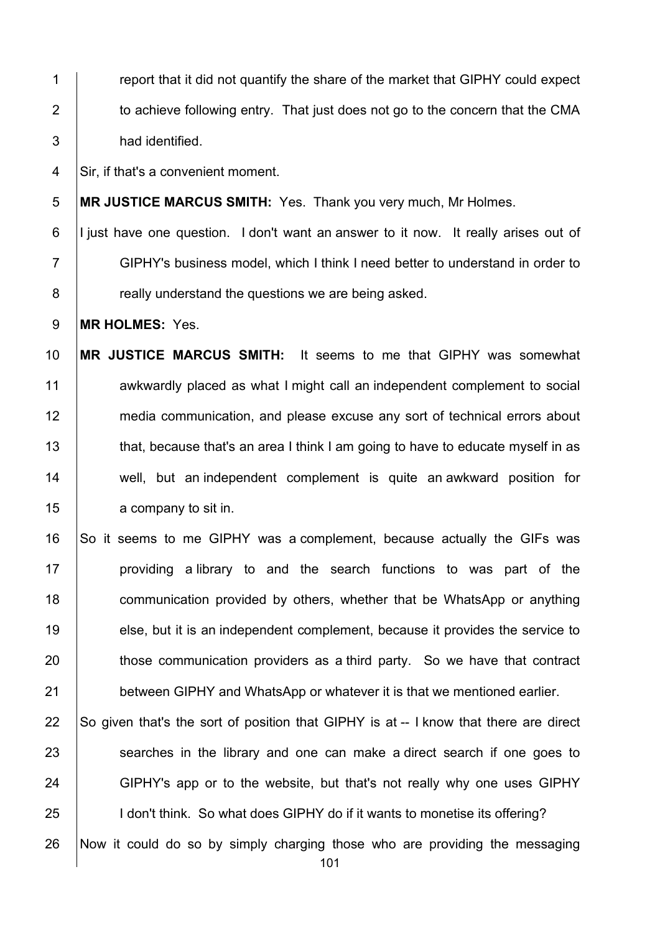1 **Fig. 1** report that it did not quantify the share of the market that GIPHY could expect 2  $\parallel$  to achieve following entry. That just does not go to the concern that the CMA 3 had identified.

4 Sir, if that's a convenient moment.

5 **MR JUSTICE MARCUS SMITH:** Yes. Thank you very much, Mr Holmes.

6 I just have one question. I don't want an answer to it now. It really arises out of 7 GIPHY's business model, which I think I need better to understand in order to 8 **8 really understand the questions we are being asked.** 

9 **MR HOLMES:** Yes.

10 **MR JUSTICE MARCUS SMITH:** It seems to me that GIPHY was somewhat 11 awkwardly placed as what I might call an independent complement to social 12 media communication, and please excuse any sort of technical errors about 13 that, because that's an area I think I am going to have to educate myself in as 14 well, but an independent complement is quite an awkward position for 15 **a** company to sit in.

16 So it seems to me GIPHY was a complement, because actually the GIFs was 17 | providing a library to and the search functions to was part of the 18 **communication provided by others, whether that be WhatsApp or anything** 19 else, but it is an independent complement, because it provides the service to 20 those communication providers as a third party. So we have that contract 21 **between GIPHY and WhatsApp or whatever it is that we mentioned earlier.** 

22  $\vert$  So given that's the sort of position that GIPHY is at -- I know that there are direct 23 Searches in the library and one can make a direct search if one goes to 24 GIPHY's app or to the website, but that's not really why one uses GIPHY 25 **I** I don't think. So what does GIPHY do if it wants to monetise its offering?

26 Now it could do so by simply charging those who are providing the messaging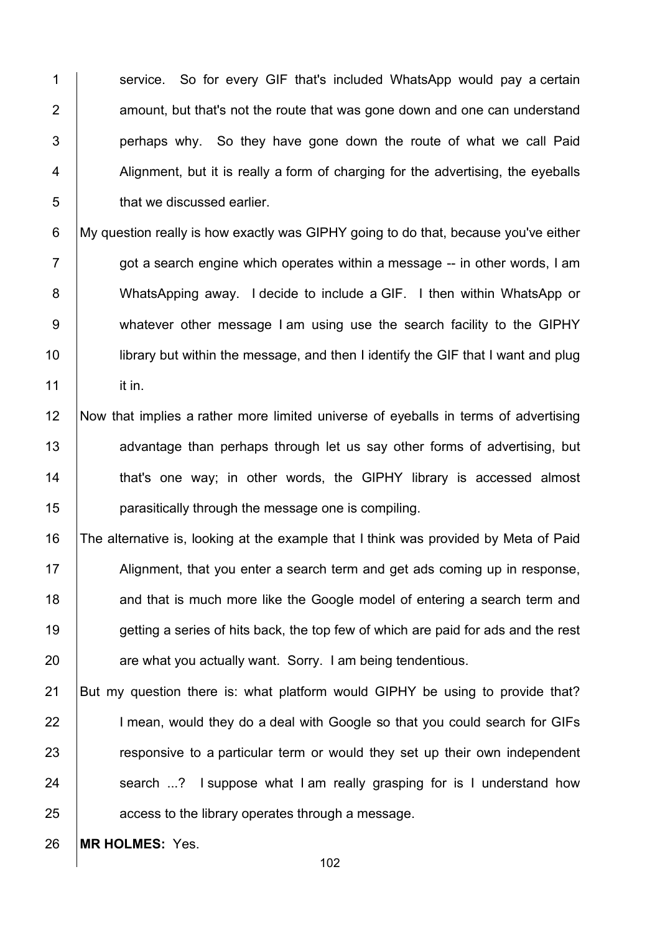1 Service. So for every GIF that's included WhatsApp would pay a certain | amount, but that's not the route that was gone down and one can understand | perhaps why. So they have gone down the route of what we call Paid | Alignment, but it is really a form of charging for the advertising, the eyeballs **b** that we discussed earlier.

6 My question really is how exactly was GIPHY going to do that, because you've either  $7 \mid$  got a search engine which operates within a message  $-$  in other words, I am 8 WhatsApping away. I decide to include a GIF. I then within WhatsApp or 9 whatever other message I am using use the search facility to the GIPHY 10 **let is unifyrically in the message, and then I identify the GIF that I want and plug**  $11$  it in.

12 Now that implies a rather more limited universe of eyeballs in terms of advertising 13 advantage than perhaps through let us say other forms of advertising, but 14 | that's one way; in other words, the GIPHY library is accessed almost 15 parasitically through the message one is compiling.

16 The alternative is, looking at the example that I think was provided by Meta of Paid 17 Alignment, that you enter a search term and get ads coming up in response, 18 and that is much more like the Google model of entering a search term and 19 getting a series of hits back, the top few of which are paid for ads and the rest 20 **are what you actually want. Sorry. I am being tendentious.** 

21 But my question there is: what platform would GIPHY be using to provide that? 22 I mean, would they do a deal with Google so that you could search for GIFs 23 **Fig.** responsive to a particular term or would they set up their own independent 24 Search ...? I suppose what I am really grasping for is I understand how 25 **a**ccess to the library operates through a message.

26 **MR HOLMES:** Yes.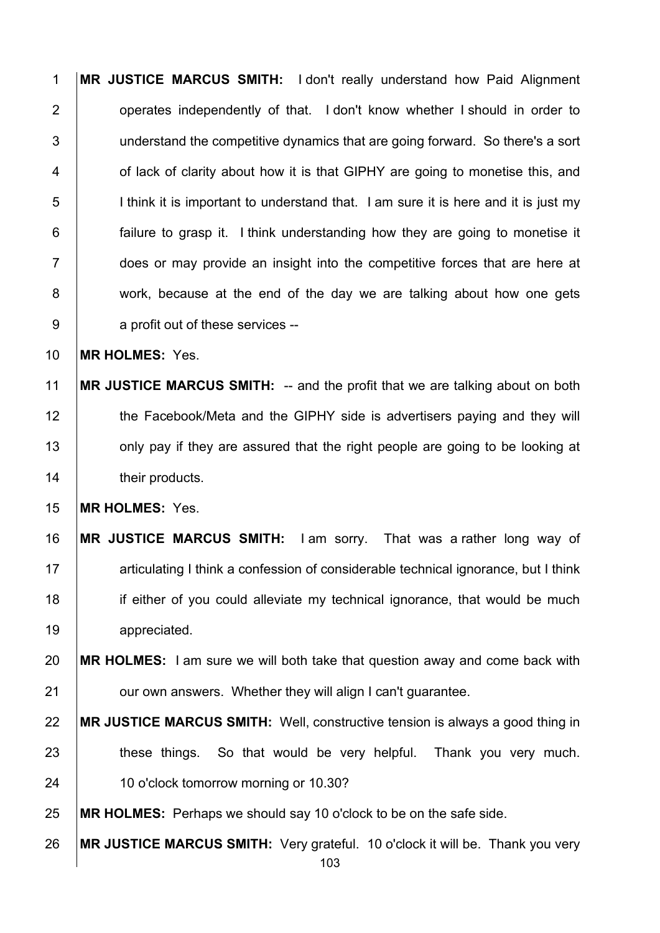**MR JUSTICE MARCUS SMITH:** I don't really understand how Paid Alignment **operates independently of that.** I don't know whether I should in order to 3 I understand the competitive dynamics that are going forward. So there's a sort **1** of lack of clarity about how it is that GIPHY are going to monetise this, and 5 I I think it is important to understand that. I am sure it is here and it is just my **failure to grasp it.** I think understanding how they are going to monetise it 7 does or may provide an insight into the competitive forces that are here at 8 work, because at the end of the day we are talking about how one gets 9 a profit out of these services --

**MR HOLMES:** Yes.

 **MR JUSTICE MARCUS SMITH:** -- and the profit that we are talking about on both 12 the Facebook/Meta and the GIPHY side is advertisers paying and they will **only pay if they are assured that the right people are going to be looking at their products.** 

**MR HOLMES:** Yes.

 **MR JUSTICE MARCUS SMITH:** I am sorry. That was a rather long way of **articulating I think a confession of considerable technical ignorance, but I think i** if either of you could alleviate my technical ignorance, that would be much 19 | appreciated.

 **MR HOLMES:** I am sure we will both take that question away and come back with **Fig. 21** our own answers. Whether they will align I can't quarantee.

 **MR JUSTICE MARCUS SMITH:** Well, constructive tension is always a good thing in 23 | these things. So that would be very helpful. Thank you very much. 24 | 10 o'clock tomorrow morning or 10.30?

**MR HOLMES:** Perhaps we should say 10 o'clock to be on the safe side.

**MR JUSTICE MARCUS SMITH:** Very grateful. 10 o'clock it will be. Thank you very